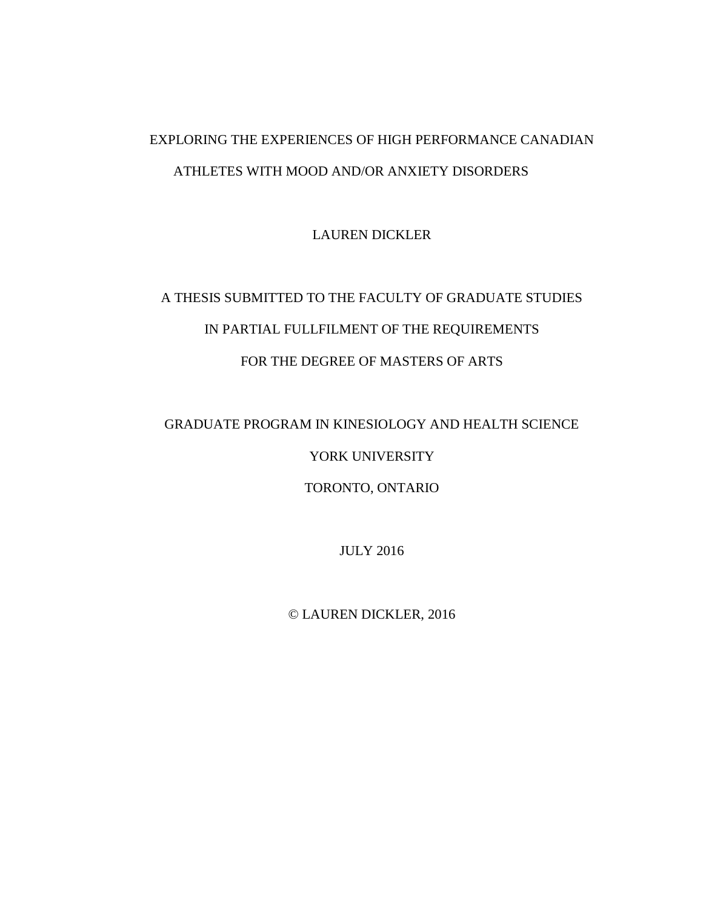# EXPLORING THE EXPERIENCES OF HIGH PERFORMANCE CANADIAN ATHLETES WITH MOOD AND/OR ANXIETY DISORDERS

LAUREN DICKLER

# A THESIS SUBMITTED TO THE FACULTY OF GRADUATE STUDIES IN PARTIAL FULLFILMENT OF THE REQUIREMENTS FOR THE DEGREE OF MASTERS OF ARTS

GRADUATE PROGRAM IN KINESIOLOGY AND HEALTH SCIENCE

YORK UNIVERSITY

TORONTO, ONTARIO

JULY 2016

© LAUREN DICKLER, 2016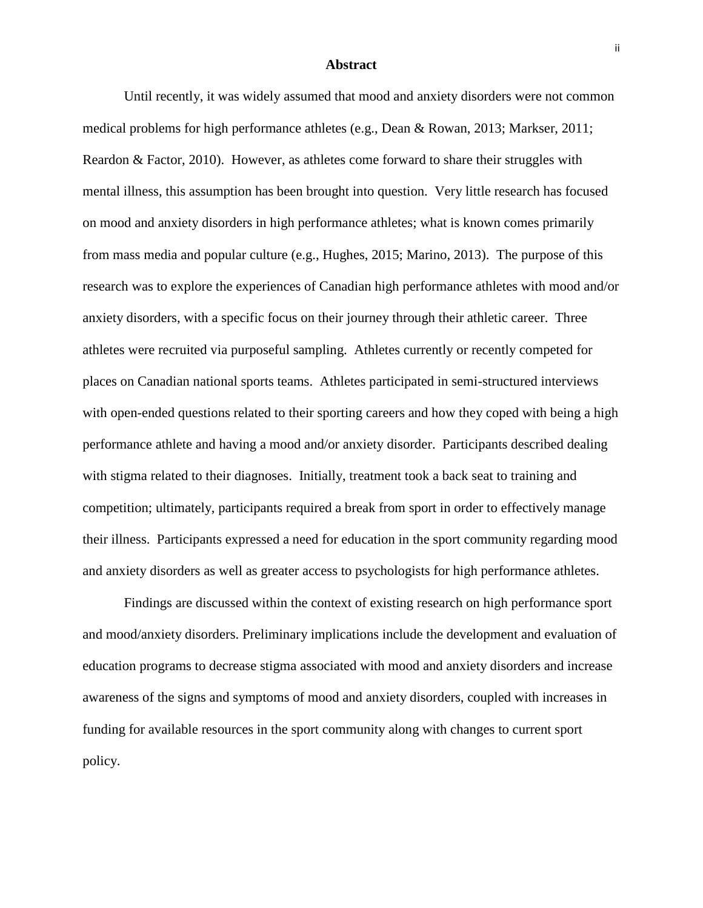#### **Abstract**

Until recently, it was widely assumed that mood and anxiety disorders were not common medical problems for high performance athletes (e.g., Dean & Rowan, 2013; Markser, 2011; Reardon & Factor, 2010). However, as athletes come forward to share their struggles with mental illness, this assumption has been brought into question. Very little research has focused on mood and anxiety disorders in high performance athletes; what is known comes primarily from mass media and popular culture (e.g., Hughes, 2015; Marino, 2013). The purpose of this research was to explore the experiences of Canadian high performance athletes with mood and/or anxiety disorders, with a specific focus on their journey through their athletic career. Three athletes were recruited via purposeful sampling. Athletes currently or recently competed for places on Canadian national sports teams. Athletes participated in semi-structured interviews with open-ended questions related to their sporting careers and how they coped with being a high performance athlete and having a mood and/or anxiety disorder. Participants described dealing with stigma related to their diagnoses. Initially, treatment took a back seat to training and competition; ultimately, participants required a break from sport in order to effectively manage their illness. Participants expressed a need for education in the sport community regarding mood and anxiety disorders as well as greater access to psychologists for high performance athletes.

Findings are discussed within the context of existing research on high performance sport and mood/anxiety disorders. Preliminary implications include the development and evaluation of education programs to decrease stigma associated with mood and anxiety disorders and increase awareness of the signs and symptoms of mood and anxiety disorders, coupled with increases in funding for available resources in the sport community along with changes to current sport policy.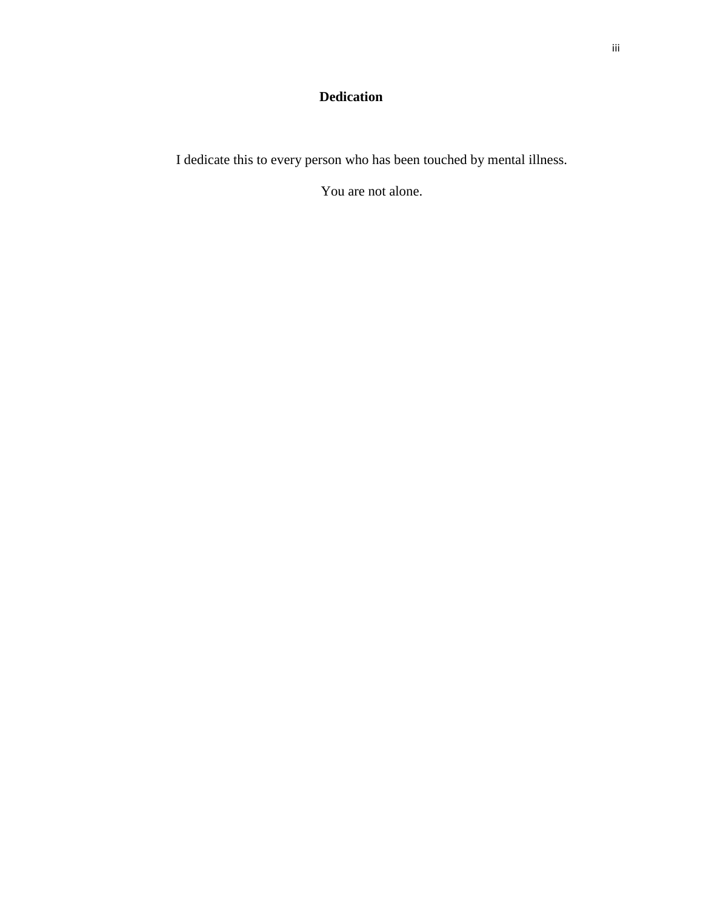# **Dedication**

I dedicate this to every person who has been touched by mental illness.

You are not alone.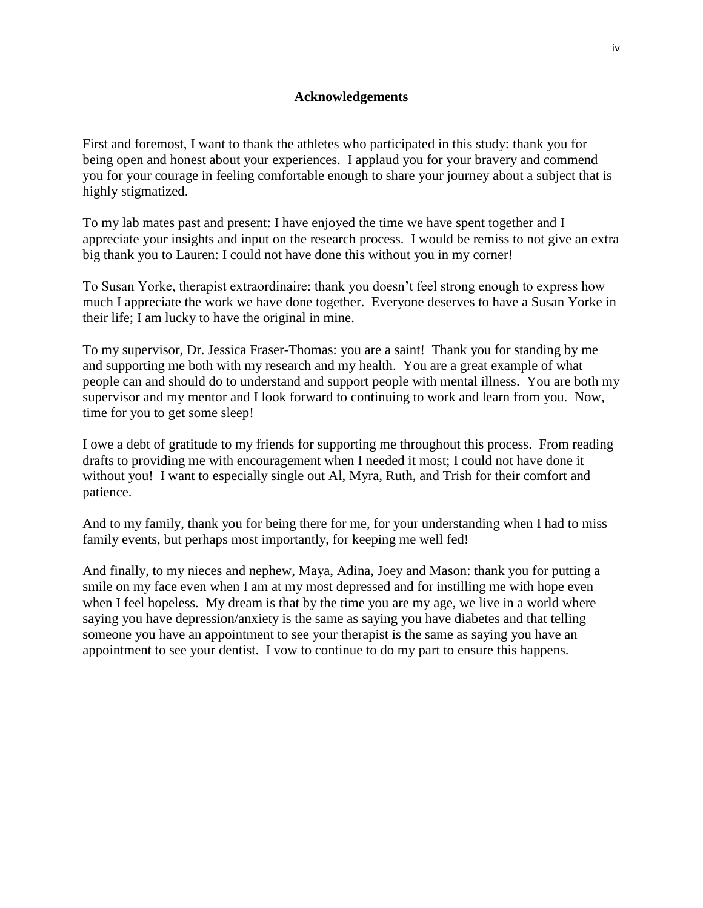# **Acknowledgements**

First and foremost, I want to thank the athletes who participated in this study: thank you for being open and honest about your experiences. I applaud you for your bravery and commend you for your courage in feeling comfortable enough to share your journey about a subject that is highly stigmatized.

To my lab mates past and present: I have enjoyed the time we have spent together and I appreciate your insights and input on the research process. I would be remiss to not give an extra big thank you to Lauren: I could not have done this without you in my corner!

To Susan Yorke, therapist extraordinaire: thank you doesn't feel strong enough to express how much I appreciate the work we have done together. Everyone deserves to have a Susan Yorke in their life; I am lucky to have the original in mine.

To my supervisor, Dr. Jessica Fraser-Thomas: you are a saint! Thank you for standing by me and supporting me both with my research and my health. You are a great example of what people can and should do to understand and support people with mental illness. You are both my supervisor and my mentor and I look forward to continuing to work and learn from you. Now, time for you to get some sleep!

I owe a debt of gratitude to my friends for supporting me throughout this process. From reading drafts to providing me with encouragement when I needed it most; I could not have done it without you! I want to especially single out Al, Myra, Ruth, and Trish for their comfort and patience.

And to my family, thank you for being there for me, for your understanding when I had to miss family events, but perhaps most importantly, for keeping me well fed!

And finally, to my nieces and nephew, Maya, Adina, Joey and Mason: thank you for putting a smile on my face even when I am at my most depressed and for instilling me with hope even when I feel hopeless. My dream is that by the time you are my age, we live in a world where saying you have depression/anxiety is the same as saying you have diabetes and that telling someone you have an appointment to see your therapist is the same as saying you have an appointment to see your dentist. I vow to continue to do my part to ensure this happens.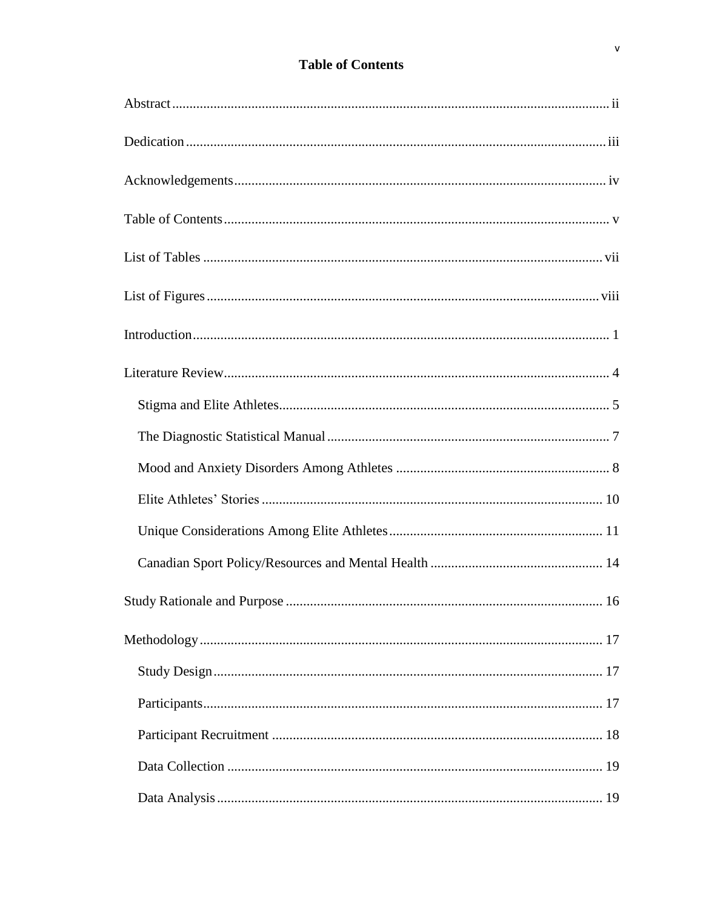# **Table of Contents**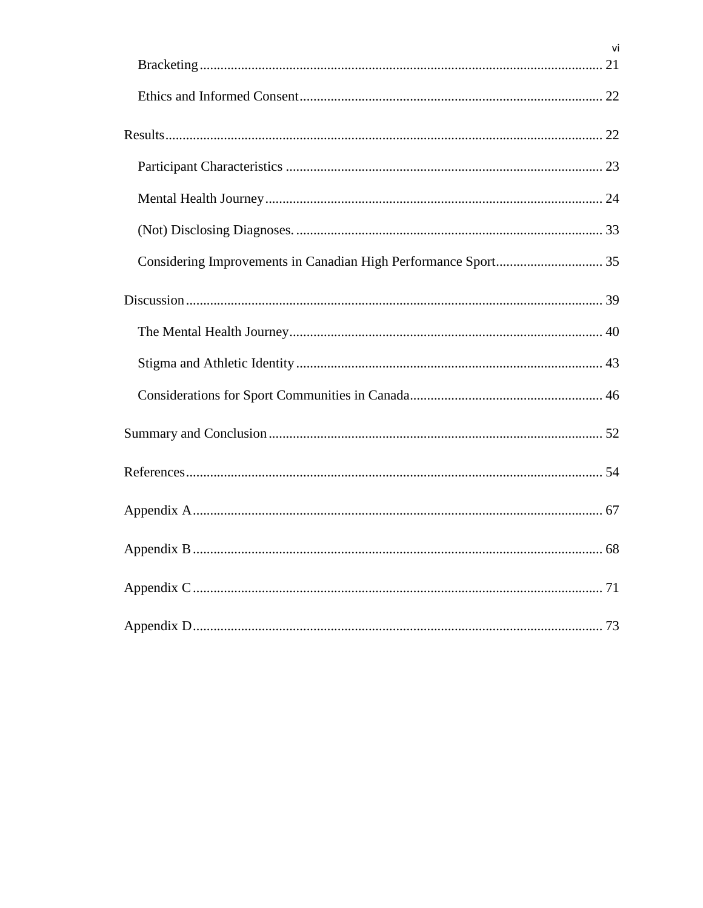|                                                                | vi |
|----------------------------------------------------------------|----|
|                                                                |    |
|                                                                |    |
|                                                                |    |
|                                                                |    |
|                                                                |    |
|                                                                |    |
| Considering Improvements in Canadian High Performance Sport 35 |    |
|                                                                |    |
|                                                                |    |
|                                                                |    |
|                                                                |    |
|                                                                |    |
|                                                                |    |
|                                                                |    |
|                                                                |    |
|                                                                |    |
|                                                                |    |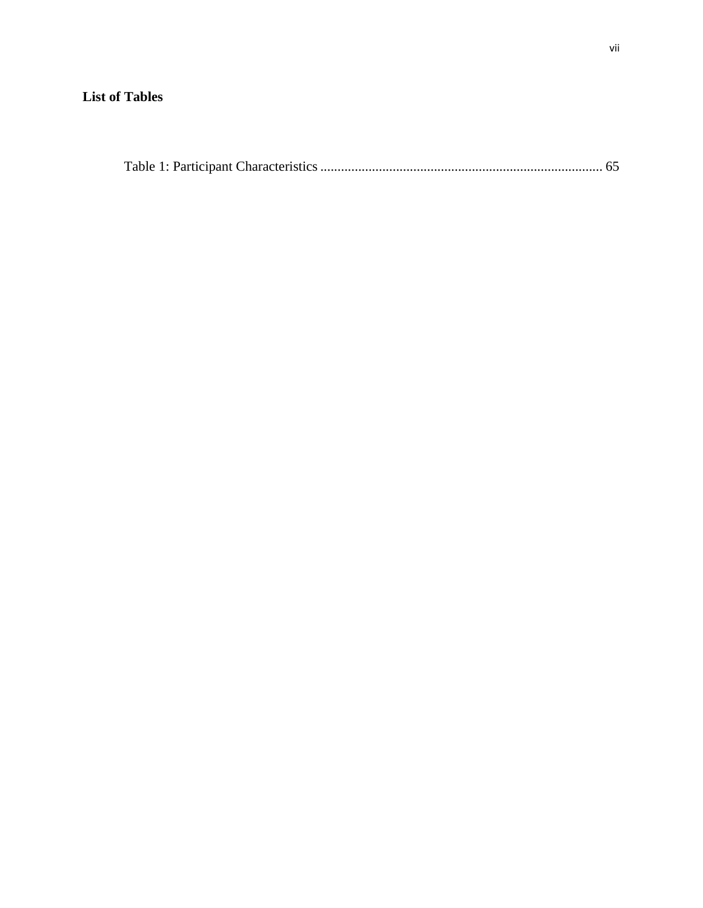# **List of Tables**

|--|--|--|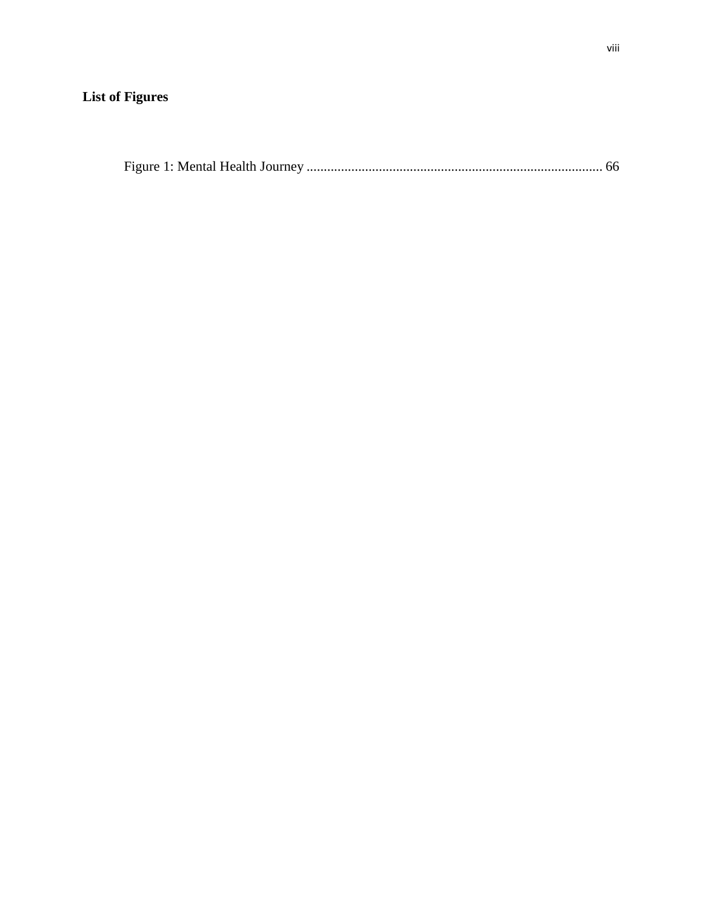# **List of Figures**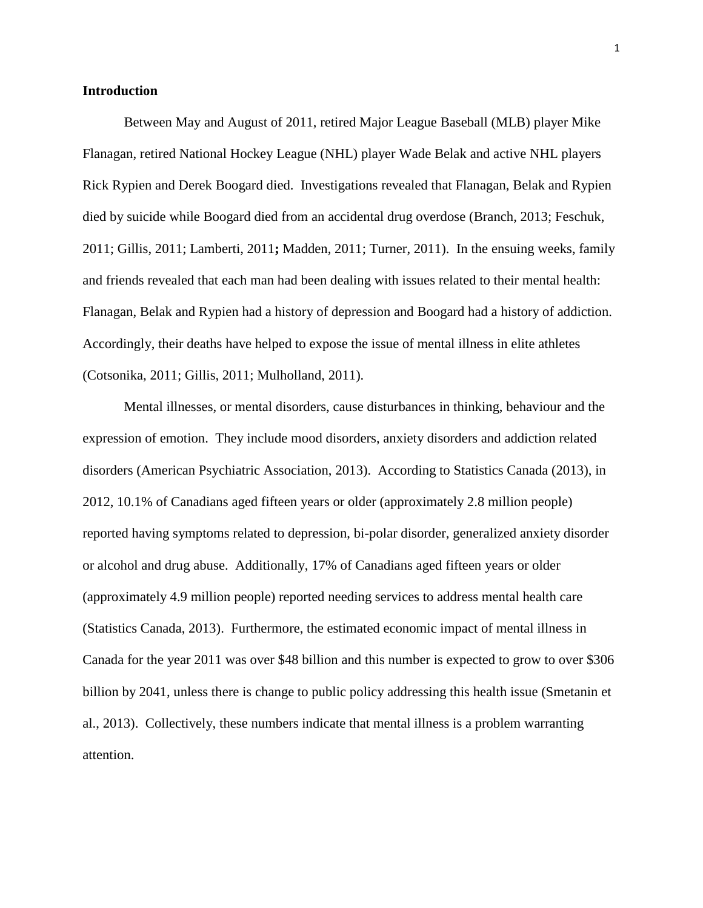# **Introduction**

Between May and August of 2011, retired Major League Baseball (MLB) player Mike Flanagan, retired National Hockey League (NHL) player Wade Belak and active NHL players Rick Rypien and Derek Boogard died. Investigations revealed that Flanagan, Belak and Rypien died by suicide while Boogard died from an accidental drug overdose (Branch, 2013; Feschuk, 2011; Gillis, 2011; Lamberti, 2011**;** Madden, 2011; Turner, 2011). In the ensuing weeks, family and friends revealed that each man had been dealing with issues related to their mental health: Flanagan, Belak and Rypien had a history of depression and Boogard had a history of addiction. Accordingly, their deaths have helped to expose the issue of mental illness in elite athletes (Cotsonika, 2011; Gillis, 2011; Mulholland, 2011).

Mental illnesses, or mental disorders, cause disturbances in thinking, behaviour and the expression of emotion. They include mood disorders, anxiety disorders and addiction related disorders (American Psychiatric Association, 2013). According to Statistics Canada (2013), in 2012, 10.1% of Canadians aged fifteen years or older (approximately 2.8 million people) reported having symptoms related to depression, bi-polar disorder, generalized anxiety disorder or alcohol and drug abuse. Additionally, 17% of Canadians aged fifteen years or older (approximately 4.9 million people) reported needing services to address mental health care (Statistics Canada, 2013). Furthermore, the estimated economic impact of mental illness in Canada for the year 2011 was over \$48 billion and this number is expected to grow to over \$306 billion by 2041, unless there is change to public policy addressing this health issue (Smetanin et al., 2013). Collectively, these numbers indicate that mental illness is a problem warranting attention.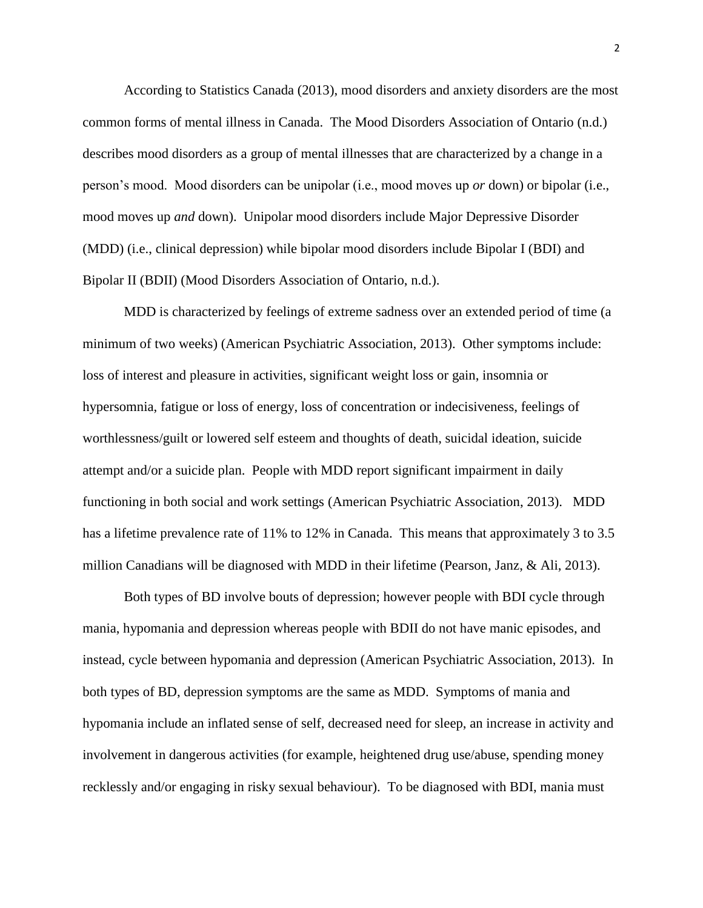According to Statistics Canada (2013), mood disorders and anxiety disorders are the most common forms of mental illness in Canada. The Mood Disorders Association of Ontario (n.d.) describes mood disorders as a group of mental illnesses that are characterized by a change in a person's mood. Mood disorders can be unipolar (i.e., mood moves up *or* down) or bipolar (i.e., mood moves up *and* down). Unipolar mood disorders include Major Depressive Disorder (MDD) (i.e., clinical depression) while bipolar mood disorders include Bipolar I (BDI) and Bipolar II (BDII) (Mood Disorders Association of Ontario, n.d.).

MDD is characterized by feelings of extreme sadness over an extended period of time (a minimum of two weeks) (American Psychiatric Association, 2013). Other symptoms include: loss of interest and pleasure in activities, significant weight loss or gain, insomnia or hypersomnia, fatigue or loss of energy, loss of concentration or indecisiveness, feelings of worthlessness/guilt or lowered self esteem and thoughts of death, suicidal ideation, suicide attempt and/or a suicide plan. People with MDD report significant impairment in daily functioning in both social and work settings (American Psychiatric Association, 2013). MDD has a lifetime prevalence rate of 11% to 12% in Canada. This means that approximately 3 to 3.5 million Canadians will be diagnosed with MDD in their lifetime (Pearson, Janz, & Ali, 2013).

Both types of BD involve bouts of depression; however people with BDI cycle through mania, hypomania and depression whereas people with BDII do not have manic episodes, and instead, cycle between hypomania and depression (American Psychiatric Association, 2013). In both types of BD, depression symptoms are the same as MDD. Symptoms of mania and hypomania include an inflated sense of self, decreased need for sleep, an increase in activity and involvement in dangerous activities (for example, heightened drug use/abuse, spending money recklessly and/or engaging in risky sexual behaviour). To be diagnosed with BDI, mania must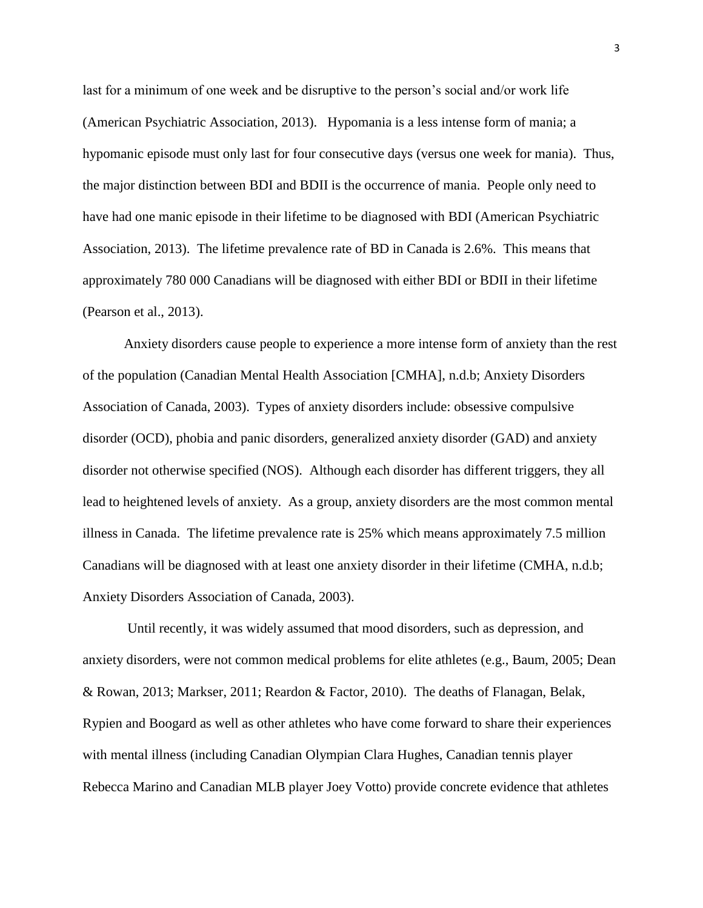last for a minimum of one week and be disruptive to the person's social and/or work life (American Psychiatric Association, 2013). Hypomania is a less intense form of mania; a hypomanic episode must only last for four consecutive days (versus one week for mania). Thus, the major distinction between BDI and BDII is the occurrence of mania. People only need to have had one manic episode in their lifetime to be diagnosed with BDI (American Psychiatric Association, 2013). The lifetime prevalence rate of BD in Canada is 2.6%. This means that approximately 780 000 Canadians will be diagnosed with either BDI or BDII in their lifetime (Pearson et al., 2013).

Anxiety disorders cause people to experience a more intense form of anxiety than the rest of the population (Canadian Mental Health Association [CMHA], n.d.b; Anxiety Disorders Association of Canada, 2003). Types of anxiety disorders include: obsessive compulsive disorder (OCD), phobia and panic disorders, generalized anxiety disorder (GAD) and anxiety disorder not otherwise specified (NOS). Although each disorder has different triggers, they all lead to heightened levels of anxiety. As a group, anxiety disorders are the most common mental illness in Canada. The lifetime prevalence rate is 25% which means approximately 7.5 million Canadians will be diagnosed with at least one anxiety disorder in their lifetime (CMHA, n.d.b; Anxiety Disorders Association of Canada, 2003).

Until recently, it was widely assumed that mood disorders, such as depression, and anxiety disorders, were not common medical problems for elite athletes (e.g., Baum, 2005; Dean & Rowan, 2013; Markser, 2011; Reardon & Factor, 2010). The deaths of Flanagan, Belak, Rypien and Boogard as well as other athletes who have come forward to share their experiences with mental illness (including Canadian Olympian Clara Hughes, Canadian tennis player Rebecca Marino and Canadian MLB player Joey Votto) provide concrete evidence that athletes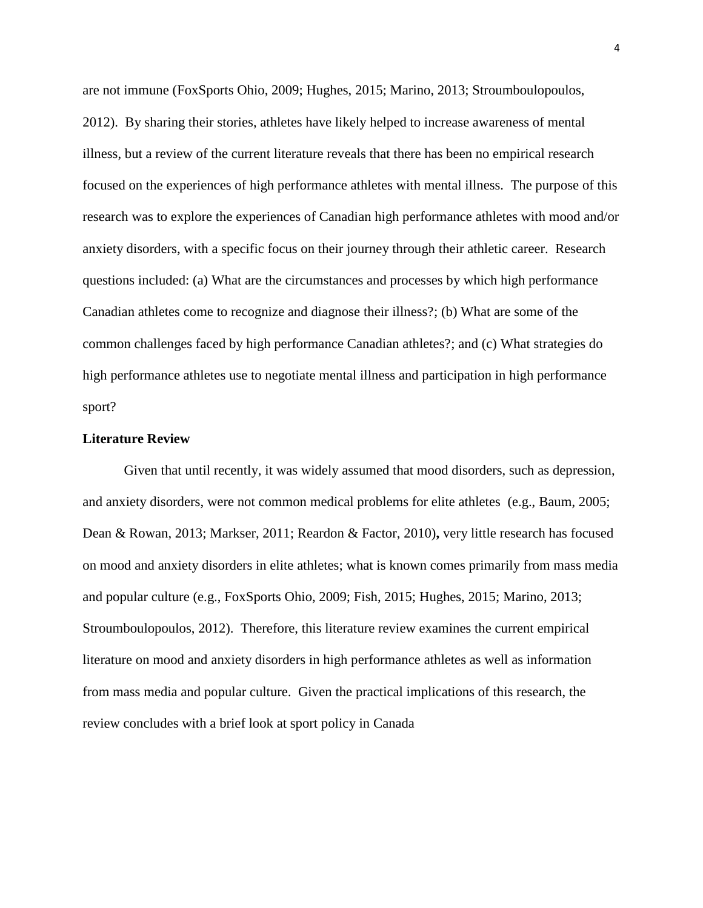are not immune (FoxSports Ohio, 2009; Hughes, 2015; Marino, 2013; Stroumboulopoulos, 2012). By sharing their stories, athletes have likely helped to increase awareness of mental illness, but a review of the current literature reveals that there has been no empirical research focused on the experiences of high performance athletes with mental illness. The purpose of this research was to explore the experiences of Canadian high performance athletes with mood and/or anxiety disorders, with a specific focus on their journey through their athletic career. Research questions included: (a) What are the circumstances and processes by which high performance Canadian athletes come to recognize and diagnose their illness?; (b) What are some of the common challenges faced by high performance Canadian athletes?; and (c) What strategies do high performance athletes use to negotiate mental illness and participation in high performance sport?

## **Literature Review**

Given that until recently, it was widely assumed that mood disorders, such as depression, and anxiety disorders, were not common medical problems for elite athletes (e.g., Baum, 2005; Dean & Rowan, 2013; Markser, 2011; Reardon & Factor, 2010)**,** very little research has focused on mood and anxiety disorders in elite athletes; what is known comes primarily from mass media and popular culture (e.g., FoxSports Ohio, 2009; Fish, 2015; Hughes, 2015; Marino, 2013; Stroumboulopoulos, 2012). Therefore, this literature review examines the current empirical literature on mood and anxiety disorders in high performance athletes as well as information from mass media and popular culture. Given the practical implications of this research, the review concludes with a brief look at sport policy in Canada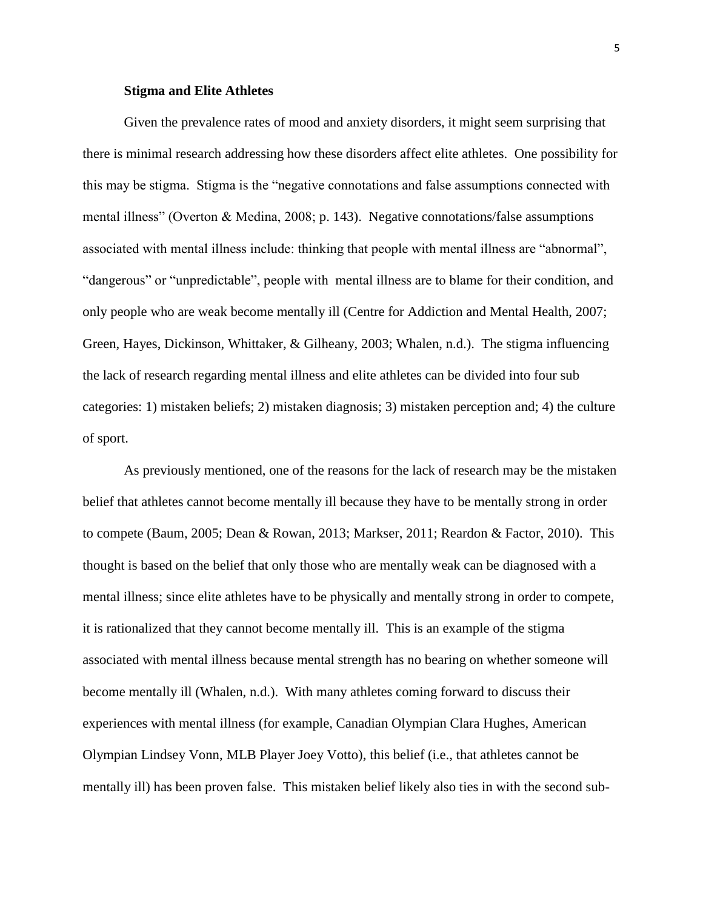# **Stigma and Elite Athletes**

Given the prevalence rates of mood and anxiety disorders, it might seem surprising that there is minimal research addressing how these disorders affect elite athletes. One possibility for this may be stigma. Stigma is the "negative connotations and false assumptions connected with mental illness" (Overton & Medina, 2008; p. 143). Negative connotations/false assumptions associated with mental illness include: thinking that people with mental illness are "abnormal", "dangerous" or "unpredictable", people with mental illness are to blame for their condition, and only people who are weak become mentally ill (Centre for Addiction and Mental Health, 2007; Green, Hayes, Dickinson, Whittaker, & Gilheany, 2003; Whalen, n.d.). The stigma influencing the lack of research regarding mental illness and elite athletes can be divided into four sub categories: 1) mistaken beliefs; 2) mistaken diagnosis; 3) mistaken perception and; 4) the culture of sport.

As previously mentioned, one of the reasons for the lack of research may be the mistaken belief that athletes cannot become mentally ill because they have to be mentally strong in order to compete (Baum, 2005; Dean & Rowan, 2013; Markser, 2011; Reardon & Factor, 2010). This thought is based on the belief that only those who are mentally weak can be diagnosed with a mental illness; since elite athletes have to be physically and mentally strong in order to compete, it is rationalized that they cannot become mentally ill. This is an example of the stigma associated with mental illness because mental strength has no bearing on whether someone will become mentally ill (Whalen, n.d.). With many athletes coming forward to discuss their experiences with mental illness (for example, Canadian Olympian Clara Hughes, American Olympian Lindsey Vonn, MLB Player Joey Votto), this belief (i.e., that athletes cannot be mentally ill) has been proven false. This mistaken belief likely also ties in with the second sub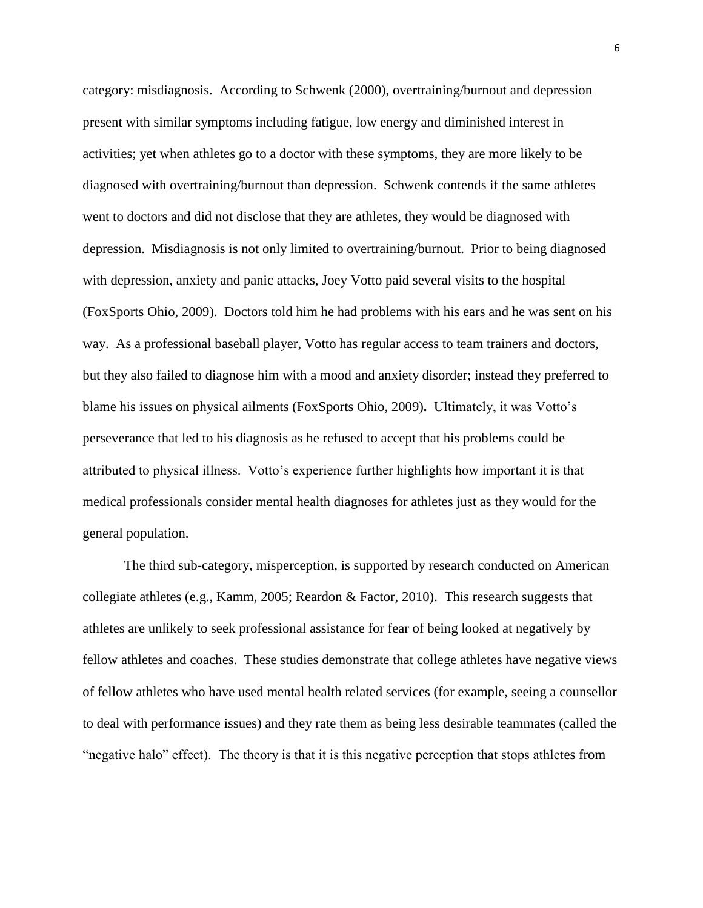category: misdiagnosis. According to Schwenk (2000), overtraining/burnout and depression present with similar symptoms including fatigue, low energy and diminished interest in activities; yet when athletes go to a doctor with these symptoms, they are more likely to be diagnosed with overtraining/burnout than depression. Schwenk contends if the same athletes went to doctors and did not disclose that they are athletes, they would be diagnosed with depression. Misdiagnosis is not only limited to overtraining/burnout. Prior to being diagnosed with depression, anxiety and panic attacks, Joey Votto paid several visits to the hospital (FoxSports Ohio, 2009). Doctors told him he had problems with his ears and he was sent on his way. As a professional baseball player, Votto has regular access to team trainers and doctors, but they also failed to diagnose him with a mood and anxiety disorder; instead they preferred to blame his issues on physical ailments (FoxSports Ohio, 2009)**.** Ultimately, it was Votto's perseverance that led to his diagnosis as he refused to accept that his problems could be attributed to physical illness. Votto's experience further highlights how important it is that medical professionals consider mental health diagnoses for athletes just as they would for the general population.

The third sub-category, misperception, is supported by research conducted on American collegiate athletes (e.g., Kamm, 2005; Reardon & Factor, 2010). This research suggests that athletes are unlikely to seek professional assistance for fear of being looked at negatively by fellow athletes and coaches. These studies demonstrate that college athletes have negative views of fellow athletes who have used mental health related services (for example, seeing a counsellor to deal with performance issues) and they rate them as being less desirable teammates (called the "negative halo" effect). The theory is that it is this negative perception that stops athletes from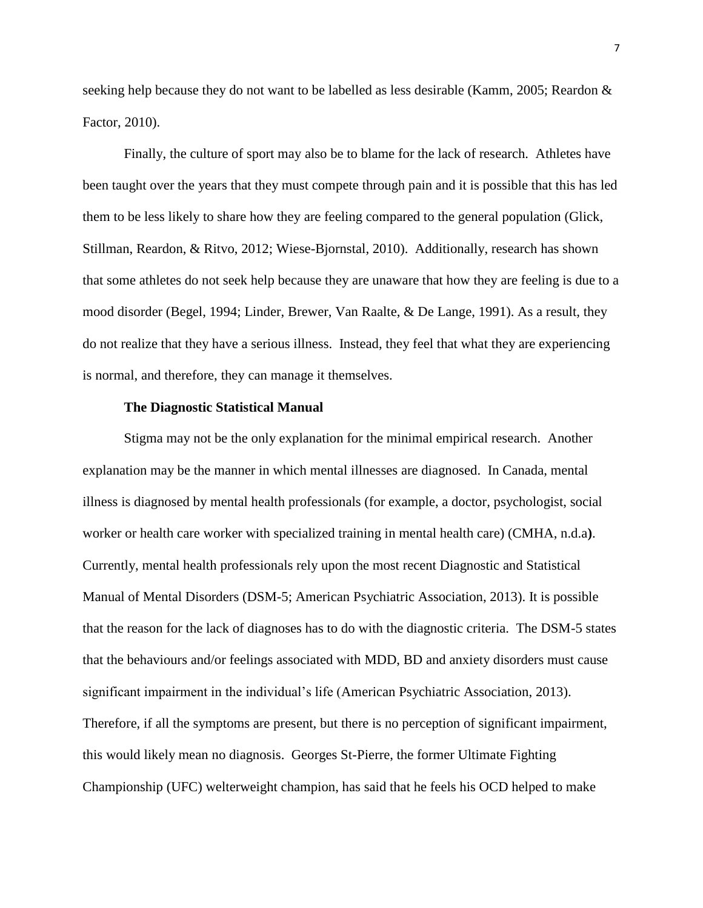seeking help because they do not want to be labelled as less desirable (Kamm, 2005; Reardon & Factor, 2010).

Finally, the culture of sport may also be to blame for the lack of research. Athletes have been taught over the years that they must compete through pain and it is possible that this has led them to be less likely to share how they are feeling compared to the general population (Glick, Stillman, Reardon, & Ritvo, 2012; Wiese-Bjornstal, 2010). Additionally, research has shown that some athletes do not seek help because they are unaware that how they are feeling is due to a mood disorder (Begel, 1994; Linder, Brewer, Van Raalte, & De Lange, 1991). As a result, they do not realize that they have a serious illness. Instead, they feel that what they are experiencing is normal, and therefore, they can manage it themselves.

## **The Diagnostic Statistical Manual**

Stigma may not be the only explanation for the minimal empirical research. Another explanation may be the manner in which mental illnesses are diagnosed. In Canada, mental illness is diagnosed by mental health professionals (for example, a doctor, psychologist, social worker or health care worker with specialized training in mental health care) (CMHA, n.d.a**)**. Currently, mental health professionals rely upon the most recent Diagnostic and Statistical Manual of Mental Disorders (DSM-5; American Psychiatric Association, 2013). It is possible that the reason for the lack of diagnoses has to do with the diagnostic criteria. The DSM-5 states that the behaviours and/or feelings associated with MDD, BD and anxiety disorders must cause significant impairment in the individual's life (American Psychiatric Association, 2013). Therefore, if all the symptoms are present, but there is no perception of significant impairment, this would likely mean no diagnosis. Georges St-Pierre, the former Ultimate Fighting Championship (UFC) welterweight champion, has said that he feels his OCD helped to make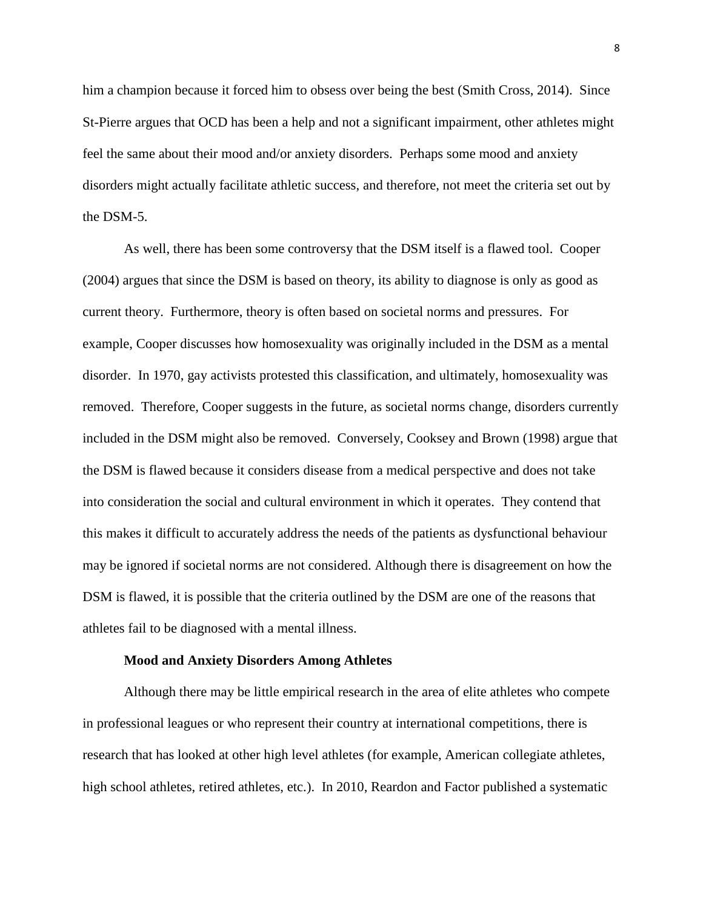him a champion because it forced him to obsess over being the best (Smith Cross, 2014). Since St-Pierre argues that OCD has been a help and not a significant impairment, other athletes might feel the same about their mood and/or anxiety disorders. Perhaps some mood and anxiety disorders might actually facilitate athletic success, and therefore, not meet the criteria set out by the DSM-5.

As well, there has been some controversy that the DSM itself is a flawed tool. Cooper (2004) argues that since the DSM is based on theory, its ability to diagnose is only as good as current theory. Furthermore, theory is often based on societal norms and pressures. For example, Cooper discusses how homosexuality was originally included in the DSM as a mental disorder. In 1970, gay activists protested this classification, and ultimately, homosexuality was removed. Therefore, Cooper suggests in the future, as societal norms change, disorders currently included in the DSM might also be removed. Conversely, Cooksey and Brown (1998) argue that the DSM is flawed because it considers disease from a medical perspective and does not take into consideration the social and cultural environment in which it operates. They contend that this makes it difficult to accurately address the needs of the patients as dysfunctional behaviour may be ignored if societal norms are not considered. Although there is disagreement on how the DSM is flawed, it is possible that the criteria outlined by the DSM are one of the reasons that athletes fail to be diagnosed with a mental illness.

#### **Mood and Anxiety Disorders Among Athletes**

Although there may be little empirical research in the area of elite athletes who compete in professional leagues or who represent their country at international competitions, there is research that has looked at other high level athletes (for example, American collegiate athletes, high school athletes, retired athletes, etc.). In 2010, Reardon and Factor published a systematic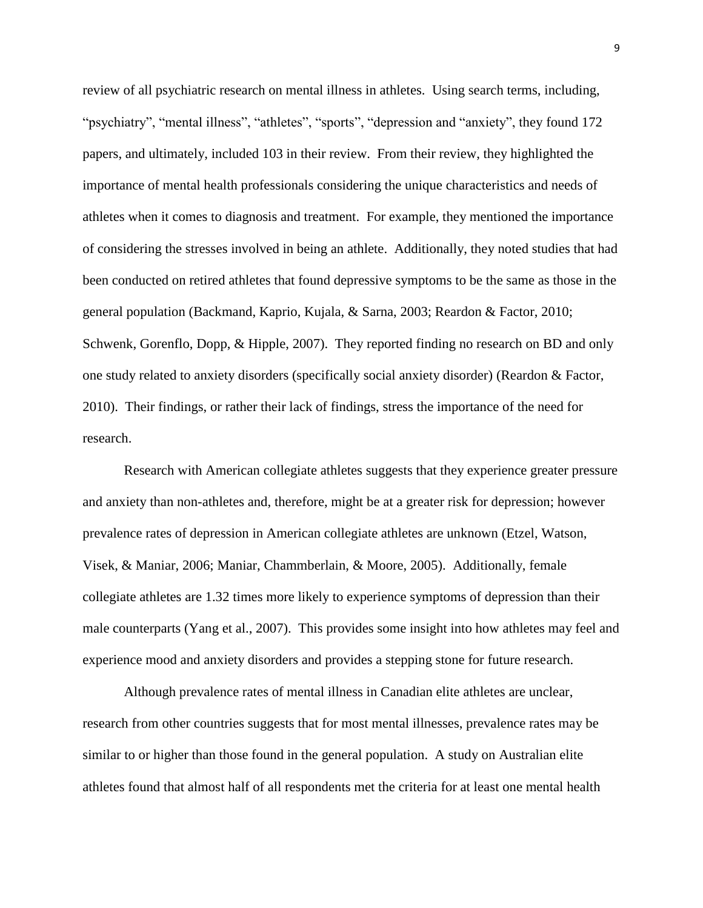review of all psychiatric research on mental illness in athletes. Using search terms, including, "psychiatry", "mental illness", "athletes", "sports", "depression and "anxiety", they found 172 papers, and ultimately, included 103 in their review. From their review, they highlighted the importance of mental health professionals considering the unique characteristics and needs of athletes when it comes to diagnosis and treatment. For example, they mentioned the importance of considering the stresses involved in being an athlete. Additionally, they noted studies that had been conducted on retired athletes that found depressive symptoms to be the same as those in the general population (Backmand, Kaprio, Kujala, & Sarna, 2003; Reardon & Factor, 2010; Schwenk, Gorenflo, Dopp, & Hipple, 2007). They reported finding no research on BD and only one study related to anxiety disorders (specifically social anxiety disorder) (Reardon & Factor, 2010). Their findings, or rather their lack of findings, stress the importance of the need for research.

Research with American collegiate athletes suggests that they experience greater pressure and anxiety than non-athletes and, therefore, might be at a greater risk for depression; however prevalence rates of depression in American collegiate athletes are unknown (Etzel, Watson, Visek, & Maniar, 2006; Maniar, Chammberlain, & Moore, 2005). Additionally, female collegiate athletes are 1.32 times more likely to experience symptoms of depression than their male counterparts (Yang et al., 2007). This provides some insight into how athletes may feel and experience mood and anxiety disorders and provides a stepping stone for future research.

Although prevalence rates of mental illness in Canadian elite athletes are unclear, research from other countries suggests that for most mental illnesses, prevalence rates may be similar to or higher than those found in the general population. A study on Australian elite athletes found that almost half of all respondents met the criteria for at least one mental health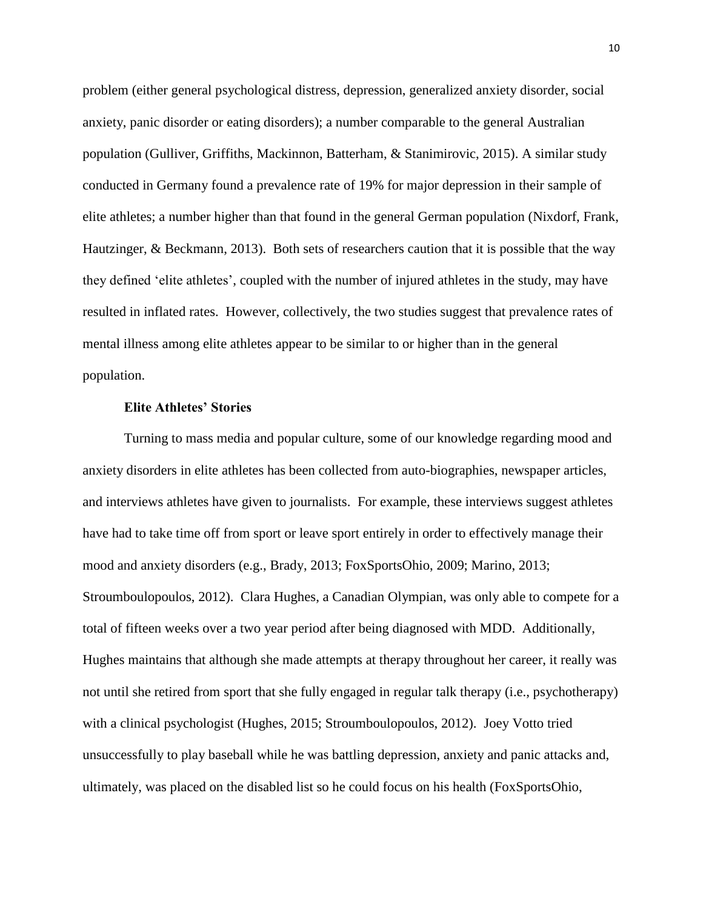problem (either general psychological distress, depression, generalized anxiety disorder, social anxiety, panic disorder or eating disorders); a number comparable to the general Australian population (Gulliver, Griffiths, Mackinnon, Batterham, & Stanimirovic, 2015). A similar study conducted in Germany found a prevalence rate of 19% for major depression in their sample of elite athletes; a number higher than that found in the general German population (Nixdorf, Frank, Hautzinger, & Beckmann, 2013). Both sets of researchers caution that it is possible that the way they defined 'elite athletes', coupled with the number of injured athletes in the study, may have resulted in inflated rates. However, collectively, the two studies suggest that prevalence rates of mental illness among elite athletes appear to be similar to or higher than in the general population.

# **Elite Athletes' Stories**

Turning to mass media and popular culture, some of our knowledge regarding mood and anxiety disorders in elite athletes has been collected from auto-biographies, newspaper articles, and interviews athletes have given to journalists.For example, these interviews suggest athletes have had to take time off from sport or leave sport entirely in order to effectively manage their mood and anxiety disorders (e.g., Brady, 2013; FoxSportsOhio, 2009; Marino, 2013; Stroumboulopoulos, 2012). Clara Hughes, a Canadian Olympian, was only able to compete for a total of fifteen weeks over a two year period after being diagnosed with MDD. Additionally, Hughes maintains that although she made attempts at therapy throughout her career, it really was not until she retired from sport that she fully engaged in regular talk therapy (i.e., psychotherapy) with a clinical psychologist (Hughes, 2015; Stroumboulopoulos, 2012).Joey Votto tried unsuccessfully to play baseball while he was battling depression, anxiety and panic attacks and, ultimately, was placed on the disabled list so he could focus on his health (FoxSportsOhio,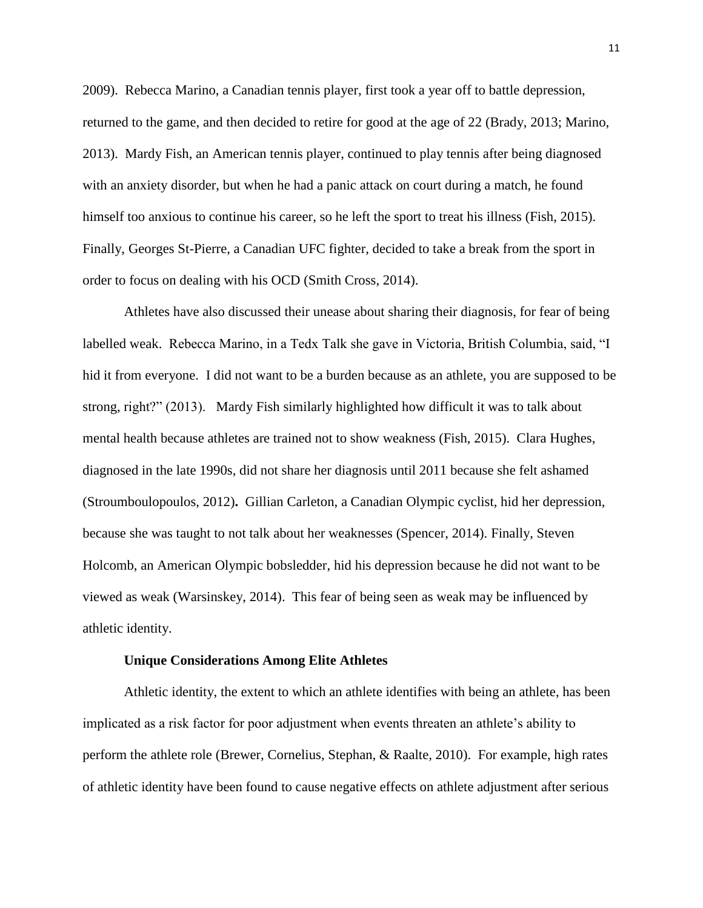2009).Rebecca Marino, a Canadian tennis player, first took a year off to battle depression, returned to the game, and then decided to retire for good at the age of 22 (Brady, 2013; Marino, 2013). Mardy Fish, an American tennis player, continued to play tennis after being diagnosed with an anxiety disorder, but when he had a panic attack on court during a match, he found himself too anxious to continue his career, so he left the sport to treat his illness (Fish, 2015). Finally, Georges St-Pierre, a Canadian UFC fighter, decided to take a break from the sport in order to focus on dealing with his OCD (Smith Cross, 2014).

Athletes have also discussed their unease about sharing their diagnosis, for fear of being labelled weak. Rebecca Marino, in a Tedx Talk she gave in Victoria, British Columbia, said, "I hid it from everyone. I did not want to be a burden because as an athlete, you are supposed to be strong, right?" (2013). Mardy Fish similarly highlighted how difficult it was to talk about mental health because athletes are trained not to show weakness (Fish, 2015). Clara Hughes, diagnosed in the late 1990s, did not share her diagnosis until 2011 because she felt ashamed (Stroumboulopoulos, 2012)**.** Gillian Carleton, a Canadian Olympic cyclist, hid her depression, because she was taught to not talk about her weaknesses (Spencer, 2014). Finally, Steven Holcomb, an American Olympic bobsledder, hid his depression because he did not want to be viewed as weak (Warsinskey, 2014). This fear of being seen as weak may be influenced by athletic identity.

#### **Unique Considerations Among Elite Athletes**

Athletic identity, the extent to which an athlete identifies with being an athlete, has been implicated as a risk factor for poor adjustment when events threaten an athlete's ability to perform the athlete role (Brewer, Cornelius, Stephan, & Raalte, 2010). For example, high rates of athletic identity have been found to cause negative effects on athlete adjustment after serious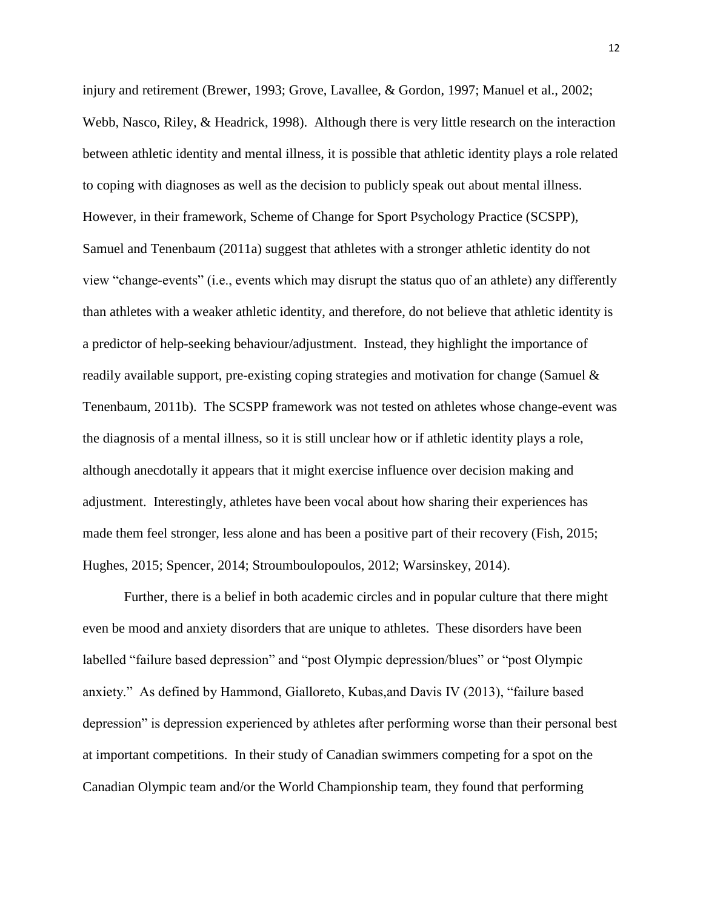injury and retirement (Brewer, 1993; Grove, Lavallee, & Gordon, 1997; Manuel et al., 2002; Webb, Nasco, Riley, & Headrick, 1998). Although there is very little research on the interaction between athletic identity and mental illness, it is possible that athletic identity plays a role related to coping with diagnoses as well as the decision to publicly speak out about mental illness. However, in their framework, Scheme of Change for Sport Psychology Practice (SCSPP), Samuel and Tenenbaum (2011a) suggest that athletes with a stronger athletic identity do not view "change-events" (i.e., events which may disrupt the status quo of an athlete) any differently than athletes with a weaker athletic identity, and therefore, do not believe that athletic identity is a predictor of help-seeking behaviour/adjustment. Instead, they highlight the importance of readily available support, pre-existing coping strategies and motivation for change (Samuel & Tenenbaum, 2011b). The SCSPP framework was not tested on athletes whose change-event was the diagnosis of a mental illness, so it is still unclear how or if athletic identity plays a role, although anecdotally it appears that it might exercise influence over decision making and adjustment. Interestingly, athletes have been vocal about how sharing their experiences has made them feel stronger, less alone and has been a positive part of their recovery (Fish, 2015; Hughes, 2015; Spencer, 2014; Stroumboulopoulos, 2012; Warsinskey, 2014).

Further, there is a belief in both academic circles and in popular culture that there might even be mood and anxiety disorders that are unique to athletes. These disorders have been labelled "failure based depression" and "post Olympic depression/blues" or "post Olympic anxiety." As defined by Hammond, Gialloreto, Kubas,and Davis IV (2013), "failure based depression" is depression experienced by athletes after performing worse than their personal best at important competitions. In their study of Canadian swimmers competing for a spot on the Canadian Olympic team and/or the World Championship team, they found that performing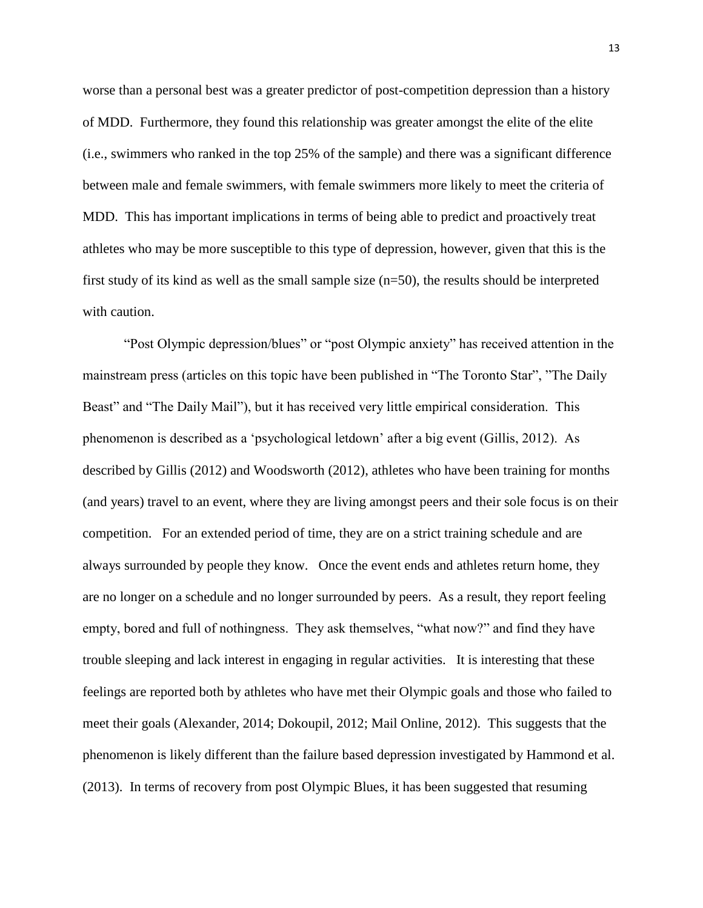worse than a personal best was a greater predictor of post-competition depression than a history of MDD. Furthermore, they found this relationship was greater amongst the elite of the elite (i.e., swimmers who ranked in the top 25% of the sample) and there was a significant difference between male and female swimmers, with female swimmers more likely to meet the criteria of MDD. This has important implications in terms of being able to predict and proactively treat athletes who may be more susceptible to this type of depression, however, given that this is the first study of its kind as well as the small sample size (n=50), the results should be interpreted with caution.

"Post Olympic depression/blues" or "post Olympic anxiety" has received attention in the mainstream press (articles on this topic have been published in "The Toronto Star", "The Daily Beast" and "The Daily Mail"), but it has received very little empirical consideration. This phenomenon is described as a 'psychological letdown' after a big event (Gillis, 2012). As described by Gillis (2012) and Woodsworth (2012), athletes who have been training for months (and years) travel to an event, where they are living amongst peers and their sole focus is on their competition. For an extended period of time, they are on a strict training schedule and are always surrounded by people they know. Once the event ends and athletes return home, they are no longer on a schedule and no longer surrounded by peers. As a result, they report feeling empty, bored and full of nothingness. They ask themselves, "what now?" and find they have trouble sleeping and lack interest in engaging in regular activities. It is interesting that these feelings are reported both by athletes who have met their Olympic goals and those who failed to meet their goals (Alexander, 2014; Dokoupil, 2012; Mail Online, 2012). This suggests that the phenomenon is likely different than the failure based depression investigated by Hammond et al. (2013). In terms of recovery from post Olympic Blues, it has been suggested that resuming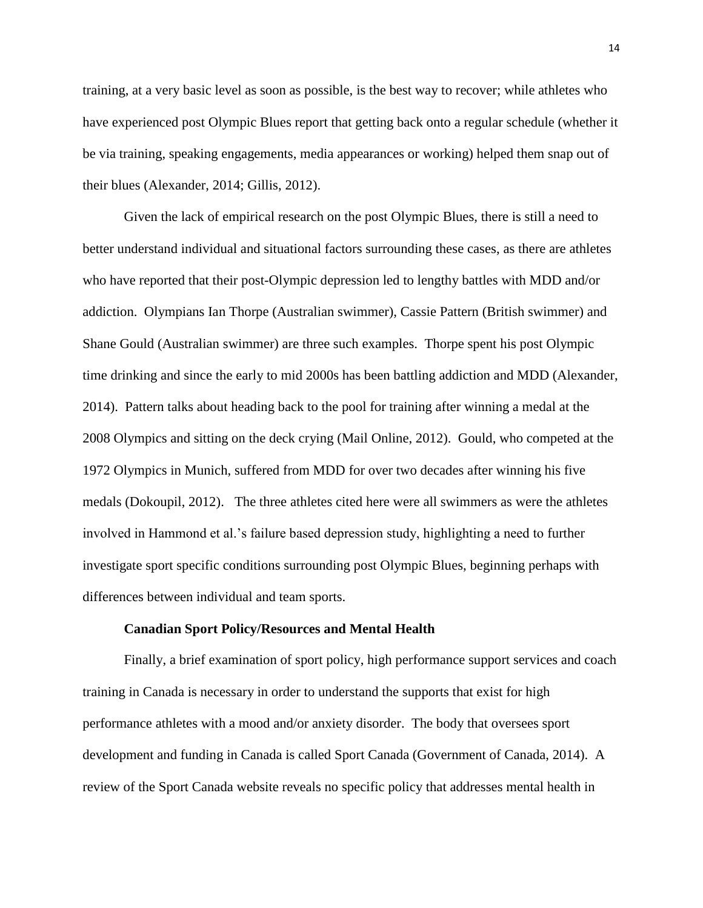training, at a very basic level as soon as possible, is the best way to recover; while athletes who have experienced post Olympic Blues report that getting back onto a regular schedule (whether it be via training, speaking engagements, media appearances or working) helped them snap out of their blues (Alexander, 2014; Gillis, 2012).

Given the lack of empirical research on the post Olympic Blues, there is still a need to better understand individual and situational factors surrounding these cases, as there are athletes who have reported that their post-Olympic depression led to lengthy battles with MDD and/or addiction. Olympians Ian Thorpe (Australian swimmer), Cassie Pattern (British swimmer) and Shane Gould (Australian swimmer) are three such examples. Thorpe spent his post Olympic time drinking and since the early to mid 2000s has been battling addiction and MDD (Alexander, 2014). Pattern talks about heading back to the pool for training after winning a medal at the 2008 Olympics and sitting on the deck crying (Mail Online, 2012). Gould, who competed at the 1972 Olympics in Munich, suffered from MDD for over two decades after winning his five medals (Dokoupil, 2012). The three athletes cited here were all swimmers as were the athletes involved in Hammond et al.'s failure based depression study, highlighting a need to further investigate sport specific conditions surrounding post Olympic Blues, beginning perhaps with differences between individual and team sports.

#### **Canadian Sport Policy/Resources and Mental Health**

Finally, a brief examination of sport policy, high performance support services and coach training in Canada is necessary in order to understand the supports that exist for high performance athletes with a mood and/or anxiety disorder. The body that oversees sport development and funding in Canada is called Sport Canada (Government of Canada, 2014). A review of the Sport Canada website reveals no specific policy that addresses mental health in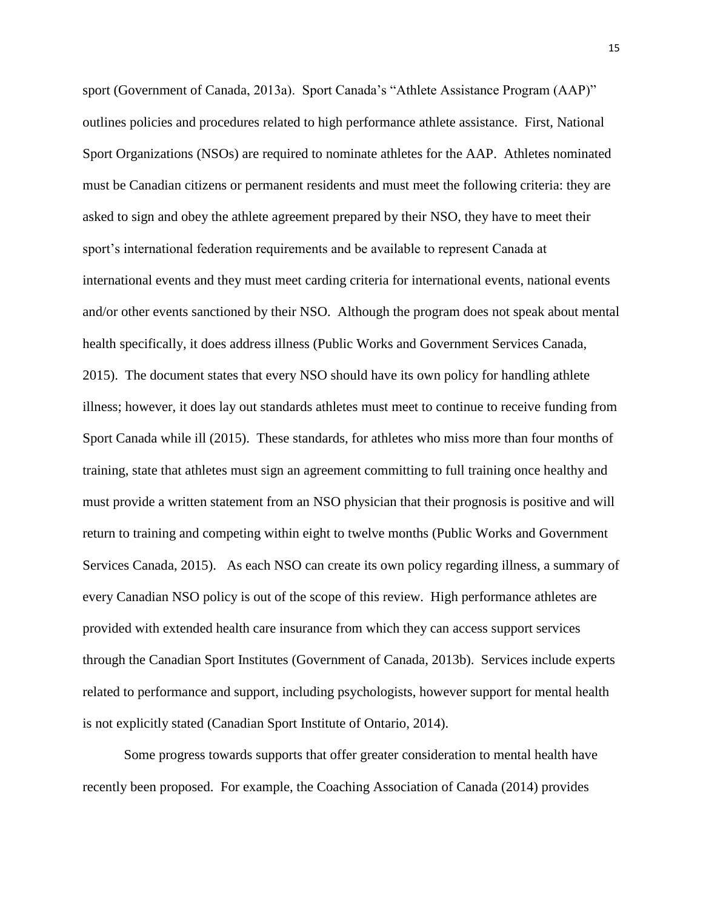sport (Government of Canada, 2013a). Sport Canada's "Athlete Assistance Program (AAP)" outlines policies and procedures related to high performance athlete assistance. First, National Sport Organizations (NSOs) are required to nominate athletes for the AAP. Athletes nominated must be Canadian citizens or permanent residents and must meet the following criteria: they are asked to sign and obey the athlete agreement prepared by their NSO, they have to meet their sport's international federation requirements and be available to represent Canada at international events and they must meet carding criteria for international events, national events and/or other events sanctioned by their NSO. Although the program does not speak about mental health specifically, it does address illness (Public Works and Government Services Canada, 2015). The document states that every NSO should have its own policy for handling athlete illness; however, it does lay out standards athletes must meet to continue to receive funding from Sport Canada while ill (2015). These standards, for athletes who miss more than four months of training, state that athletes must sign an agreement committing to full training once healthy and must provide a written statement from an NSO physician that their prognosis is positive and will return to training and competing within eight to twelve months (Public Works and Government Services Canada, 2015). As each NSO can create its own policy regarding illness, a summary of every Canadian NSO policy is out of the scope of this review. High performance athletes are provided with extended health care insurance from which they can access support services through the Canadian Sport Institutes (Government of Canada, 2013b). Services include experts related to performance and support, including psychologists, however support for mental health is not explicitly stated (Canadian Sport Institute of Ontario, 2014).

Some progress towards supports that offer greater consideration to mental health have recently been proposed. For example, the Coaching Association of Canada (2014) provides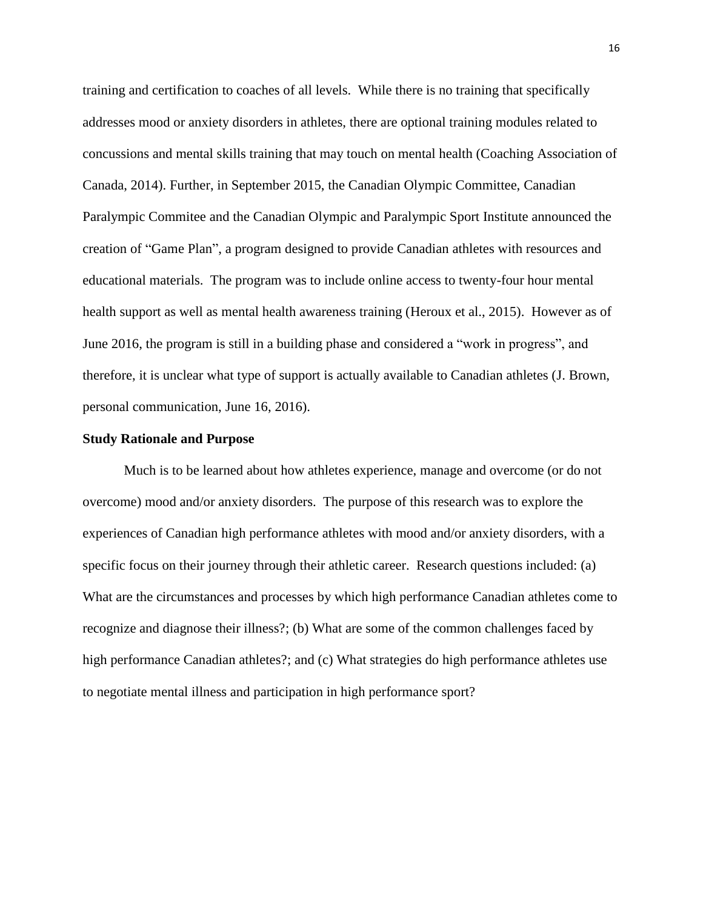training and certification to coaches of all levels. While there is no training that specifically addresses mood or anxiety disorders in athletes, there are optional training modules related to concussions and mental skills training that may touch on mental health (Coaching Association of Canada, 2014). Further, in September 2015, the Canadian Olympic Committee, Canadian Paralympic Commitee and the Canadian Olympic and Paralympic Sport Institute announced the creation of "Game Plan", a program designed to provide Canadian athletes with resources and educational materials. The program was to include online access to twenty-four hour mental health support as well as mental health awareness training (Heroux et al., 2015). However as of June 2016, the program is still in a building phase and considered a "work in progress", and therefore, it is unclear what type of support is actually available to Canadian athletes (J. Brown, personal communication, June 16, 2016).

## **Study Rationale and Purpose**

Much is to be learned about how athletes experience, manage and overcome (or do not overcome) mood and/or anxiety disorders. The purpose of this research was to explore the experiences of Canadian high performance athletes with mood and/or anxiety disorders, with a specific focus on their journey through their athletic career. Research questions included: (a) What are the circumstances and processes by which high performance Canadian athletes come to recognize and diagnose their illness?; (b) What are some of the common challenges faced by high performance Canadian athletes?; and (c) What strategies do high performance athletes use to negotiate mental illness and participation in high performance sport?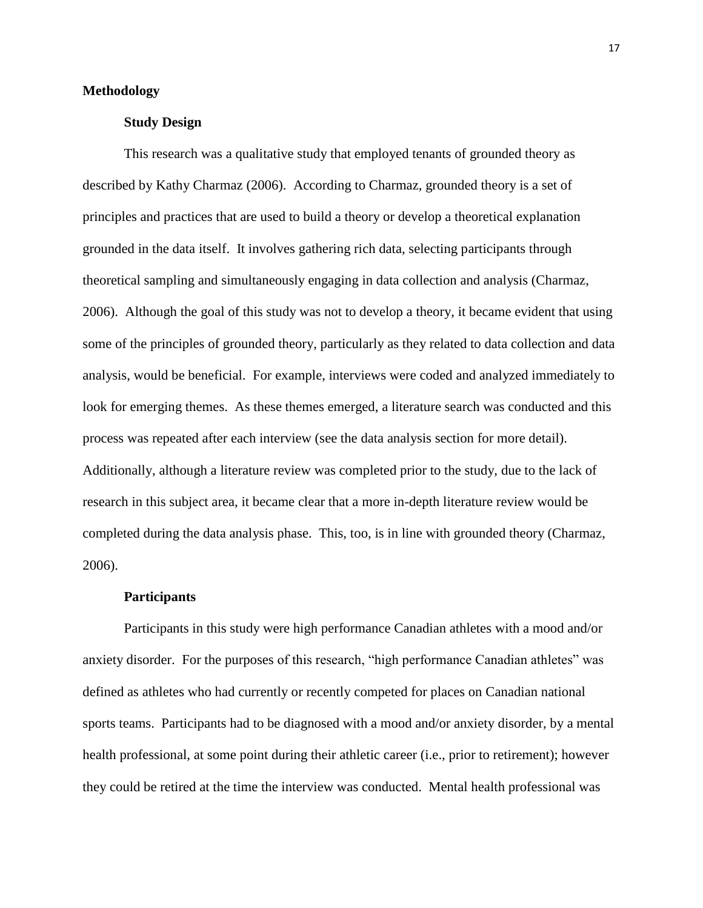# **Methodology**

# **Study Design**

This research was a qualitative study that employed tenants of grounded theory as described by Kathy Charmaz (2006). According to Charmaz, grounded theory is a set of principles and practices that are used to build a theory or develop a theoretical explanation grounded in the data itself. It involves gathering rich data, selecting participants through theoretical sampling and simultaneously engaging in data collection and analysis (Charmaz, 2006). Although the goal of this study was not to develop a theory, it became evident that using some of the principles of grounded theory, particularly as they related to data collection and data analysis, would be beneficial. For example, interviews were coded and analyzed immediately to look for emerging themes. As these themes emerged, a literature search was conducted and this process was repeated after each interview (see the data analysis section for more detail). Additionally, although a literature review was completed prior to the study, due to the lack of research in this subject area, it became clear that a more in-depth literature review would be completed during the data analysis phase. This, too, is in line with grounded theory (Charmaz, 2006).

#### **Participants**

Participants in this study were high performance Canadian athletes with a mood and/or anxiety disorder. For the purposes of this research, "high performance Canadian athletes" was defined as athletes who had currently or recently competed for places on Canadian national sports teams. Participants had to be diagnosed with a mood and/or anxiety disorder, by a mental health professional, at some point during their athletic career (i.e., prior to retirement); however they could be retired at the time the interview was conducted. Mental health professional was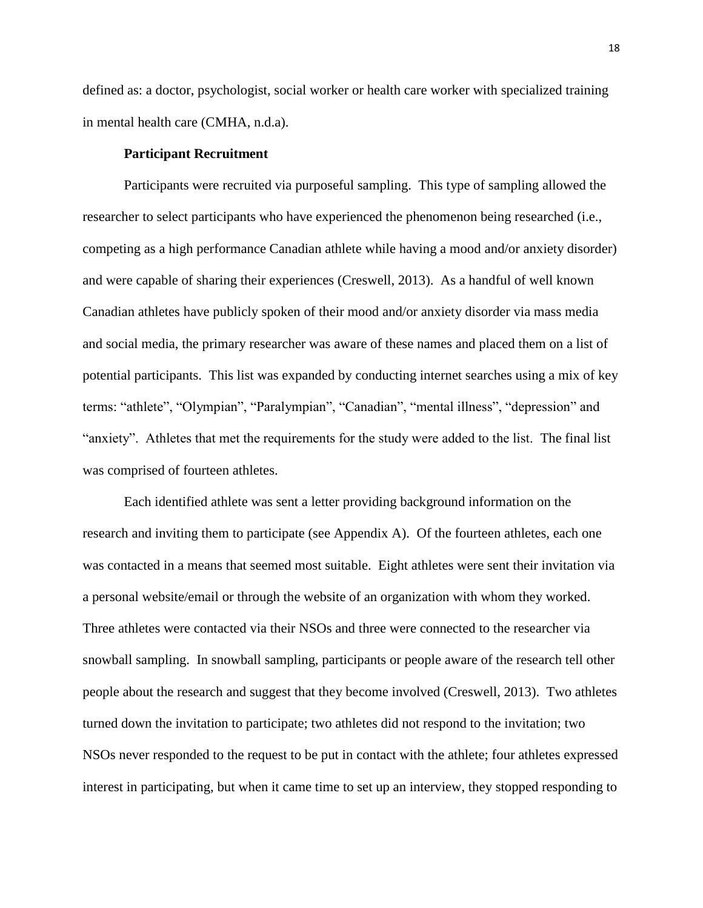defined as: a doctor, psychologist, social worker or health care worker with specialized training in mental health care (CMHA, n.d.a).

# **Participant Recruitment**

Participants were recruited via purposeful sampling. This type of sampling allowed the researcher to select participants who have experienced the phenomenon being researched (i.e., competing as a high performance Canadian athlete while having a mood and/or anxiety disorder) and were capable of sharing their experiences (Creswell, 2013). As a handful of well known Canadian athletes have publicly spoken of their mood and/or anxiety disorder via mass media and social media, the primary researcher was aware of these names and placed them on a list of potential participants. This list was expanded by conducting internet searches using a mix of key terms: "athlete", "Olympian", "Paralympian", "Canadian", "mental illness", "depression" and "anxiety". Athletes that met the requirements for the study were added to the list. The final list was comprised of fourteen athletes.

Each identified athlete was sent a letter providing background information on the research and inviting them to participate (see Appendix A). Of the fourteen athletes, each one was contacted in a means that seemed most suitable. Eight athletes were sent their invitation via a personal website/email or through the website of an organization with whom they worked. Three athletes were contacted via their NSOs and three were connected to the researcher via snowball sampling. In snowball sampling, participants or people aware of the research tell other people about the research and suggest that they become involved (Creswell, 2013). Two athletes turned down the invitation to participate; two athletes did not respond to the invitation; two NSOs never responded to the request to be put in contact with the athlete; four athletes expressed interest in participating, but when it came time to set up an interview, they stopped responding to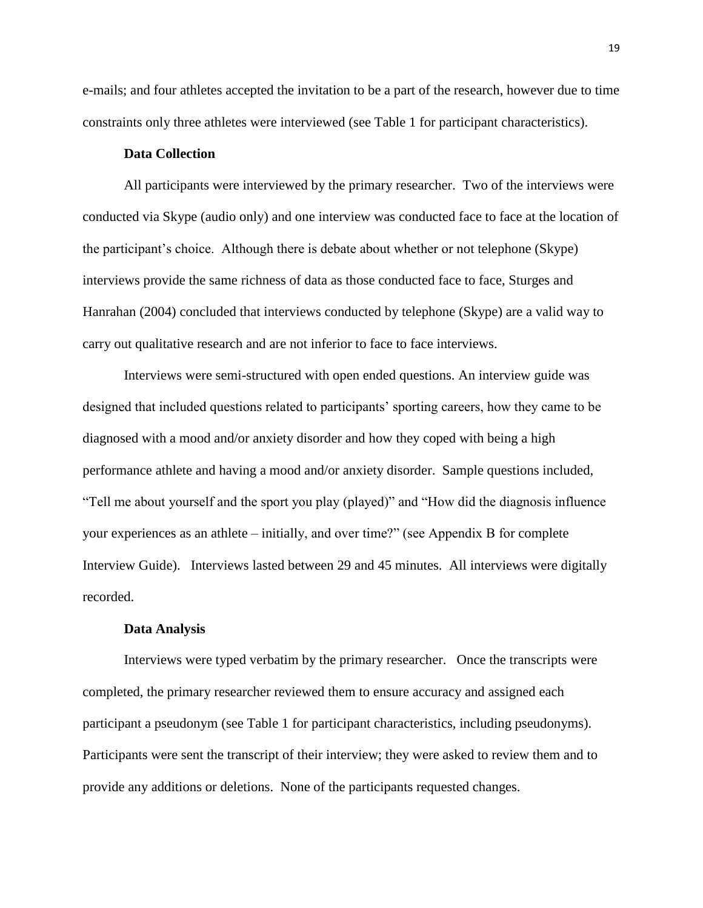e-mails; and four athletes accepted the invitation to be a part of the research, however due to time constraints only three athletes were interviewed (see Table 1 for participant characteristics).

# **Data Collection**

All participants were interviewed by the primary researcher. Two of the interviews were conducted via Skype (audio only) and one interview was conducted face to face at the location of the participant's choice. Although there is debate about whether or not telephone (Skype) interviews provide the same richness of data as those conducted face to face, Sturges and Hanrahan (2004) concluded that interviews conducted by telephone (Skype) are a valid way to carry out qualitative research and are not inferior to face to face interviews.

Interviews were semi-structured with open ended questions. An interview guide was designed that included questions related to participants' sporting careers, how they came to be diagnosed with a mood and/or anxiety disorder and how they coped with being a high performance athlete and having a mood and/or anxiety disorder. Sample questions included, "Tell me about yourself and the sport you play (played)" and "How did the diagnosis influence your experiences as an athlete – initially, and over time?" (see Appendix B for complete Interview Guide). Interviews lasted between 29 and 45 minutes. All interviews were digitally recorded.

#### **Data Analysis**

Interviews were typed verbatim by the primary researcher. Once the transcripts were completed, the primary researcher reviewed them to ensure accuracy and assigned each participant a pseudonym (see Table 1 for participant characteristics, including pseudonyms). Participants were sent the transcript of their interview; they were asked to review them and to provide any additions or deletions. None of the participants requested changes.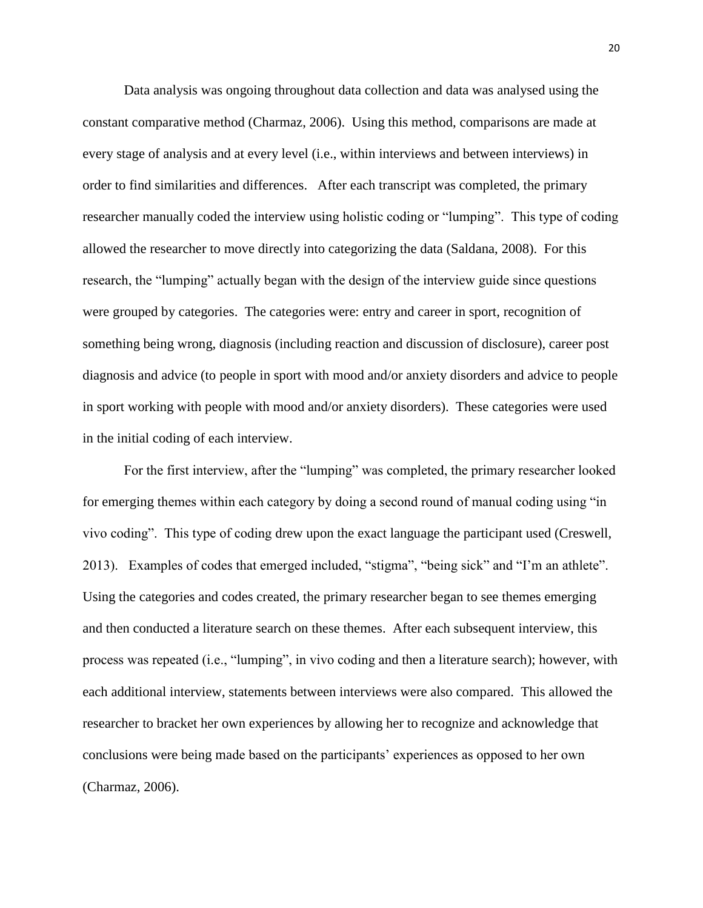Data analysis was ongoing throughout data collection and data was analysed using the constant comparative method (Charmaz, 2006). Using this method, comparisons are made at every stage of analysis and at every level (i.e., within interviews and between interviews) in order to find similarities and differences. After each transcript was completed, the primary researcher manually coded the interview using holistic coding or "lumping". This type of coding allowed the researcher to move directly into categorizing the data (Saldana, 2008). For this research, the "lumping" actually began with the design of the interview guide since questions were grouped by categories. The categories were: entry and career in sport, recognition of something being wrong, diagnosis (including reaction and discussion of disclosure), career post diagnosis and advice (to people in sport with mood and/or anxiety disorders and advice to people in sport working with people with mood and/or anxiety disorders). These categories were used in the initial coding of each interview.

For the first interview, after the "lumping" was completed, the primary researcher looked for emerging themes within each category by doing a second round of manual coding using "in vivo coding". This type of coding drew upon the exact language the participant used (Creswell, 2013). Examples of codes that emerged included, "stigma", "being sick" and "I'm an athlete". Using the categories and codes created, the primary researcher began to see themes emerging and then conducted a literature search on these themes. After each subsequent interview, this process was repeated (i.e., "lumping", in vivo coding and then a literature search); however, with each additional interview, statements between interviews were also compared. This allowed the researcher to bracket her own experiences by allowing her to recognize and acknowledge that conclusions were being made based on the participants' experiences as opposed to her own (Charmaz, 2006).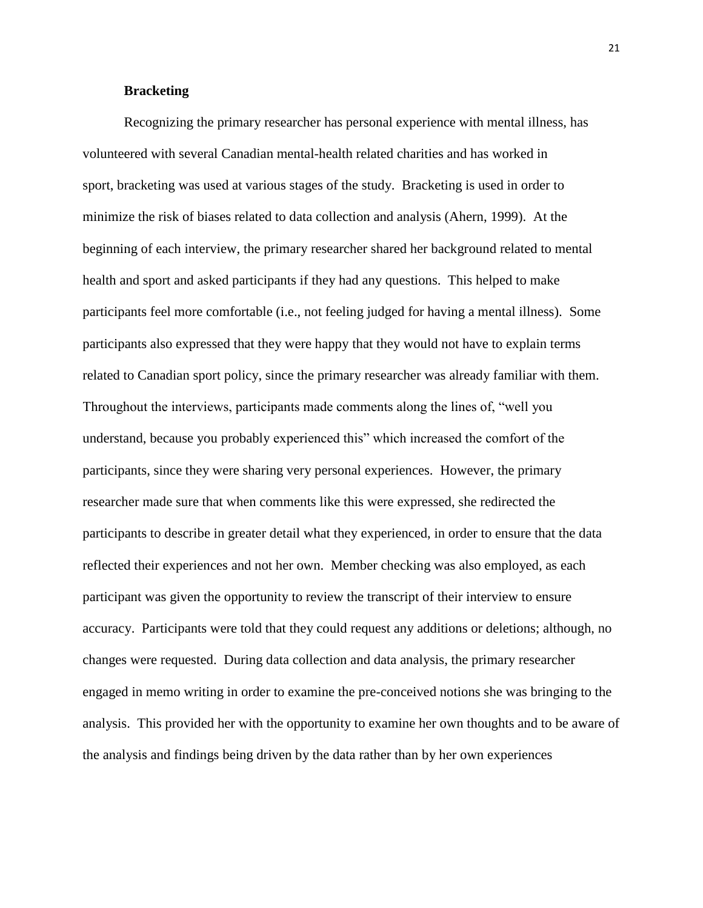# **Bracketing**

Recognizing the primary researcher has personal experience with mental illness, has volunteered with several Canadian mental-health related charities and has worked in sport, bracketing was used at various stages of the study. Bracketing is used in order to minimize the risk of biases related to data collection and analysis (Ahern, 1999). At the beginning of each interview, the primary researcher shared her background related to mental health and sport and asked participants if they had any questions. This helped to make participants feel more comfortable (i.e., not feeling judged for having a mental illness). Some participants also expressed that they were happy that they would not have to explain terms related to Canadian sport policy, since the primary researcher was already familiar with them. Throughout the interviews, participants made comments along the lines of, "well you understand, because you probably experienced this" which increased the comfort of the participants, since they were sharing very personal experiences. However, the primary researcher made sure that when comments like this were expressed, she redirected the participants to describe in greater detail what they experienced, in order to ensure that the data reflected their experiences and not her own. Member checking was also employed, as each participant was given the opportunity to review the transcript of their interview to ensure accuracy. Participants were told that they could request any additions or deletions; although, no changes were requested. During data collection and data analysis, the primary researcher engaged in memo writing in order to examine the pre-conceived notions she was bringing to the analysis. This provided her with the opportunity to examine her own thoughts and to be aware of the analysis and findings being driven by the data rather than by her own experiences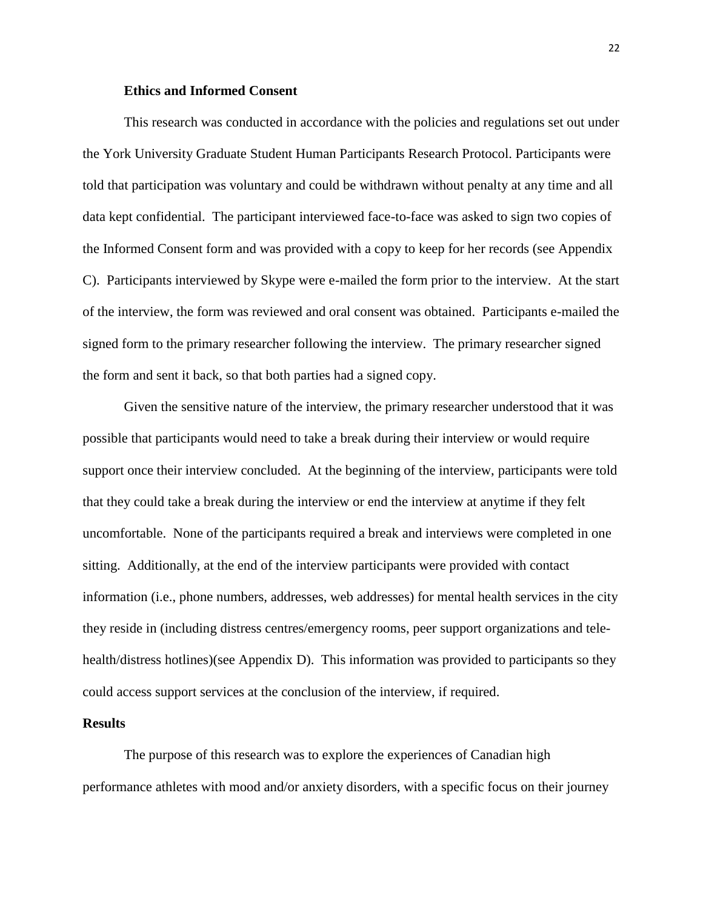# **Ethics and Informed Consent**

This research was conducted in accordance with the policies and regulations set out under the York University Graduate Student Human Participants Research Protocol. Participants were told that participation was voluntary and could be withdrawn without penalty at any time and all data kept confidential. The participant interviewed face-to-face was asked to sign two copies of the Informed Consent form and was provided with a copy to keep for her records (see Appendix C). Participants interviewed by Skype were e-mailed the form prior to the interview. At the start of the interview, the form was reviewed and oral consent was obtained. Participants e-mailed the signed form to the primary researcher following the interview. The primary researcher signed the form and sent it back, so that both parties had a signed copy.

Given the sensitive nature of the interview, the primary researcher understood that it was possible that participants would need to take a break during their interview or would require support once their interview concluded. At the beginning of the interview, participants were told that they could take a break during the interview or end the interview at anytime if they felt uncomfortable. None of the participants required a break and interviews were completed in one sitting. Additionally, at the end of the interview participants were provided with contact information (i.e., phone numbers, addresses, web addresses) for mental health services in the city they reside in (including distress centres/emergency rooms, peer support organizations and telehealth/distress hotlines)(see Appendix D). This information was provided to participants so they could access support services at the conclusion of the interview, if required.

## **Results**

The purpose of this research was to explore the experiences of Canadian high performance athletes with mood and/or anxiety disorders, with a specific focus on their journey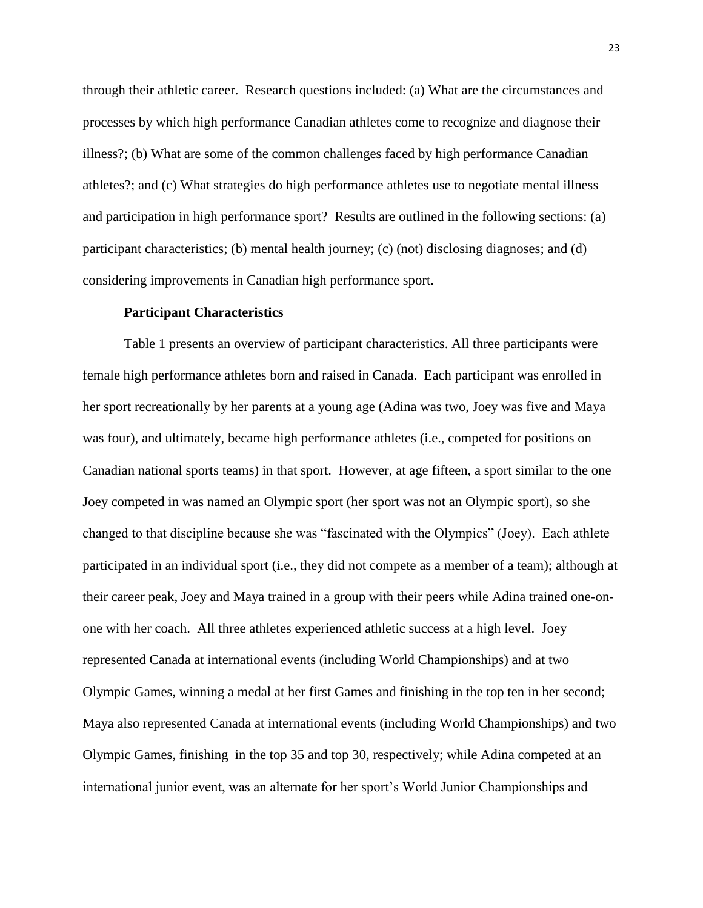through their athletic career. Research questions included: (a) What are the circumstances and processes by which high performance Canadian athletes come to recognize and diagnose their illness?; (b) What are some of the common challenges faced by high performance Canadian athletes?; and (c) What strategies do high performance athletes use to negotiate mental illness and participation in high performance sport? Results are outlined in the following sections: (a) participant characteristics; (b) mental health journey; (c) (not) disclosing diagnoses; and (d) considering improvements in Canadian high performance sport.

## **Participant Characteristics**

Table 1 presents an overview of participant characteristics. All three participants were female high performance athletes born and raised in Canada. Each participant was enrolled in her sport recreationally by her parents at a young age (Adina was two, Joey was five and Maya was four), and ultimately, became high performance athletes (i.e., competed for positions on Canadian national sports teams) in that sport. However, at age fifteen, a sport similar to the one Joey competed in was named an Olympic sport (her sport was not an Olympic sport), so she changed to that discipline because she was "fascinated with the Olympics" (Joey). Each athlete participated in an individual sport (i.e., they did not compete as a member of a team); although at their career peak, Joey and Maya trained in a group with their peers while Adina trained one-onone with her coach. All three athletes experienced athletic success at a high level. Joey represented Canada at international events (including World Championships) and at two Olympic Games, winning a medal at her first Games and finishing in the top ten in her second; Maya also represented Canada at international events (including World Championships) and two Olympic Games, finishing in the top 35 and top 30, respectively; while Adina competed at an international junior event, was an alternate for her sport's World Junior Championships and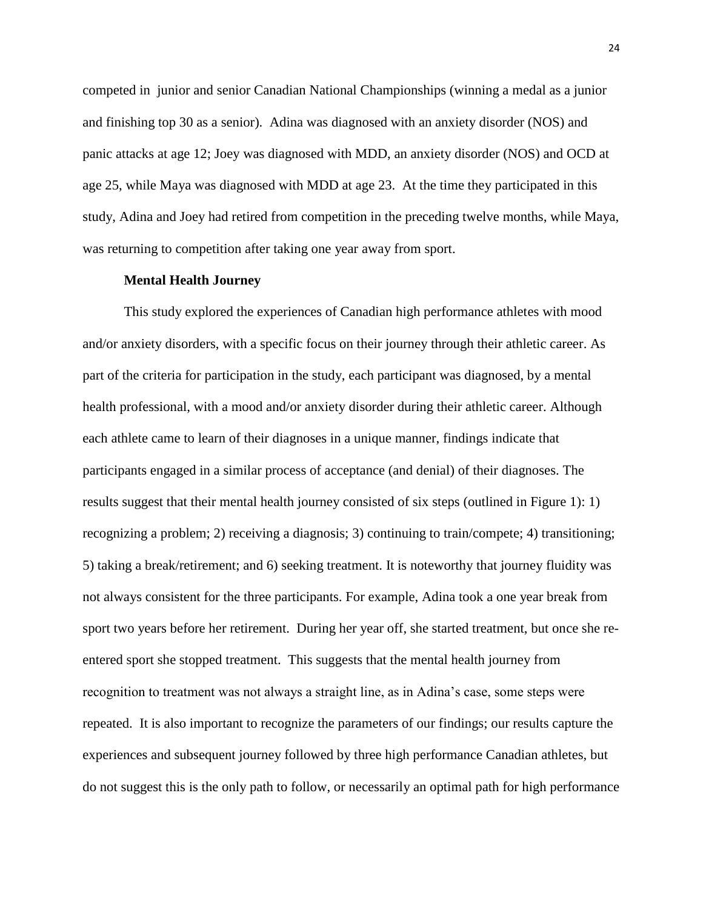competed in junior and senior Canadian National Championships (winning a medal as a junior and finishing top 30 as a senior). Adina was diagnosed with an anxiety disorder (NOS) and panic attacks at age 12; Joey was diagnosed with MDD, an anxiety disorder (NOS) and OCD at age 25, while Maya was diagnosed with MDD at age 23. At the time they participated in this study, Adina and Joey had retired from competition in the preceding twelve months, while Maya, was returning to competition after taking one year away from sport.

## **Mental Health Journey**

This study explored the experiences of Canadian high performance athletes with mood and/or anxiety disorders, with a specific focus on their journey through their athletic career. As part of the criteria for participation in the study, each participant was diagnosed, by a mental health professional, with a mood and/or anxiety disorder during their athletic career. Although each athlete came to learn of their diagnoses in a unique manner, findings indicate that participants engaged in a similar process of acceptance (and denial) of their diagnoses. The results suggest that their mental health journey consisted of six steps (outlined in Figure 1): 1) recognizing a problem; 2) receiving a diagnosis; 3) continuing to train/compete; 4) transitioning; 5) taking a break/retirement; and 6) seeking treatment. It is noteworthy that journey fluidity was not always consistent for the three participants. For example, Adina took a one year break from sport two years before her retirement. During her year off, she started treatment, but once she reentered sport she stopped treatment. This suggests that the mental health journey from recognition to treatment was not always a straight line, as in Adina's case, some steps were repeated.It is also important to recognize the parameters of our findings; our results capture the experiences and subsequent journey followed by three high performance Canadian athletes, but do not suggest this is the only path to follow, or necessarily an optimal path for high performance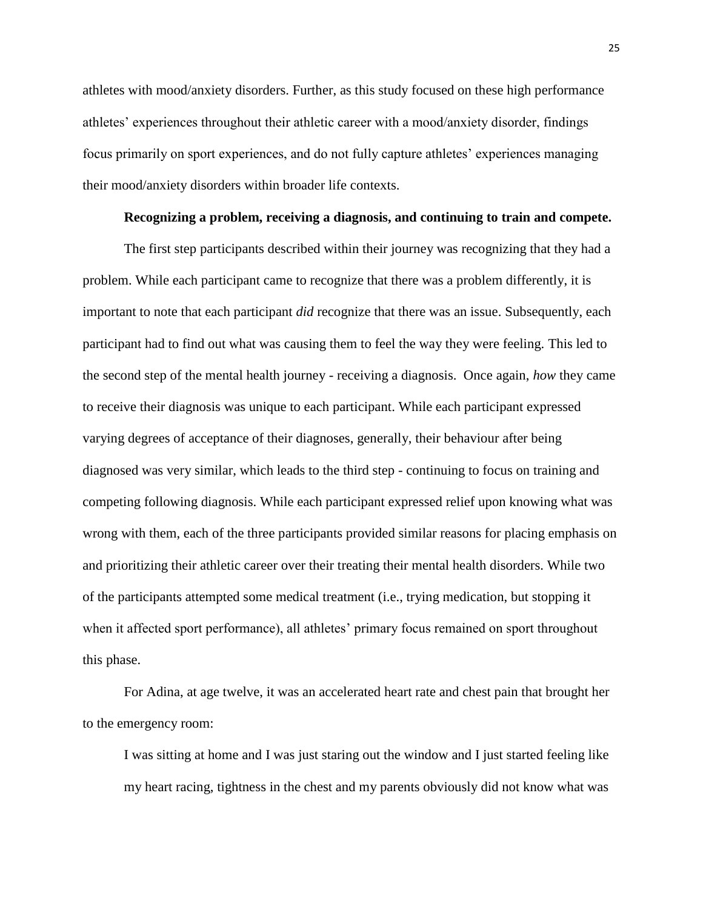athletes with mood/anxiety disorders. Further, as this study focused on these high performance athletes' experiences throughout their athletic career with a mood/anxiety disorder, findings focus primarily on sport experiences, and do not fully capture athletes' experiences managing their mood/anxiety disorders within broader life contexts.

# **Recognizing a problem, receiving a diagnosis, and continuing to train and compete.**

The first step participants described within their journey was recognizing that they had a problem. While each participant came to recognize that there was a problem differently, it is important to note that each participant *did* recognize that there was an issue. Subsequently, each participant had to find out what was causing them to feel the way they were feeling. This led to the second step of the mental health journey - receiving a diagnosis. Once again, *how* they came to receive their diagnosis was unique to each participant. While each participant expressed varying degrees of acceptance of their diagnoses, generally, their behaviour after being diagnosed was very similar, which leads to the third step - continuing to focus on training and competing following diagnosis. While each participant expressed relief upon knowing what was wrong with them, each of the three participants provided similar reasons for placing emphasis on and prioritizing their athletic career over their treating their mental health disorders. While two of the participants attempted some medical treatment (i.e., trying medication, but stopping it when it affected sport performance), all athletes' primary focus remained on sport throughout this phase.

For Adina, at age twelve, it was an accelerated heart rate and chest pain that brought her to the emergency room:

I was sitting at home and I was just staring out the window and I just started feeling like my heart racing, tightness in the chest and my parents obviously did not know what was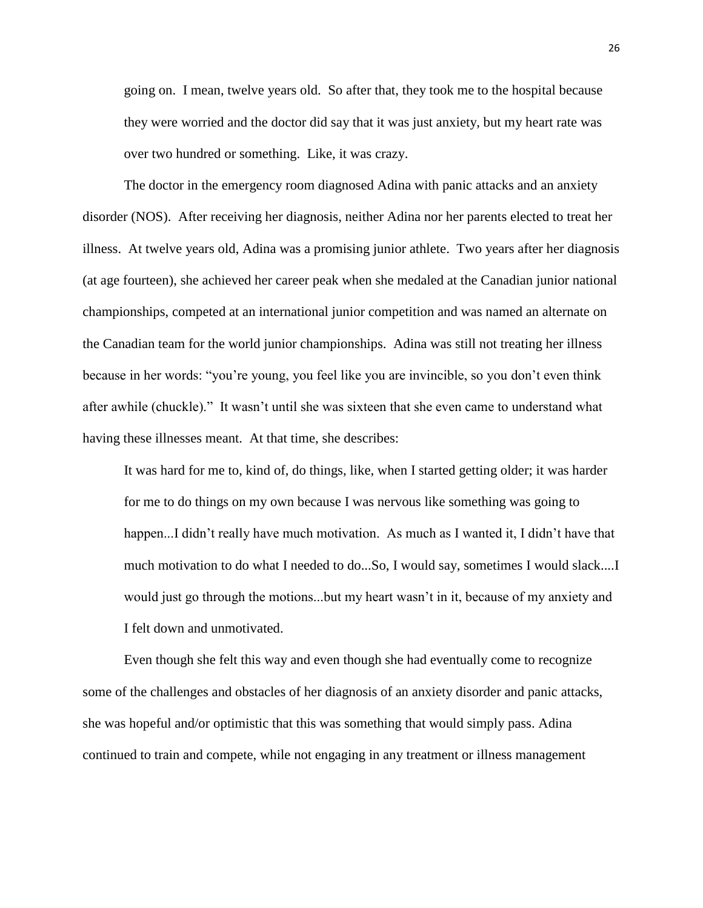going on. I mean, twelve years old. So after that, they took me to the hospital because they were worried and the doctor did say that it was just anxiety, but my heart rate was over two hundred or something. Like, it was crazy.

The doctor in the emergency room diagnosed Adina with panic attacks and an anxiety disorder (NOS). After receiving her diagnosis, neither Adina nor her parents elected to treat her illness. At twelve years old, Adina was a promising junior athlete. Two years after her diagnosis (at age fourteen), she achieved her career peak when she medaled at the Canadian junior national championships, competed at an international junior competition and was named an alternate on the Canadian team for the world junior championships. Adina was still not treating her illness because in her words: "you're young, you feel like you are invincible, so you don't even think after awhile (chuckle)." It wasn't until she was sixteen that she even came to understand what having these illnesses meant. At that time, she describes:

It was hard for me to, kind of, do things, like, when I started getting older; it was harder for me to do things on my own because I was nervous like something was going to happen...I didn't really have much motivation. As much as I wanted it, I didn't have that much motivation to do what I needed to do...So, I would say, sometimes I would slack....I would just go through the motions...but my heart wasn't in it, because of my anxiety and I felt down and unmotivated.

Even though she felt this way and even though she had eventually come to recognize some of the challenges and obstacles of her diagnosis of an anxiety disorder and panic attacks, she was hopeful and/or optimistic that this was something that would simply pass. Adina continued to train and compete, while not engaging in any treatment or illness management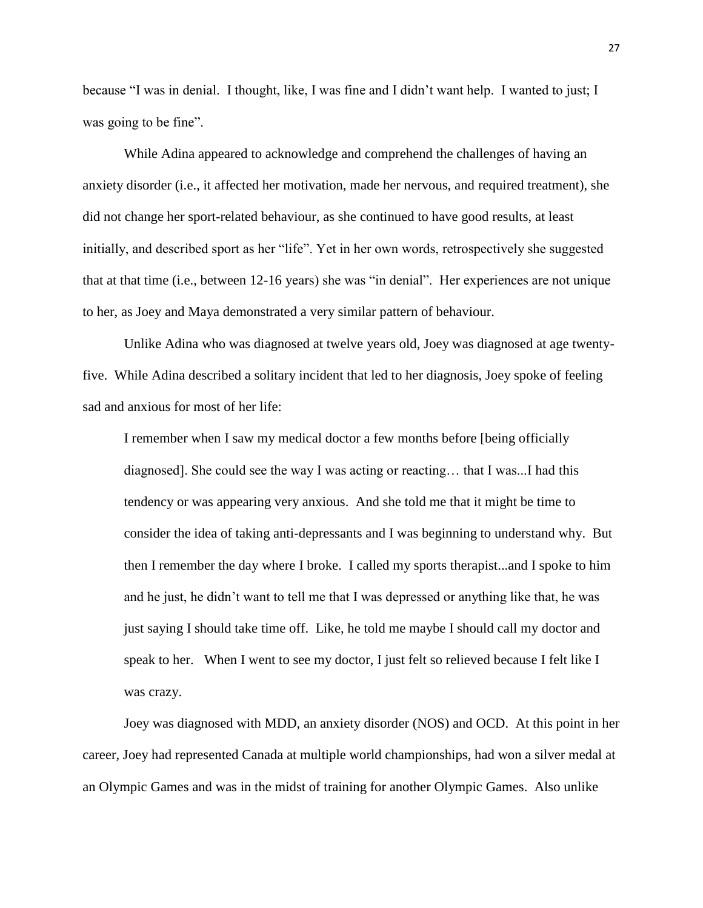because "I was in denial. I thought, like, I was fine and I didn't want help. I wanted to just; I was going to be fine".

While Adina appeared to acknowledge and comprehend the challenges of having an anxiety disorder (i.e., it affected her motivation, made her nervous, and required treatment), she did not change her sport-related behaviour, as she continued to have good results, at least initially, and described sport as her "life". Yet in her own words, retrospectively she suggested that at that time (i.e., between 12-16 years) she was "in denial". Her experiences are not unique to her, as Joey and Maya demonstrated a very similar pattern of behaviour.

Unlike Adina who was diagnosed at twelve years old, Joey was diagnosed at age twentyfive. While Adina described a solitary incident that led to her diagnosis, Joey spoke of feeling sad and anxious for most of her life:

I remember when I saw my medical doctor a few months before [being officially diagnosed]. She could see the way I was acting or reacting… that I was...I had this tendency or was appearing very anxious. And she told me that it might be time to consider the idea of taking anti-depressants and I was beginning to understand why. But then I remember the day where I broke. I called my sports therapist...and I spoke to him and he just, he didn't want to tell me that I was depressed or anything like that, he was just saying I should take time off. Like, he told me maybe I should call my doctor and speak to her. When I went to see my doctor, I just felt so relieved because I felt like I was crazy.

Joey was diagnosed with MDD, an anxiety disorder (NOS) and OCD. At this point in her career, Joey had represented Canada at multiple world championships, had won a silver medal at an Olympic Games and was in the midst of training for another Olympic Games. Also unlike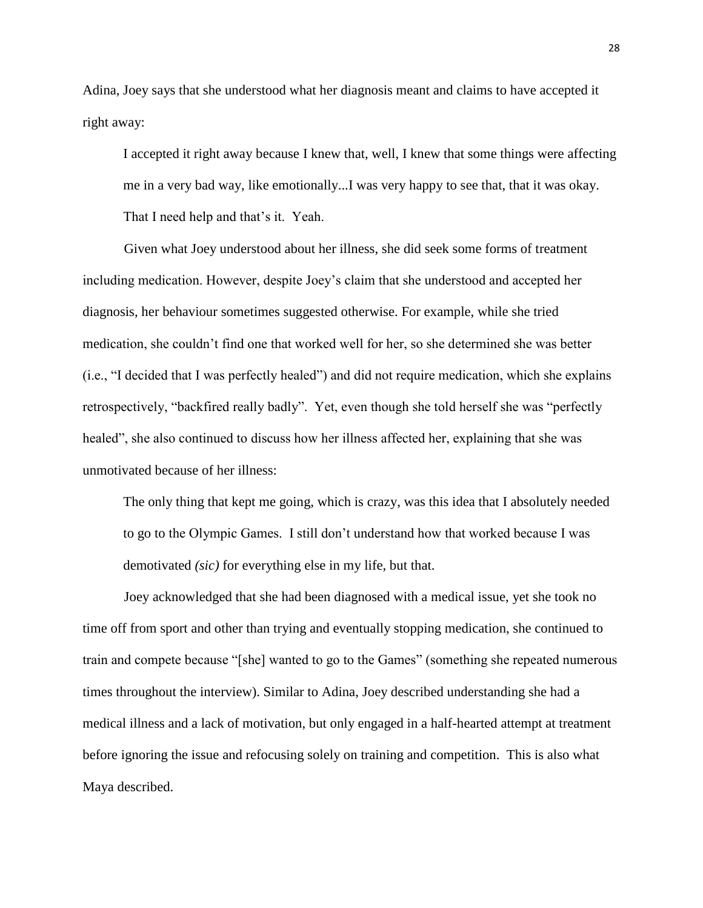Adina, Joey says that she understood what her diagnosis meant and claims to have accepted it right away:

I accepted it right away because I knew that, well, I knew that some things were affecting me in a very bad way, like emotionally...I was very happy to see that, that it was okay. That I need help and that's it. Yeah.

Given what Joey understood about her illness, she did seek some forms of treatment including medication. However, despite Joey's claim that she understood and accepted her diagnosis, her behaviour sometimes suggested otherwise. For example, while she tried medication, she couldn't find one that worked well for her, so she determined she was better (i.e., "I decided that I was perfectly healed") and did not require medication, which she explains retrospectively, "backfired really badly". Yet, even though she told herself she was "perfectly healed", she also continued to discuss how her illness affected her, explaining that she was unmotivated because of her illness:

The only thing that kept me going, which is crazy, was this idea that I absolutely needed to go to the Olympic Games. I still don't understand how that worked because I was demotivated *(sic)* for everything else in my life, but that.

Joey acknowledged that she had been diagnosed with a medical issue, yet she took no time off from sport and other than trying and eventually stopping medication, she continued to train and compete because "[she] wanted to go to the Games" (something she repeated numerous times throughout the interview). Similar to Adina, Joey described understanding she had a medical illness and a lack of motivation, but only engaged in a half-hearted attempt at treatment before ignoring the issue and refocusing solely on training and competition. This is also what Maya described.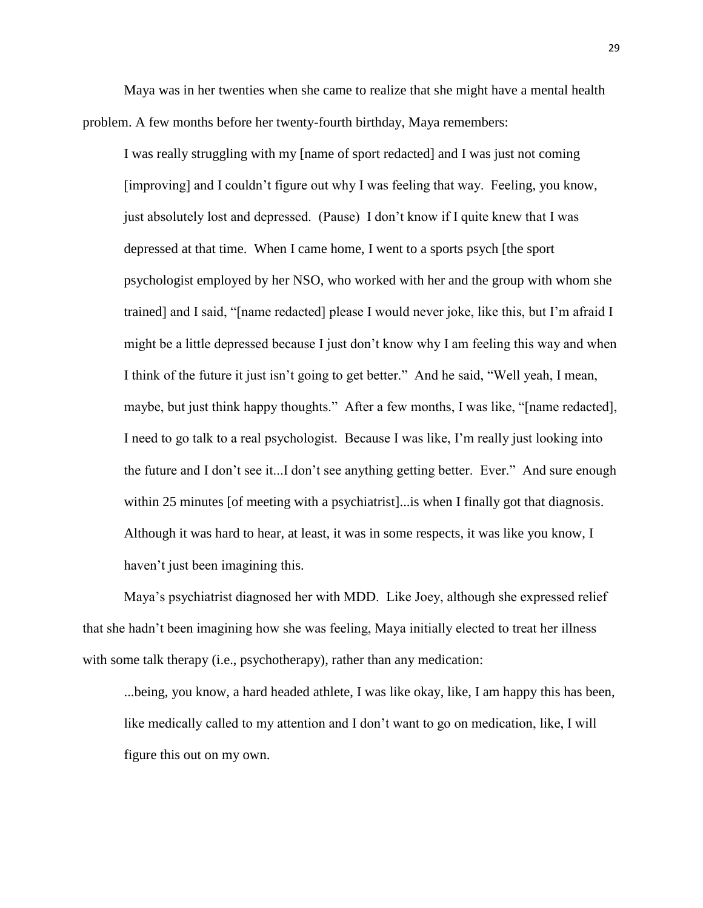Maya was in her twenties when she came to realize that she might have a mental health problem. A few months before her twenty-fourth birthday, Maya remembers:

I was really struggling with my [name of sport redacted] and I was just not coming [improving] and I couldn't figure out why I was feeling that way. Feeling, you know, just absolutely lost and depressed. (Pause) I don't know if I quite knew that I was depressed at that time. When I came home, I went to a sports psych [the sport psychologist employed by her NSO, who worked with her and the group with whom she trained] and I said, "[name redacted] please I would never joke, like this, but I'm afraid I might be a little depressed because I just don't know why I am feeling this way and when I think of the future it just isn't going to get better." And he said, "Well yeah, I mean, maybe, but just think happy thoughts." After a few months, I was like, "[name redacted], I need to go talk to a real psychologist. Because I was like, I'm really just looking into the future and I don't see it...I don't see anything getting better. Ever." And sure enough within 25 minutes [of meeting with a psychiatrist]... is when I finally got that diagnosis. Although it was hard to hear, at least, it was in some respects, it was like you know, I haven't just been imagining this.

Maya's psychiatrist diagnosed her with MDD. Like Joey, although she expressed relief that she hadn't been imagining how she was feeling, Maya initially elected to treat her illness with some talk therapy (i.e., psychotherapy), rather than any medication:

...being, you know, a hard headed athlete, I was like okay, like, I am happy this has been, like medically called to my attention and I don't want to go on medication, like, I will figure this out on my own.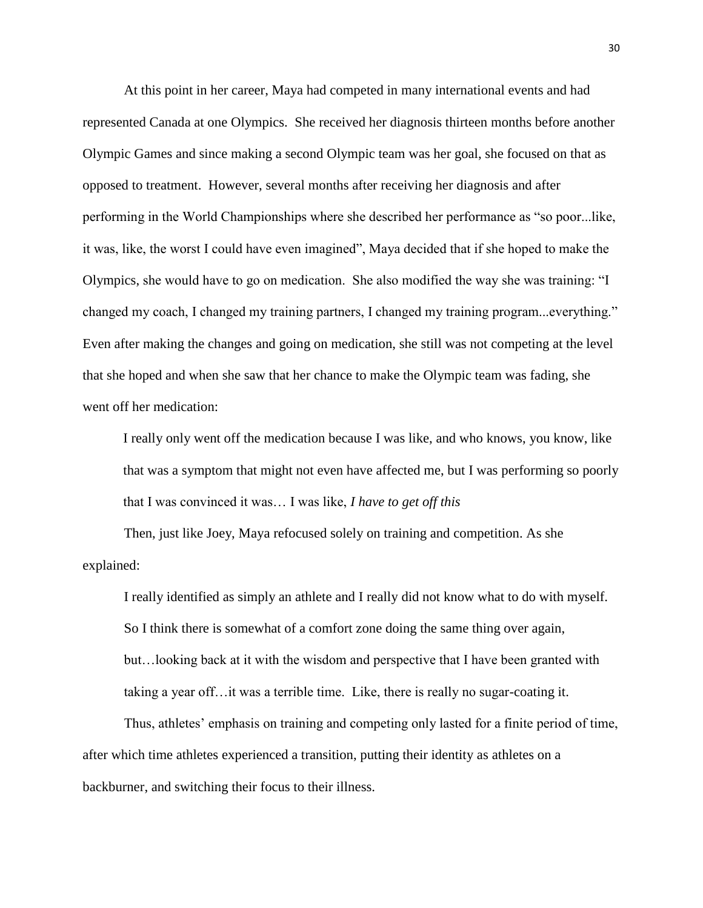At this point in her career, Maya had competed in many international events and had represented Canada at one Olympics. She received her diagnosis thirteen months before another Olympic Games and since making a second Olympic team was her goal, she focused on that as opposed to treatment. However, several months after receiving her diagnosis and after performing in the World Championships where she described her performance as "so poor...like, it was, like, the worst I could have even imagined", Maya decided that if she hoped to make the Olympics, she would have to go on medication. She also modified the way she was training: "I changed my coach, I changed my training partners, I changed my training program...everything." Even after making the changes and going on medication, she still was not competing at the level that she hoped and when she saw that her chance to make the Olympic team was fading, she went off her medication:

I really only went off the medication because I was like, and who knows, you know, like that was a symptom that might not even have affected me, but I was performing so poorly that I was convinced it was… I was like, *I have to get off this*

Then, just like Joey, Maya refocused solely on training and competition. As she explained:

I really identified as simply an athlete and I really did not know what to do with myself. So I think there is somewhat of a comfort zone doing the same thing over again, but…looking back at it with the wisdom and perspective that I have been granted with taking a year off…it was a terrible time. Like, there is really no sugar-coating it.

Thus, athletes' emphasis on training and competing only lasted for a finite period of time, after which time athletes experienced a transition, putting their identity as athletes on a backburner, and switching their focus to their illness.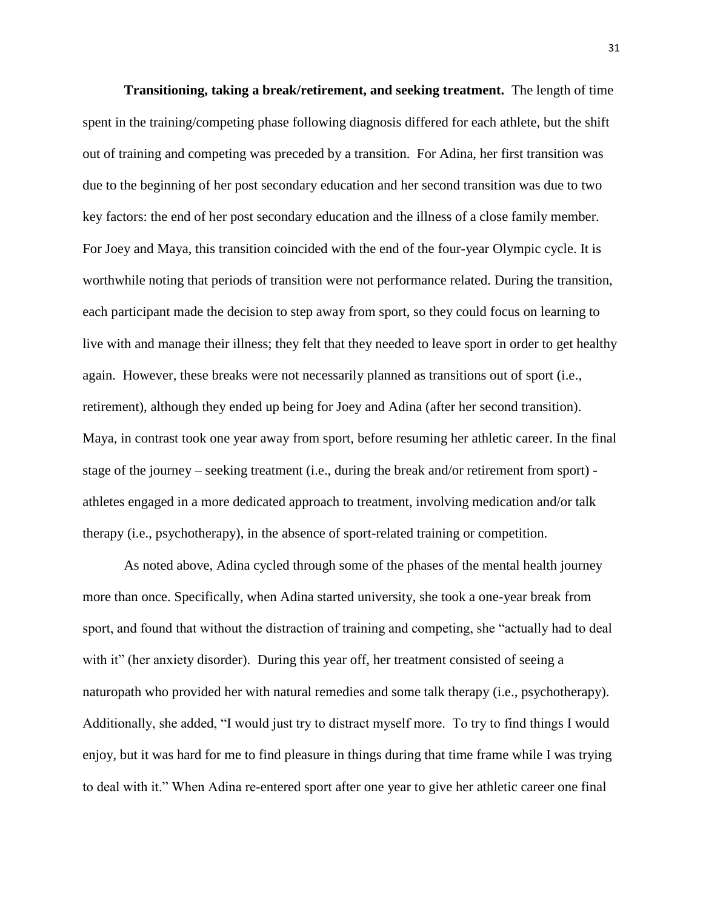**Transitioning, taking a break/retirement, and seeking treatment.**The length of time spent in the training/competing phase following diagnosis differed for each athlete, but the shift out of training and competing was preceded by a transition. For Adina, her first transition was due to the beginning of her post secondary education and her second transition was due to two key factors: the end of her post secondary education and the illness of a close family member. For Joey and Maya, this transition coincided with the end of the four-year Olympic cycle. It is worthwhile noting that periods of transition were not performance related. During the transition, each participant made the decision to step away from sport, so they could focus on learning to live with and manage their illness; they felt that they needed to leave sport in order to get healthy again. However, these breaks were not necessarily planned as transitions out of sport (i.e., retirement), although they ended up being for Joey and Adina (after her second transition). Maya, in contrast took one year away from sport, before resuming her athletic career. In the final stage of the journey – seeking treatment (i.e., during the break and/or retirement from sport) athletes engaged in a more dedicated approach to treatment, involving medication and/or talk therapy (i.e., psychotherapy), in the absence of sport-related training or competition.

As noted above, Adina cycled through some of the phases of the mental health journey more than once. Specifically, when Adina started university, she took a one-year break from sport, and found that without the distraction of training and competing, she "actually had to deal with it" (her anxiety disorder). During this year off, her treatment consisted of seeing a naturopath who provided her with natural remedies and some talk therapy (i.e., psychotherapy). Additionally, she added, "I would just try to distract myself more. To try to find things I would enjoy, but it was hard for me to find pleasure in things during that time frame while I was trying to deal with it." When Adina re-entered sport after one year to give her athletic career one final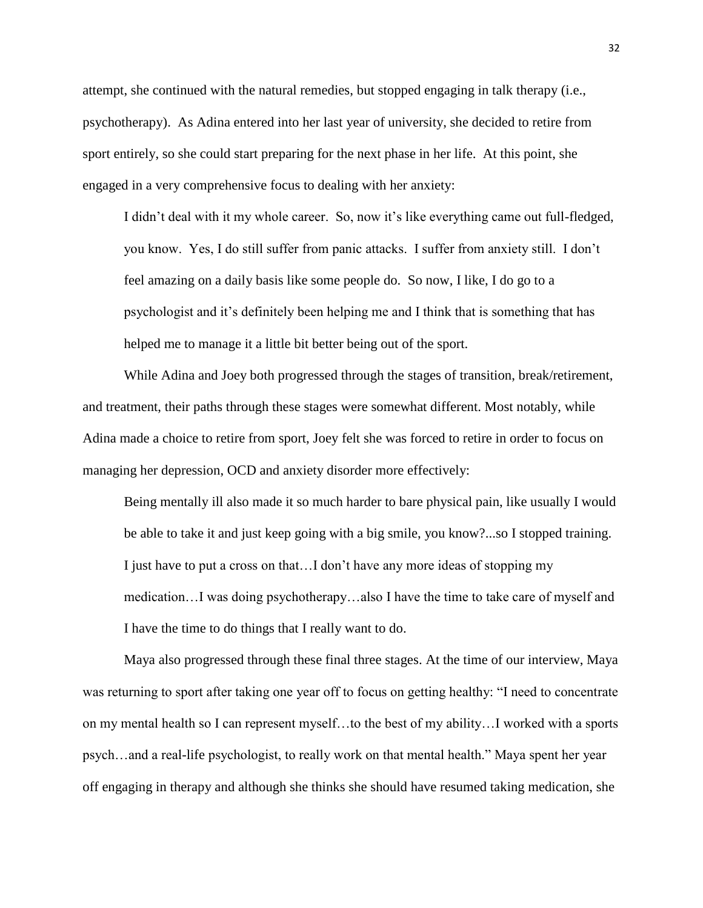attempt, she continued with the natural remedies, but stopped engaging in talk therapy (i.e., psychotherapy). As Adina entered into her last year of university, she decided to retire from sport entirely, so she could start preparing for the next phase in her life. At this point, she engaged in a very comprehensive focus to dealing with her anxiety:

I didn't deal with it my whole career. So, now it's like everything came out full-fledged, you know. Yes, I do still suffer from panic attacks. I suffer from anxiety still. I don't feel amazing on a daily basis like some people do. So now, I like, I do go to a psychologist and it's definitely been helping me and I think that is something that has helped me to manage it a little bit better being out of the sport.

While Adina and Joey both progressed through the stages of transition, break/retirement, and treatment, their paths through these stages were somewhat different. Most notably, while Adina made a choice to retire from sport, Joey felt she was forced to retire in order to focus on managing her depression, OCD and anxiety disorder more effectively:

Being mentally ill also made it so much harder to bare physical pain, like usually I would be able to take it and just keep going with a big smile, you know?...so I stopped training. I just have to put a cross on that…I don't have any more ideas of stopping my medication…I was doing psychotherapy…also I have the time to take care of myself and I have the time to do things that I really want to do.

Maya also progressed through these final three stages. At the time of our interview, Maya was returning to sport after taking one year off to focus on getting healthy: "I need to concentrate on my mental health so I can represent myself…to the best of my ability…I worked with a sports psych…and a real-life psychologist, to really work on that mental health." Maya spent her year off engaging in therapy and although she thinks she should have resumed taking medication, she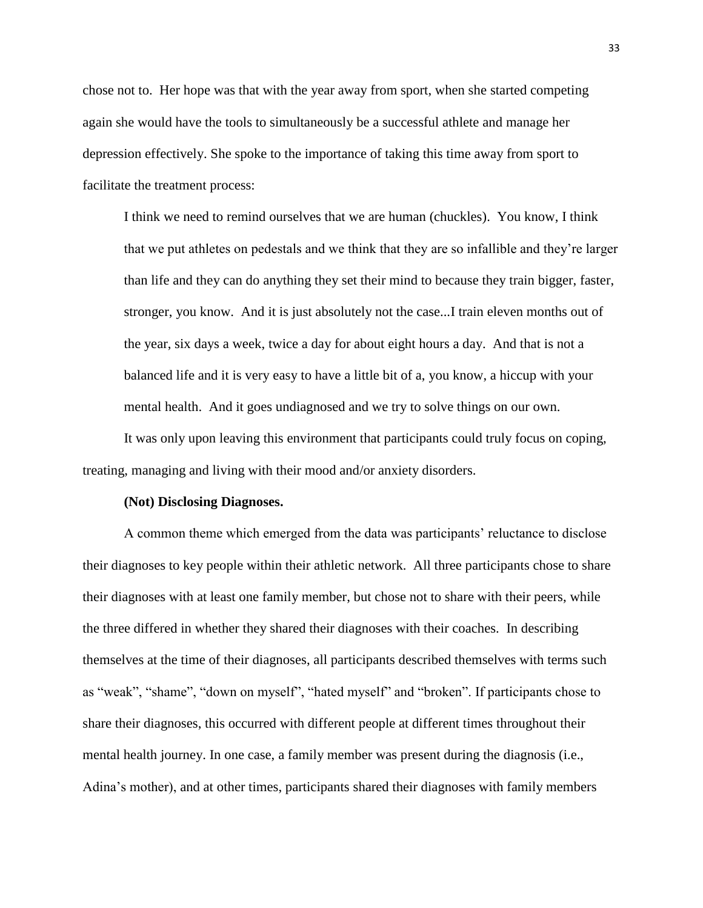chose not to. Her hope was that with the year away from sport, when she started competing again she would have the tools to simultaneously be a successful athlete and manage her depression effectively. She spoke to the importance of taking this time away from sport to facilitate the treatment process:

I think we need to remind ourselves that we are human (chuckles). You know, I think that we put athletes on pedestals and we think that they are so infallible and they're larger than life and they can do anything they set their mind to because they train bigger, faster, stronger, you know. And it is just absolutely not the case...I train eleven months out of the year, six days a week, twice a day for about eight hours a day. And that is not a balanced life and it is very easy to have a little bit of a, you know, a hiccup with your mental health. And it goes undiagnosed and we try to solve things on our own.

It was only upon leaving this environment that participants could truly focus on coping, treating, managing and living with their mood and/or anxiety disorders.

#### **(Not) Disclosing Diagnoses.**

A common theme which emerged from the data was participants' reluctance to disclose their diagnoses to key people within their athletic network. All three participants chose to share their diagnoses with at least one family member, but chose not to share with their peers, while the three differed in whether they shared their diagnoses with their coaches. In describing themselves at the time of their diagnoses, all participants described themselves with terms such as "weak", "shame", "down on myself", "hated myself" and "broken". If participants chose to share their diagnoses, this occurred with different people at different times throughout their mental health journey. In one case, a family member was present during the diagnosis (i.e., Adina's mother), and at other times, participants shared their diagnoses with family members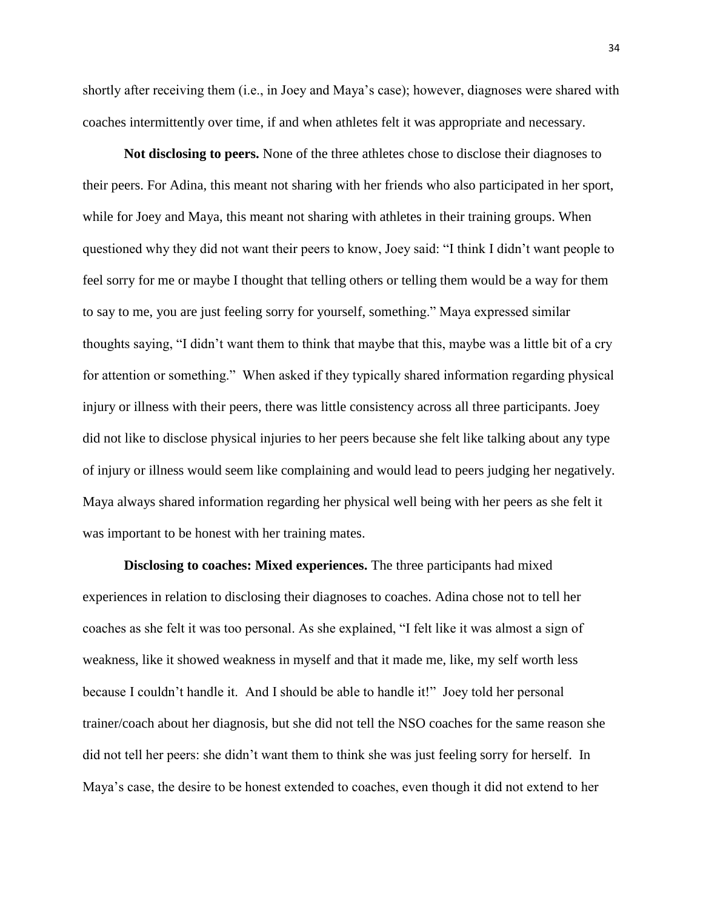shortly after receiving them (i.e., in Joey and Maya's case); however, diagnoses were shared with coaches intermittently over time, if and when athletes felt it was appropriate and necessary.

**Not disclosing to peers.** None of the three athletes chose to disclose their diagnoses to their peers. For Adina, this meant not sharing with her friends who also participated in her sport, while for Joey and Maya, this meant not sharing with athletes in their training groups. When questioned why they did not want their peers to know, Joey said: "I think I didn't want people to feel sorry for me or maybe I thought that telling others or telling them would be a way for them to say to me, you are just feeling sorry for yourself, something." Maya expressed similar thoughts saying, "I didn't want them to think that maybe that this, maybe was a little bit of a cry for attention or something." When asked if they typically shared information regarding physical injury or illness with their peers, there was little consistency across all three participants. Joey did not like to disclose physical injuries to her peers because she felt like talking about any type of injury or illness would seem like complaining and would lead to peers judging her negatively. Maya always shared information regarding her physical well being with her peers as she felt it was important to be honest with her training mates.

**Disclosing to coaches: Mixed experiences.** The three participants had mixed experiences in relation to disclosing their diagnoses to coaches. Adina chose not to tell her coaches as she felt it was too personal. As she explained, "I felt like it was almost a sign of weakness, like it showed weakness in myself and that it made me, like, my self worth less because I couldn't handle it. And I should be able to handle it!" Joey told her personal trainer/coach about her diagnosis, but she did not tell the NSO coaches for the same reason she did not tell her peers: she didn't want them to think she was just feeling sorry for herself. In Maya's case, the desire to be honest extended to coaches, even though it did not extend to her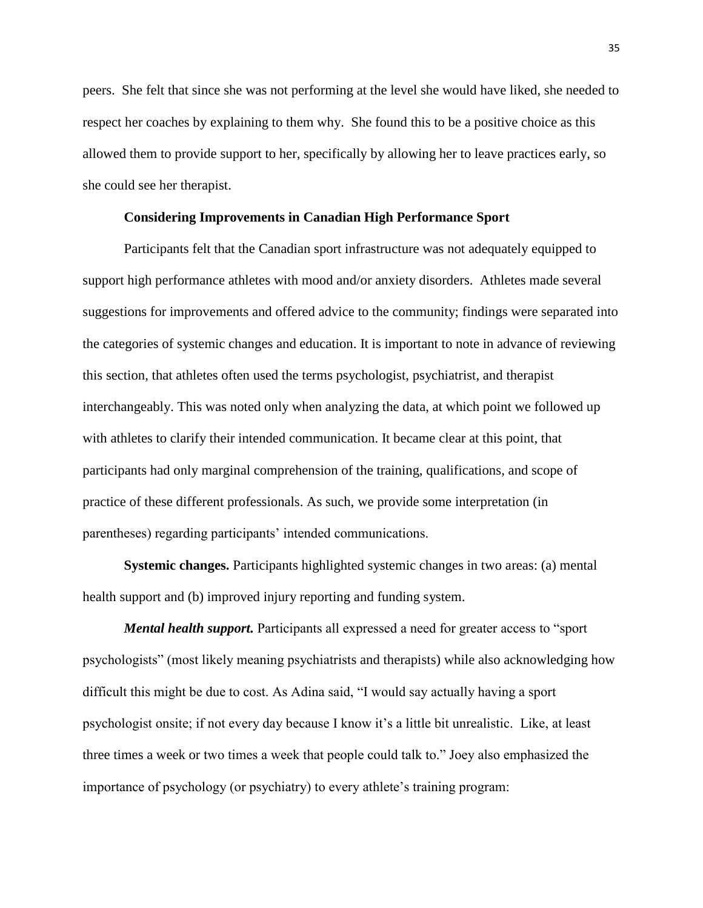peers. She felt that since she was not performing at the level she would have liked, she needed to respect her coaches by explaining to them why. She found this to be a positive choice as this allowed them to provide support to her, specifically by allowing her to leave practices early, so she could see her therapist.

## **Considering Improvements in Canadian High Performance Sport**

Participants felt that the Canadian sport infrastructure was not adequately equipped to support high performance athletes with mood and/or anxiety disorders. Athletes made several suggestions for improvements and offered advice to the community; findings were separated into the categories of systemic changes and education. It is important to note in advance of reviewing this section, that athletes often used the terms psychologist, psychiatrist, and therapist interchangeably. This was noted only when analyzing the data, at which point we followed up with athletes to clarify their intended communication. It became clear at this point, that participants had only marginal comprehension of the training, qualifications, and scope of practice of these different professionals. As such, we provide some interpretation (in parentheses) regarding participants' intended communications.

**Systemic changes.** Participants highlighted systemic changes in two areas: (a) mental health support and (b) improved injury reporting and funding system.

*Mental health support.* Participants all expressed a need for greater access to "sport" psychologists" (most likely meaning psychiatrists and therapists) while also acknowledging how difficult this might be due to cost. As Adina said, "I would say actually having a sport psychologist onsite; if not every day because I know it's a little bit unrealistic. Like, at least three times a week or two times a week that people could talk to." Joey also emphasized the importance of psychology (or psychiatry) to every athlete's training program: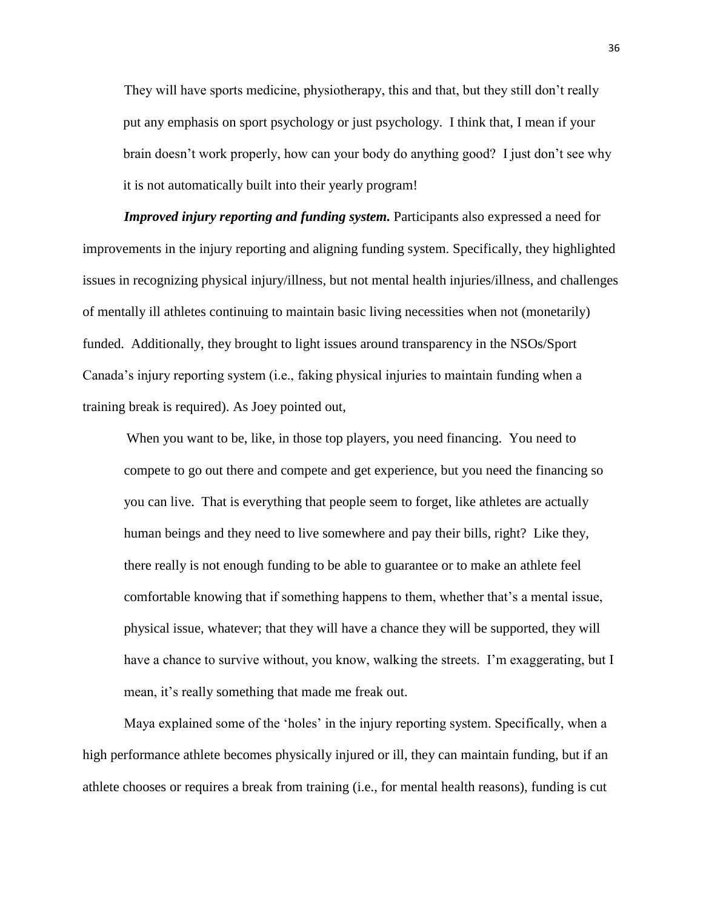They will have sports medicine, physiotherapy, this and that, but they still don't really put any emphasis on sport psychology or just psychology. I think that, I mean if your brain doesn't work properly, how can your body do anything good? I just don't see why it is not automatically built into their yearly program!

*Improved injury reporting and funding system.* Participants also expressed a need for improvements in the injury reporting and aligning funding system. Specifically, they highlighted issues in recognizing physical injury/illness, but not mental health injuries/illness, and challenges of mentally ill athletes continuing to maintain basic living necessities when not (monetarily) funded. Additionally, they brought to light issues around transparency in the NSOs/Sport Canada's injury reporting system (i.e., faking physical injuries to maintain funding when a training break is required). As Joey pointed out,

When you want to be, like, in those top players, you need financing. You need to compete to go out there and compete and get experience, but you need the financing so you can live. That is everything that people seem to forget, like athletes are actually human beings and they need to live somewhere and pay their bills, right? Like they, there really is not enough funding to be able to guarantee or to make an athlete feel comfortable knowing that if something happens to them, whether that's a mental issue, physical issue, whatever; that they will have a chance they will be supported, they will have a chance to survive without, you know, walking the streets. I'm exaggerating, but I mean, it's really something that made me freak out.

Maya explained some of the 'holes' in the injury reporting system. Specifically, when a high performance athlete becomes physically injured or ill, they can maintain funding, but if an athlete chooses or requires a break from training (i.e., for mental health reasons), funding is cut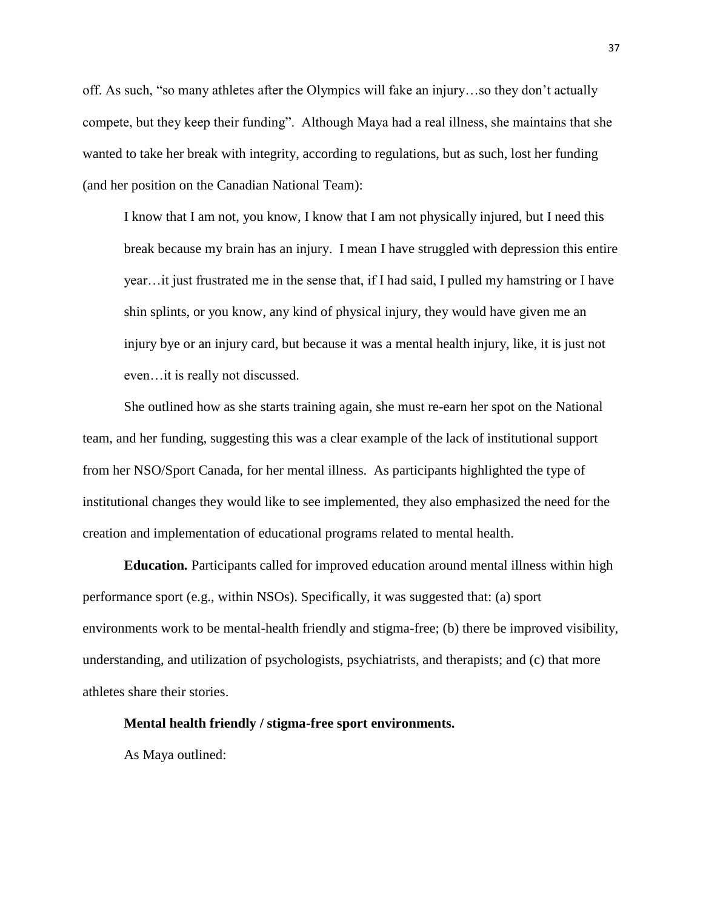off. As such, "so many athletes after the Olympics will fake an injury…so they don't actually compete, but they keep their funding". Although Maya had a real illness, she maintains that she wanted to take her break with integrity, according to regulations, but as such, lost her funding (and her position on the Canadian National Team):

I know that I am not, you know, I know that I am not physically injured, but I need this break because my brain has an injury. I mean I have struggled with depression this entire year…it just frustrated me in the sense that, if I had said, I pulled my hamstring or I have shin splints, or you know, any kind of physical injury, they would have given me an injury bye or an injury card, but because it was a mental health injury, like, it is just not even…it is really not discussed.

She outlined how as she starts training again, she must re-earn her spot on the National team, and her funding, suggesting this was a clear example of the lack of institutional support from her NSO/Sport Canada, for her mental illness. As participants highlighted the type of institutional changes they would like to see implemented, they also emphasized the need for the creation and implementation of educational programs related to mental health.

**Education***.* Participants called for improved education around mental illness within high performance sport (e.g., within NSOs). Specifically, it was suggested that: (a) sport environments work to be mental-health friendly and stigma-free; (b) there be improved visibility, understanding, and utilization of psychologists, psychiatrists, and therapists; and (c) that more athletes share their stories.

**Mental health friendly / stigma-free sport environments.** 

As Maya outlined: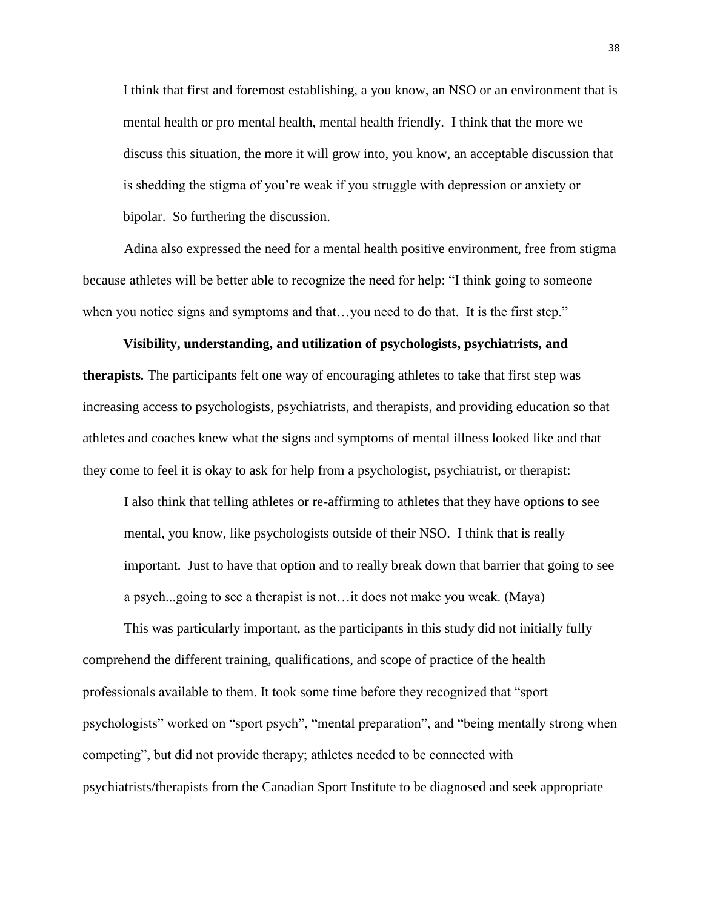I think that first and foremost establishing, a you know, an NSO or an environment that is mental health or pro mental health, mental health friendly. I think that the more we discuss this situation, the more it will grow into, you know, an acceptable discussion that is shedding the stigma of you're weak if you struggle with depression or anxiety or bipolar. So furthering the discussion.

Adina also expressed the need for a mental health positive environment, free from stigma because athletes will be better able to recognize the need for help: "I think going to someone when you notice signs and symptoms and that...you need to do that. It is the first step."

# **Visibility, understanding, and utilization of psychologists, psychiatrists, and therapists***.* The participants felt one way of encouraging athletes to take that first step was increasing access to psychologists, psychiatrists, and therapists, and providing education so that athletes and coaches knew what the signs and symptoms of mental illness looked like and that they come to feel it is okay to ask for help from a psychologist, psychiatrist, or therapist:

I also think that telling athletes or re-affirming to athletes that they have options to see mental, you know, like psychologists outside of their NSO. I think that is really important. Just to have that option and to really break down that barrier that going to see a psych...going to see a therapist is not…it does not make you weak. (Maya)

This was particularly important, as the participants in this study did not initially fully comprehend the different training, qualifications, and scope of practice of the health professionals available to them. It took some time before they recognized that "sport psychologists" worked on "sport psych", "mental preparation", and "being mentally strong when competing", but did not provide therapy; athletes needed to be connected with psychiatrists/therapists from the Canadian Sport Institute to be diagnosed and seek appropriate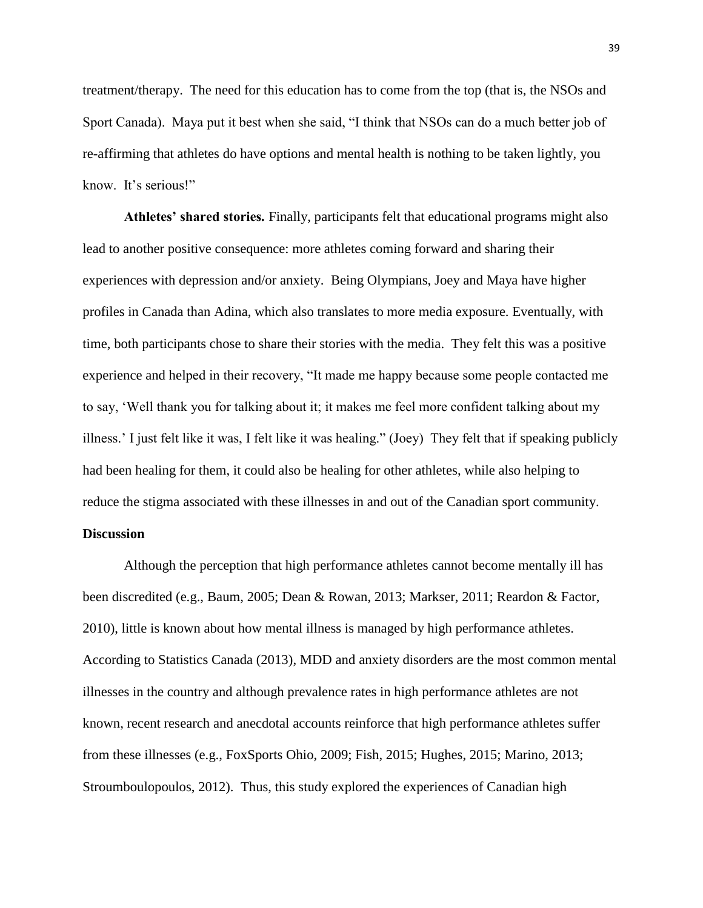treatment/therapy. The need for this education has to come from the top (that is, the NSOs and Sport Canada). Maya put it best when she said, "I think that NSOs can do a much better job of re-affirming that athletes do have options and mental health is nothing to be taken lightly, you know. It's serious!"

**Athletes' shared stories***.* Finally, participants felt that educational programs might also lead to another positive consequence: more athletes coming forward and sharing their experiences with depression and/or anxiety. Being Olympians, Joey and Maya have higher profiles in Canada than Adina, which also translates to more media exposure. Eventually, with time, both participants chose to share their stories with the media. They felt this was a positive experience and helped in their recovery, "It made me happy because some people contacted me to say, 'Well thank you for talking about it; it makes me feel more confident talking about my illness.' I just felt like it was, I felt like it was healing." (Joey) They felt that if speaking publicly had been healing for them, it could also be healing for other athletes, while also helping to reduce the stigma associated with these illnesses in and out of the Canadian sport community.

# **Discussion**

Although the perception that high performance athletes cannot become mentally ill has been discredited (e.g., Baum, 2005; Dean & Rowan, 2013; Markser, 2011; Reardon & Factor, 2010), little is known about how mental illness is managed by high performance athletes. According to Statistics Canada (2013), MDD and anxiety disorders are the most common mental illnesses in the country and although prevalence rates in high performance athletes are not known, recent research and anecdotal accounts reinforce that high performance athletes suffer from these illnesses (e.g., FoxSports Ohio, 2009; Fish, 2015; Hughes, 2015; Marino, 2013; Stroumboulopoulos, 2012). Thus, this study explored the experiences of Canadian high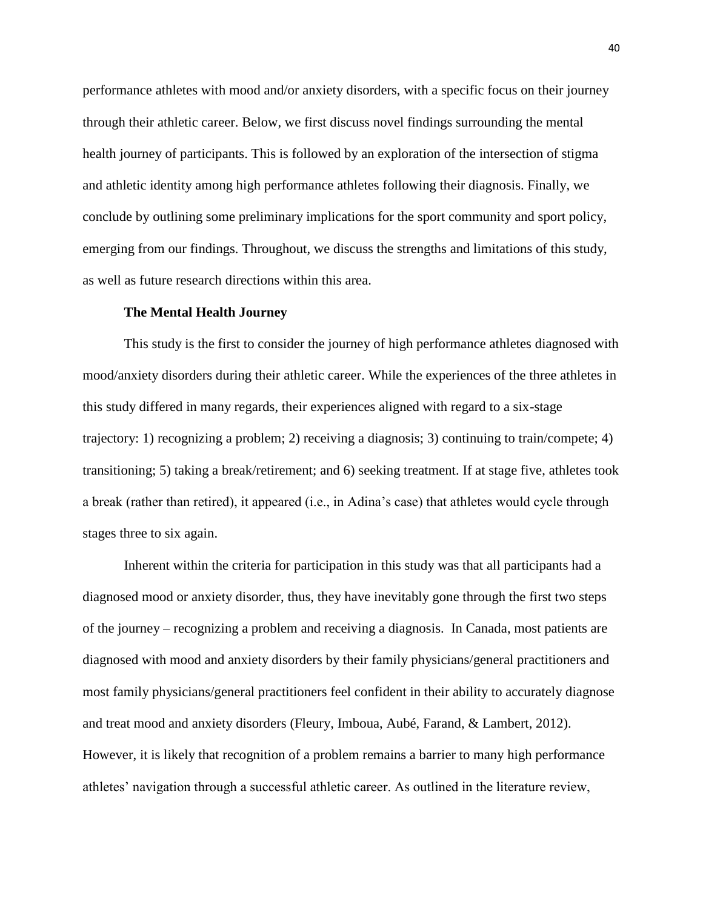performance athletes with mood and/or anxiety disorders, with a specific focus on their journey through their athletic career. Below, we first discuss novel findings surrounding the mental health journey of participants. This is followed by an exploration of the intersection of stigma and athletic identity among high performance athletes following their diagnosis. Finally, we conclude by outlining some preliminary implications for the sport community and sport policy, emerging from our findings. Throughout, we discuss the strengths and limitations of this study, as well as future research directions within this area.

#### **The Mental Health Journey**

This study is the first to consider the journey of high performance athletes diagnosed with mood/anxiety disorders during their athletic career. While the experiences of the three athletes in this study differed in many regards, their experiences aligned with regard to a six-stage trajectory: 1) recognizing a problem; 2) receiving a diagnosis; 3) continuing to train/compete; 4) transitioning; 5) taking a break/retirement; and 6) seeking treatment. If at stage five, athletes took a break (rather than retired), it appeared (i.e., in Adina's case) that athletes would cycle through stages three to six again.

Inherent within the criteria for participation in this study was that all participants had a diagnosed mood or anxiety disorder, thus, they have inevitably gone through the first two steps of the journey – recognizing a problem and receiving a diagnosis. In Canada, most patients are diagnosed with mood and anxiety disorders by their family physicians/general practitioners and most family physicians/general practitioners feel confident in their ability to accurately diagnose and treat mood and anxiety disorders (Fleury, Imboua, Aubé, Farand, & Lambert, 2012). However, it is likely that recognition of a problem remains a barrier to many high performance athletes' navigation through a successful athletic career. As outlined in the literature review,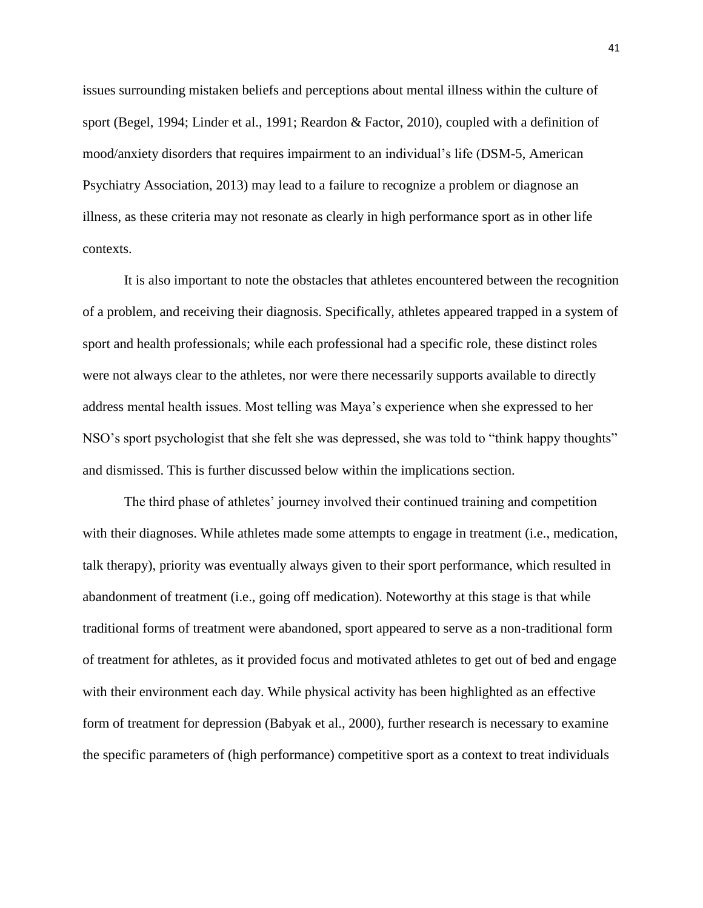issues surrounding mistaken beliefs and perceptions about mental illness within the culture of sport (Begel, 1994; Linder et al., 1991; Reardon & Factor, 2010), coupled with a definition of mood/anxiety disorders that requires impairment to an individual's life (DSM-5, American Psychiatry Association, 2013) may lead to a failure to recognize a problem or diagnose an illness, as these criteria may not resonate as clearly in high performance sport as in other life contexts.

It is also important to note the obstacles that athletes encountered between the recognition of a problem, and receiving their diagnosis. Specifically, athletes appeared trapped in a system of sport and health professionals; while each professional had a specific role, these distinct roles were not always clear to the athletes, nor were there necessarily supports available to directly address mental health issues. Most telling was Maya's experience when she expressed to her NSO's sport psychologist that she felt she was depressed, she was told to "think happy thoughts" and dismissed. This is further discussed below within the implications section.

The third phase of athletes' journey involved their continued training and competition with their diagnoses. While athletes made some attempts to engage in treatment (i.e., medication, talk therapy), priority was eventually always given to their sport performance, which resulted in abandonment of treatment (i.e., going off medication). Noteworthy at this stage is that while traditional forms of treatment were abandoned, sport appeared to serve as a non-traditional form of treatment for athletes, as it provided focus and motivated athletes to get out of bed and engage with their environment each day. While physical activity has been highlighted as an effective form of treatment for depression (Babyak et al., 2000), further research is necessary to examine the specific parameters of (high performance) competitive sport as a context to treat individuals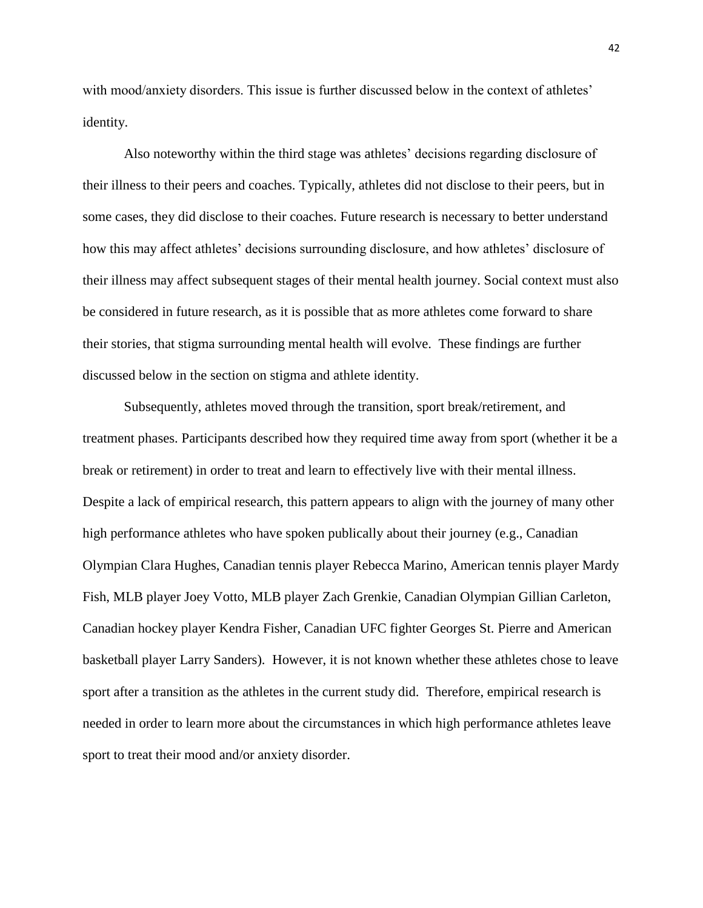with mood/anxiety disorders. This issue is further discussed below in the context of athletes' identity.

Also noteworthy within the third stage was athletes' decisions regarding disclosure of their illness to their peers and coaches. Typically, athletes did not disclose to their peers, but in some cases, they did disclose to their coaches. Future research is necessary to better understand how this may affect athletes' decisions surrounding disclosure, and how athletes' disclosure of their illness may affect subsequent stages of their mental health journey. Social context must also be considered in future research, as it is possible that as more athletes come forward to share their stories, that stigma surrounding mental health will evolve. These findings are further discussed below in the section on stigma and athlete identity.

Subsequently, athletes moved through the transition, sport break/retirement, and treatment phases. Participants described how they required time away from sport (whether it be a break or retirement) in order to treat and learn to effectively live with their mental illness. Despite a lack of empirical research, this pattern appears to align with the journey of many other high performance athletes who have spoken publically about their journey (e.g., Canadian Olympian Clara Hughes, Canadian tennis player Rebecca Marino, American tennis player Mardy Fish, MLB player Joey Votto, MLB player Zach Grenkie, Canadian Olympian Gillian Carleton, Canadian hockey player Kendra Fisher, Canadian UFC fighter Georges St. Pierre and American basketball player Larry Sanders). However, it is not known whether these athletes chose to leave sport after a transition as the athletes in the current study did. Therefore, empirical research is needed in order to learn more about the circumstances in which high performance athletes leave sport to treat their mood and/or anxiety disorder.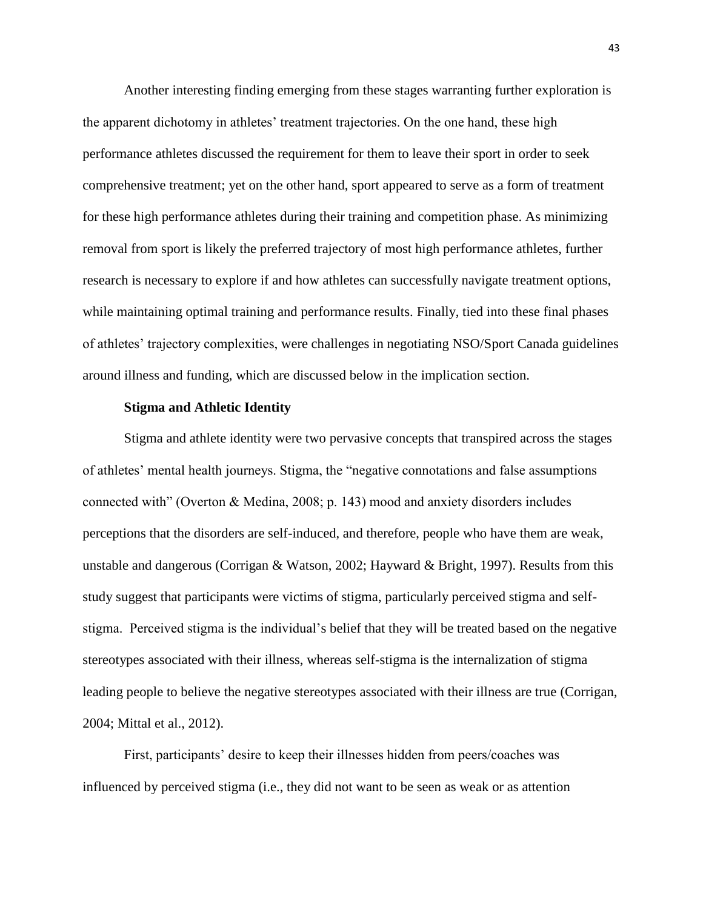Another interesting finding emerging from these stages warranting further exploration is the apparent dichotomy in athletes' treatment trajectories. On the one hand, these high performance athletes discussed the requirement for them to leave their sport in order to seek comprehensive treatment; yet on the other hand, sport appeared to serve as a form of treatment for these high performance athletes during their training and competition phase. As minimizing removal from sport is likely the preferred trajectory of most high performance athletes, further research is necessary to explore if and how athletes can successfully navigate treatment options, while maintaining optimal training and performance results. Finally, tied into these final phases of athletes' trajectory complexities, were challenges in negotiating NSO/Sport Canada guidelines around illness and funding, which are discussed below in the implication section.

#### **Stigma and Athletic Identity**

Stigma and athlete identity were two pervasive concepts that transpired across the stages of athletes' mental health journeys. Stigma, the "negative connotations and false assumptions connected with" (Overton & Medina, 2008; p. 143) mood and anxiety disorders includes perceptions that the disorders are self-induced, and therefore, people who have them are weak, unstable and dangerous (Corrigan & Watson, 2002; Hayward & Bright, 1997). Results from this study suggest that participants were victims of stigma, particularly perceived stigma and selfstigma. Perceived stigma is the individual's belief that they will be treated based on the negative stereotypes associated with their illness, whereas self-stigma is the internalization of stigma leading people to believe the negative stereotypes associated with their illness are true (Corrigan, 2004; Mittal et al., 2012).

First, participants' desire to keep their illnesses hidden from peers/coaches was influenced by perceived stigma (i.e., they did not want to be seen as weak or as attention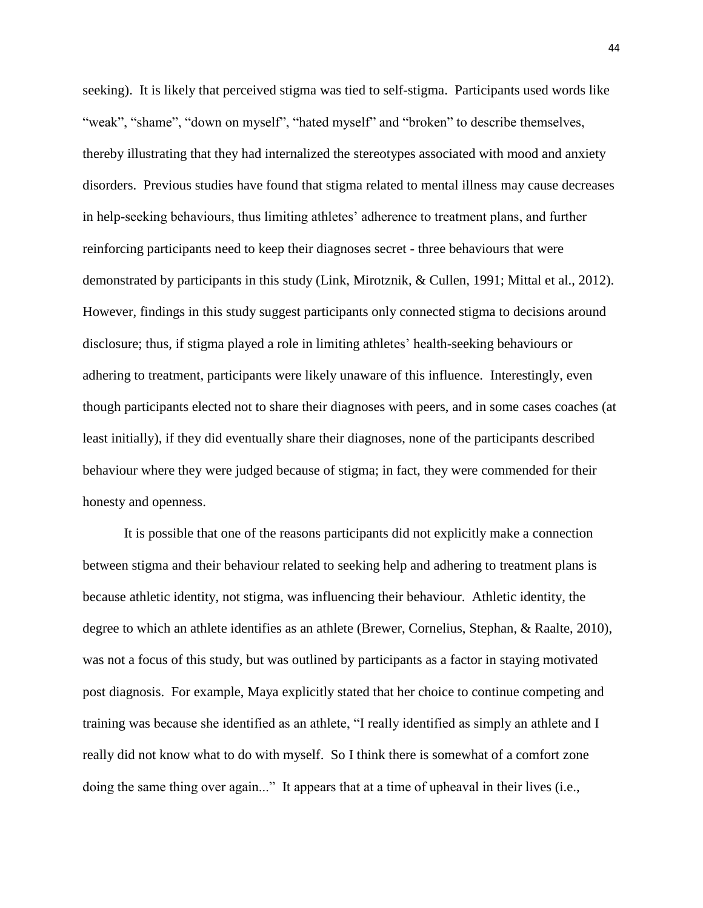seeking). It is likely that perceived stigma was tied to self-stigma. Participants used words like "weak", "shame", "down on myself", "hated myself" and "broken" to describe themselves, thereby illustrating that they had internalized the stereotypes associated with mood and anxiety disorders. Previous studies have found that stigma related to mental illness may cause decreases in help-seeking behaviours, thus limiting athletes' adherence to treatment plans, and further reinforcing participants need to keep their diagnoses secret - three behaviours that were demonstrated by participants in this study (Link, Mirotznik, & Cullen, 1991; Mittal et al., 2012). However, findings in this study suggest participants only connected stigma to decisions around disclosure; thus, if stigma played a role in limiting athletes' health-seeking behaviours or adhering to treatment, participants were likely unaware of this influence. Interestingly, even though participants elected not to share their diagnoses with peers, and in some cases coaches (at least initially), if they did eventually share their diagnoses, none of the participants described behaviour where they were judged because of stigma; in fact, they were commended for their honesty and openness.

It is possible that one of the reasons participants did not explicitly make a connection between stigma and their behaviour related to seeking help and adhering to treatment plans is because athletic identity, not stigma, was influencing their behaviour. Athletic identity, the degree to which an athlete identifies as an athlete (Brewer, Cornelius, Stephan, & Raalte, 2010), was not a focus of this study, but was outlined by participants as a factor in staying motivated post diagnosis. For example, Maya explicitly stated that her choice to continue competing and training was because she identified as an athlete, "I really identified as simply an athlete and I really did not know what to do with myself. So I think there is somewhat of a comfort zone doing the same thing over again..." It appears that at a time of upheaval in their lives (i.e.,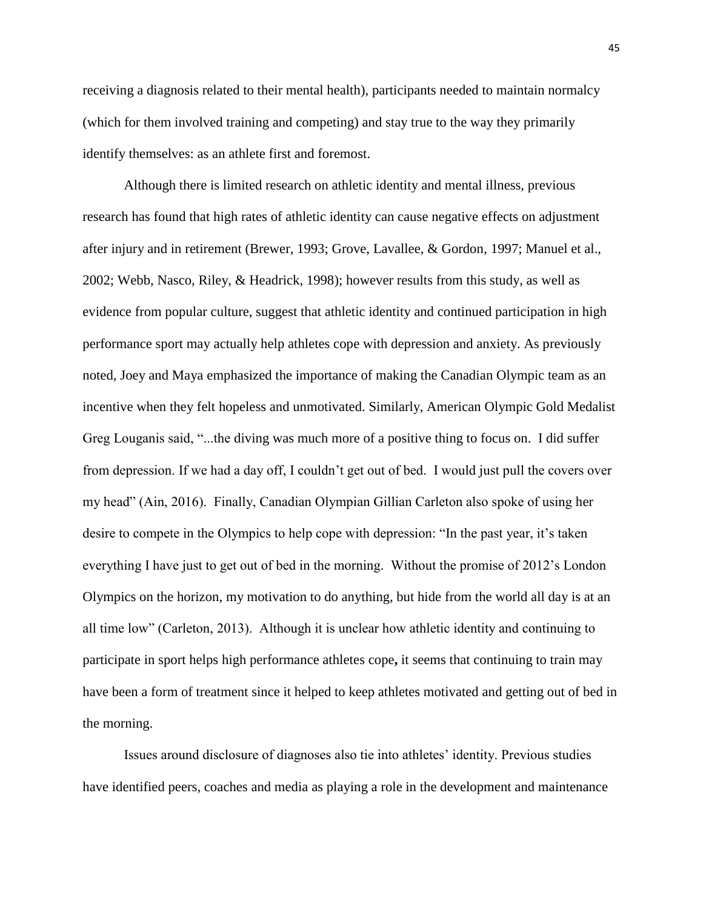receiving a diagnosis related to their mental health), participants needed to maintain normalcy (which for them involved training and competing) and stay true to the way they primarily identify themselves: as an athlete first and foremost.

Although there is limited research on athletic identity and mental illness, previous research has found that high rates of athletic identity can cause negative effects on adjustment after injury and in retirement (Brewer, 1993; Grove, Lavallee, & Gordon, 1997; Manuel et al., 2002; Webb, Nasco, Riley, & Headrick, 1998); however results from this study, as well as evidence from popular culture, suggest that athletic identity and continued participation in high performance sport may actually help athletes cope with depression and anxiety. As previously noted, Joey and Maya emphasized the importance of making the Canadian Olympic team as an incentive when they felt hopeless and unmotivated. Similarly, American Olympic Gold Medalist Greg Louganis said, "...the diving was much more of a positive thing to focus on. I did suffer from depression. If we had a day off, I couldn't get out of bed. I would just pull the covers over my head" (Ain, 2016). Finally, Canadian Olympian Gillian Carleton also spoke of using her desire to compete in the Olympics to help cope with depression: "In the past year, it's taken everything I have just to get out of bed in the morning. Without the promise of 2012's London Olympics on the horizon, my motivation to do anything, but hide from the world all day is at an all time low" (Carleton, 2013). Although it is unclear how athletic identity and continuing to participate in sport helps high performance athletes cope**,** it seems that continuing to train may have been a form of treatment since it helped to keep athletes motivated and getting out of bed in the morning.

Issues around disclosure of diagnoses also tie into athletes' identity. Previous studies have identified peers, coaches and media as playing a role in the development and maintenance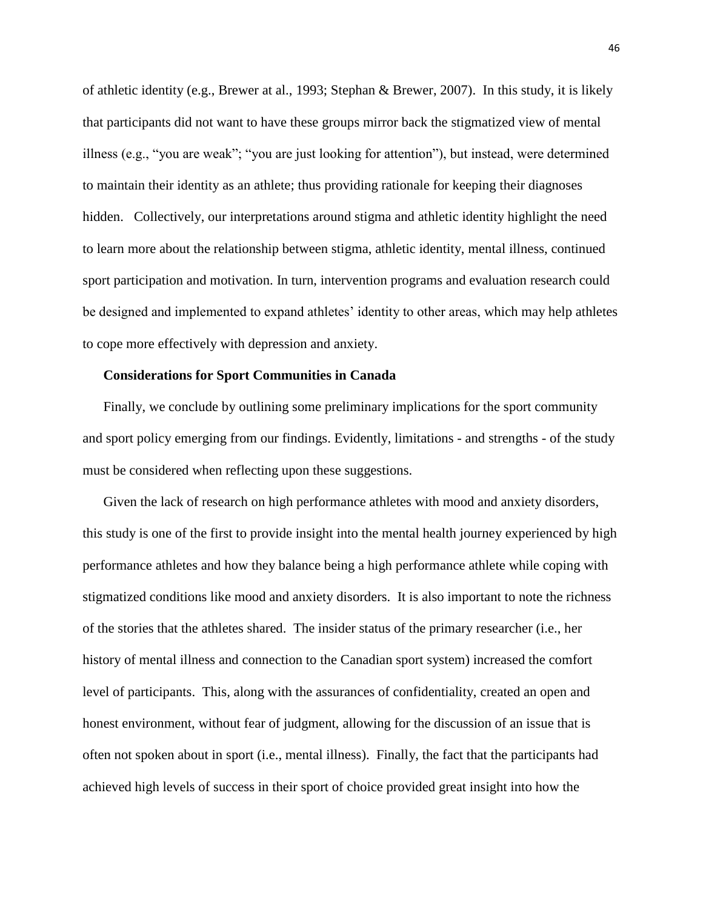of athletic identity (e.g., Brewer at al., 1993; Stephan & Brewer, 2007). In this study, it is likely that participants did not want to have these groups mirror back the stigmatized view of mental illness (e.g., "you are weak"; "you are just looking for attention"), but instead, were determined to maintain their identity as an athlete; thus providing rationale for keeping their diagnoses hidden. Collectively, our interpretations around stigma and athletic identity highlight the need to learn more about the relationship between stigma, athletic identity, mental illness, continued sport participation and motivation. In turn, intervention programs and evaluation research could be designed and implemented to expand athletes' identity to other areas, which may help athletes to cope more effectively with depression and anxiety.

#### **Considerations for Sport Communities in Canada**

Finally, we conclude by outlining some preliminary implications for the sport community and sport policy emerging from our findings. Evidently, limitations - and strengths - of the study must be considered when reflecting upon these suggestions.

Given the lack of research on high performance athletes with mood and anxiety disorders, this study is one of the first to provide insight into the mental health journey experienced by high performance athletes and how they balance being a high performance athlete while coping with stigmatized conditions like mood and anxiety disorders. It is also important to note the richness of the stories that the athletes shared. The insider status of the primary researcher (i.e., her history of mental illness and connection to the Canadian sport system) increased the comfort level of participants. This, along with the assurances of confidentiality, created an open and honest environment, without fear of judgment, allowing for the discussion of an issue that is often not spoken about in sport (i.e., mental illness). Finally, the fact that the participants had achieved high levels of success in their sport of choice provided great insight into how the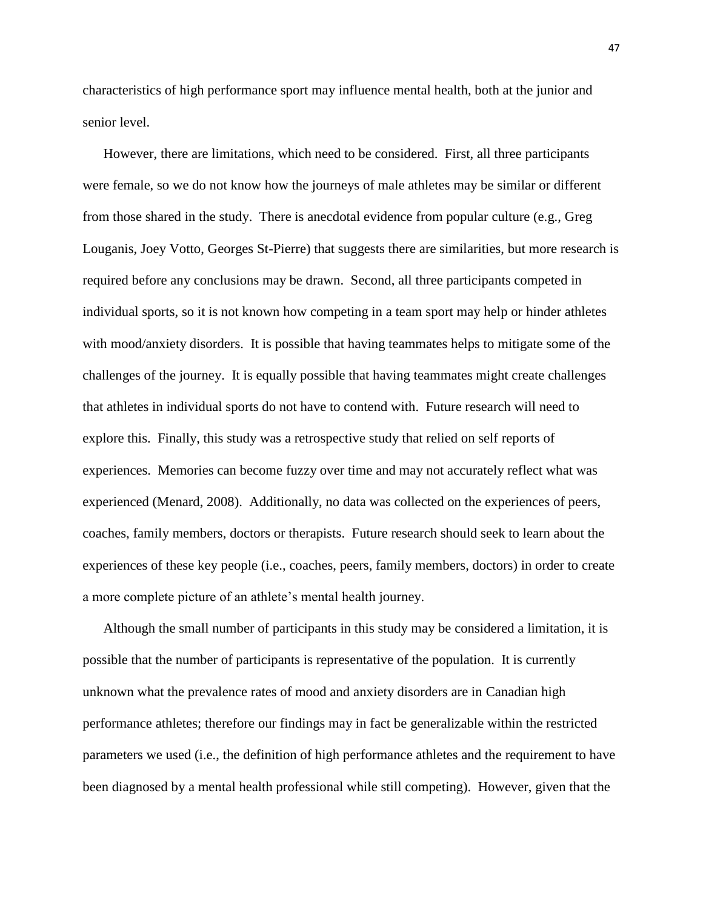characteristics of high performance sport may influence mental health, both at the junior and senior level.

However, there are limitations, which need to be considered. First, all three participants were female, so we do not know how the journeys of male athletes may be similar or different from those shared in the study. There is anecdotal evidence from popular culture (e.g., Greg Louganis, Joey Votto, Georges St-Pierre) that suggests there are similarities, but more research is required before any conclusions may be drawn. Second, all three participants competed in individual sports, so it is not known how competing in a team sport may help or hinder athletes with mood/anxiety disorders. It is possible that having teammates helps to mitigate some of the challenges of the journey. It is equally possible that having teammates might create challenges that athletes in individual sports do not have to contend with. Future research will need to explore this. Finally, this study was a retrospective study that relied on self reports of experiences. Memories can become fuzzy over time and may not accurately reflect what was experienced (Menard, 2008). Additionally, no data was collected on the experiences of peers, coaches, family members, doctors or therapists. Future research should seek to learn about the experiences of these key people (i.e., coaches, peers, family members, doctors) in order to create a more complete picture of an athlete's mental health journey.

Although the small number of participants in this study may be considered a limitation, it is possible that the number of participants is representative of the population. It is currently unknown what the prevalence rates of mood and anxiety disorders are in Canadian high performance athletes; therefore our findings may in fact be generalizable within the restricted parameters we used (i.e., the definition of high performance athletes and the requirement to have been diagnosed by a mental health professional while still competing). However, given that the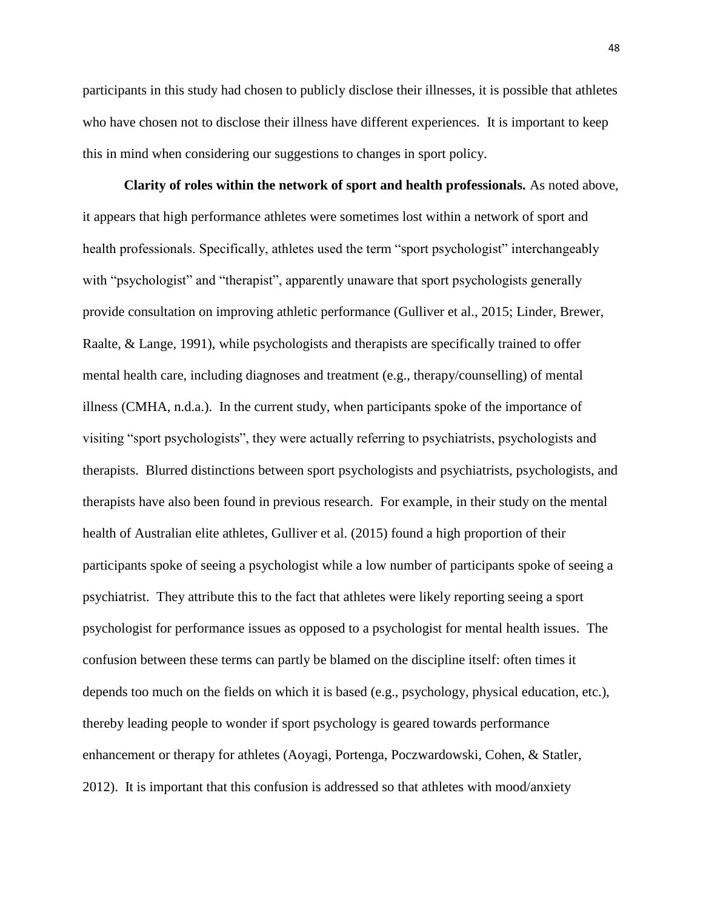participants in this study had chosen to publicly disclose their illnesses, it is possible that athletes who have chosen not to disclose their illness have different experiences. It is important to keep this in mind when considering our suggestions to changes in sport policy.

**Clarity of roles within the network of sport and health professionals.** As noted above, it appears that high performance athletes were sometimes lost within a network of sport and health professionals. Specifically, athletes used the term "sport psychologist" interchangeably with "psychologist" and "therapist", apparently unaware that sport psychologists generally provide consultation on improving athletic performance (Gulliver et al., 2015; Linder, Brewer, Raalte, & Lange, 1991), while psychologists and therapists are specifically trained to offer mental health care, including diagnoses and treatment (e.g., therapy/counselling) of mental illness (CMHA, n.d.a.). In the current study, when participants spoke of the importance of visiting "sport psychologists", they were actually referring to psychiatrists, psychologists and therapists. Blurred distinctions between sport psychologists and psychiatrists, psychologists, and therapists have also been found in previous research. For example, in their study on the mental health of Australian elite athletes, Gulliver et al. (2015) found a high proportion of their participants spoke of seeing a psychologist while a low number of participants spoke of seeing a psychiatrist. They attribute this to the fact that athletes were likely reporting seeing a sport psychologist for performance issues as opposed to a psychologist for mental health issues. The confusion between these terms can partly be blamed on the discipline itself: often times it depends too much on the fields on which it is based (e.g., psychology, physical education, etc.), thereby leading people to wonder if sport psychology is geared towards performance enhancement or therapy for athletes (Aoyagi, Portenga, Poczwardowski, Cohen, & Statler, 2012). It is important that this confusion is addressed so that athletes with mood/anxiety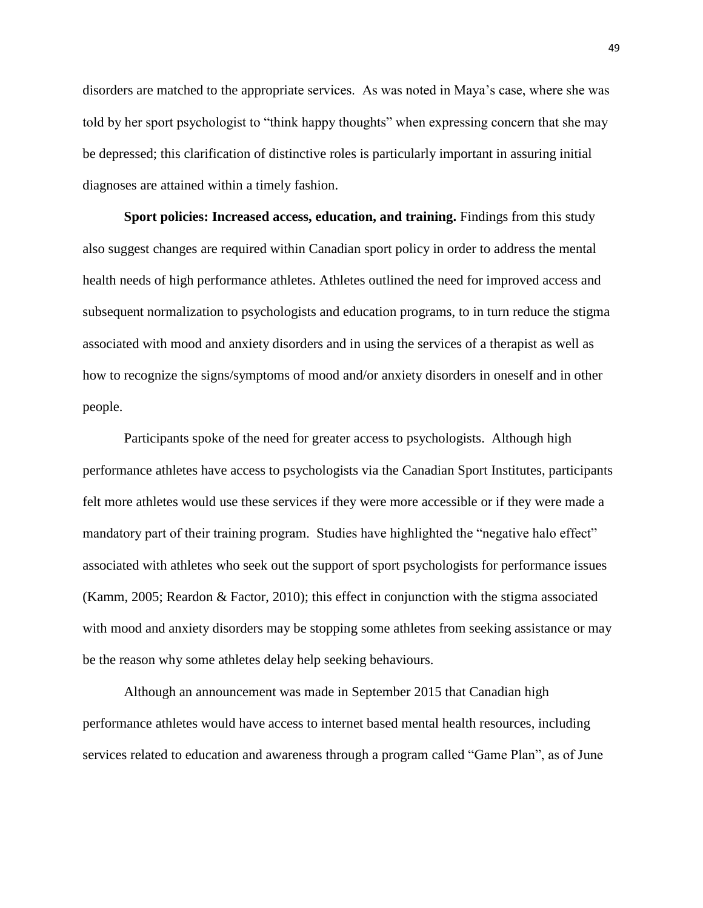disorders are matched to the appropriate services. As was noted in Maya's case, where she was told by her sport psychologist to "think happy thoughts" when expressing concern that she may be depressed; this clarification of distinctive roles is particularly important in assuring initial diagnoses are attained within a timely fashion.

**Sport policies: Increased access, education, and training.** Findings from this study also suggest changes are required within Canadian sport policy in order to address the mental health needs of high performance athletes. Athletes outlined the need for improved access and subsequent normalization to psychologists and education programs, to in turn reduce the stigma associated with mood and anxiety disorders and in using the services of a therapist as well as how to recognize the signs/symptoms of mood and/or anxiety disorders in oneself and in other people.

Participants spoke of the need for greater access to psychologists. Although high performance athletes have access to psychologists via the Canadian Sport Institutes, participants felt more athletes would use these services if they were more accessible or if they were made a mandatory part of their training program. Studies have highlighted the "negative halo effect" associated with athletes who seek out the support of sport psychologists for performance issues (Kamm, 2005; Reardon & Factor, 2010); this effect in conjunction with the stigma associated with mood and anxiety disorders may be stopping some athletes from seeking assistance or may be the reason why some athletes delay help seeking behaviours.

Although an announcement was made in September 2015 that Canadian high performance athletes would have access to internet based mental health resources, including services related to education and awareness through a program called "Game Plan", as of June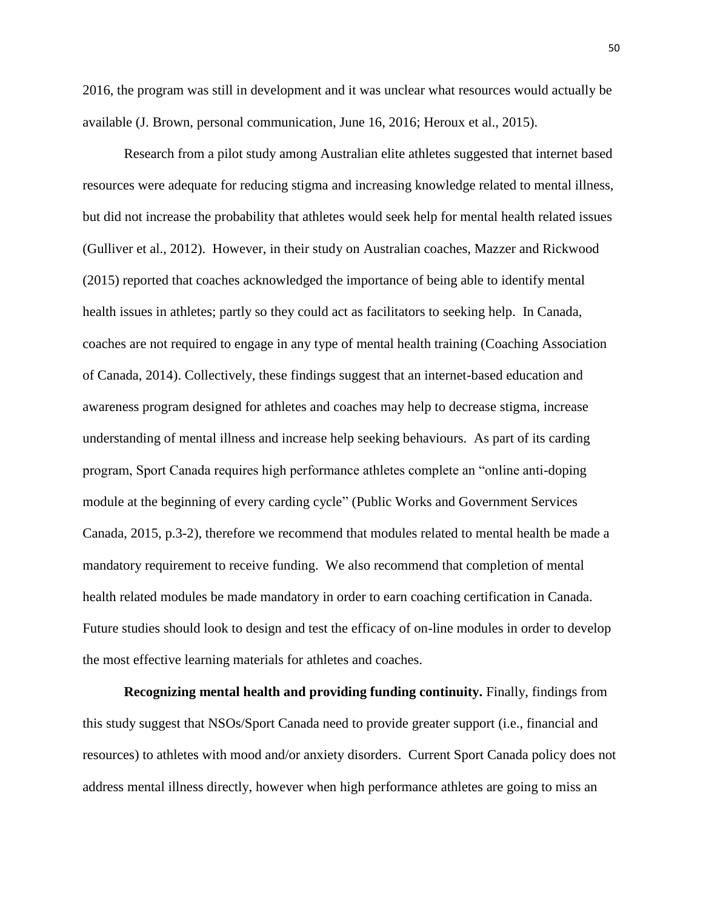2016, the program was still in development and it was unclear what resources would actually be available (J. Brown, personal communication, June 16, 2016; Heroux et al., 2015).

Research from a pilot study among Australian elite athletes suggested that internet based resources were adequate for reducing stigma and increasing knowledge related to mental illness, but did not increase the probability that athletes would seek help for mental health related issues (Gulliver et al., 2012). However, in their study on Australian coaches, Mazzer and Rickwood (2015) reported that coaches acknowledged the importance of being able to identify mental health issues in athletes; partly so they could act as facilitators to seeking help. In Canada, coaches are not required to engage in any type of mental health training (Coaching Association of Canada, 2014). Collectively, these findings suggest that an internet-based education and awareness program designed for athletes and coaches may help to decrease stigma, increase understanding of mental illness and increase help seeking behaviours. As part of its carding program, Sport Canada requires high performance athletes complete an "online anti-doping module at the beginning of every carding cycle" (Public Works and Government Services Canada, 2015, p.3-2), therefore we recommend that modules related to mental health be made a mandatory requirement to receive funding.We also recommend that completion of mental health related modules be made mandatory in order to earn coaching certification in Canada. Future studies should look to design and test the efficacy of on-line modules in order to develop the most effective learning materials for athletes and coaches.

**Recognizing mental health and providing funding continuity.** Finally, findings from this study suggest that NSOs/Sport Canada need to provide greater support (i.e., financial and resources) to athletes with mood and/or anxiety disorders. Current Sport Canada policy does not address mental illness directly, however when high performance athletes are going to miss an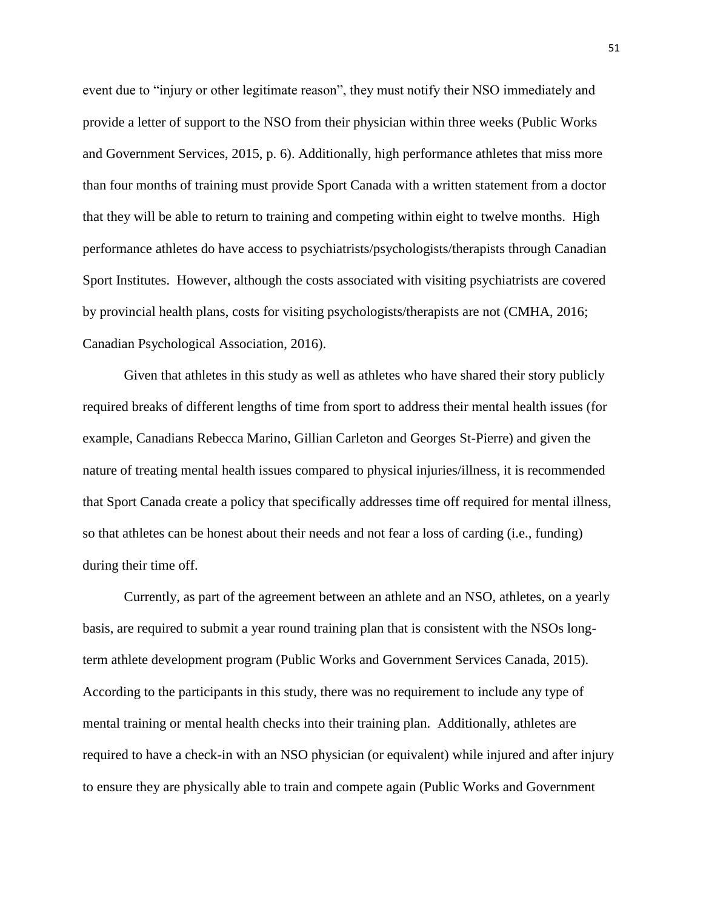event due to "injury or other legitimate reason", they must notify their NSO immediately and provide a letter of support to the NSO from their physician within three weeks (Public Works and Government Services, 2015, p. 6). Additionally, high performance athletes that miss more than four months of training must provide Sport Canada with a written statement from a doctor that they will be able to return to training and competing within eight to twelve months. High performance athletes do have access to psychiatrists/psychologists/therapists through Canadian Sport Institutes. However, although the costs associated with visiting psychiatrists are covered by provincial health plans, costs for visiting psychologists/therapists are not (CMHA, 2016; Canadian Psychological Association, 2016).

Given that athletes in this study as well as athletes who have shared their story publicly required breaks of different lengths of time from sport to address their mental health issues (for example, Canadians Rebecca Marino, Gillian Carleton and Georges St-Pierre) and given the nature of treating mental health issues compared to physical injuries/illness, it is recommended that Sport Canada create a policy that specifically addresses time off required for mental illness, so that athletes can be honest about their needs and not fear a loss of carding (i.e., funding) during their time off.

Currently, as part of the agreement between an athlete and an NSO, athletes, on a yearly basis, are required to submit a year round training plan that is consistent with the NSOs longterm athlete development program (Public Works and Government Services Canada, 2015). According to the participants in this study, there was no requirement to include any type of mental training or mental health checks into their training plan. Additionally, athletes are required to have a check-in with an NSO physician (or equivalent) while injured and after injury to ensure they are physically able to train and compete again (Public Works and Government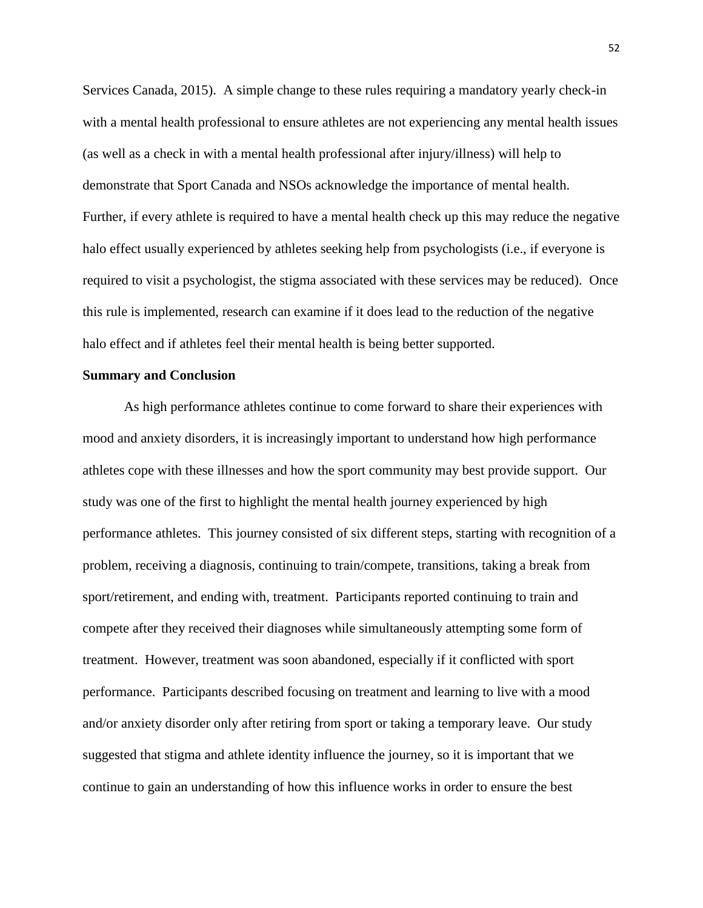Services Canada, 2015). A simple change to these rules requiring a mandatory yearly check-in with a mental health professional to ensure athletes are not experiencing any mental health issues (as well as a check in with a mental health professional after injury/illness) will help to demonstrate that Sport Canada and NSOs acknowledge the importance of mental health. Further, if every athlete is required to have a mental health check up this may reduce the negative halo effect usually experienced by athletes seeking help from psychologists (i.e., if everyone is required to visit a psychologist, the stigma associated with these services may be reduced). Once this rule is implemented, research can examine if it does lead to the reduction of the negative halo effect and if athletes feel their mental health is being better supported.

## **Summary and Conclusion**

As high performance athletes continue to come forward to share their experiences with mood and anxiety disorders, it is increasingly important to understand how high performance athletes cope with these illnesses and how the sport community may best provide support. Our study was one of the first to highlight the mental health journey experienced by high performance athletes. This journey consisted of six different steps, starting with recognition of a problem, receiving a diagnosis, continuing to train/compete, transitions, taking a break from sport/retirement, and ending with, treatment. Participants reported continuing to train and compete after they received their diagnoses while simultaneously attempting some form of treatment. However, treatment was soon abandoned, especially if it conflicted with sport performance. Participants described focusing on treatment and learning to live with a mood and/or anxiety disorder only after retiring from sport or taking a temporary leave. Our study suggested that stigma and athlete identity influence the journey, so it is important that we continue to gain an understanding of how this influence works in order to ensure the best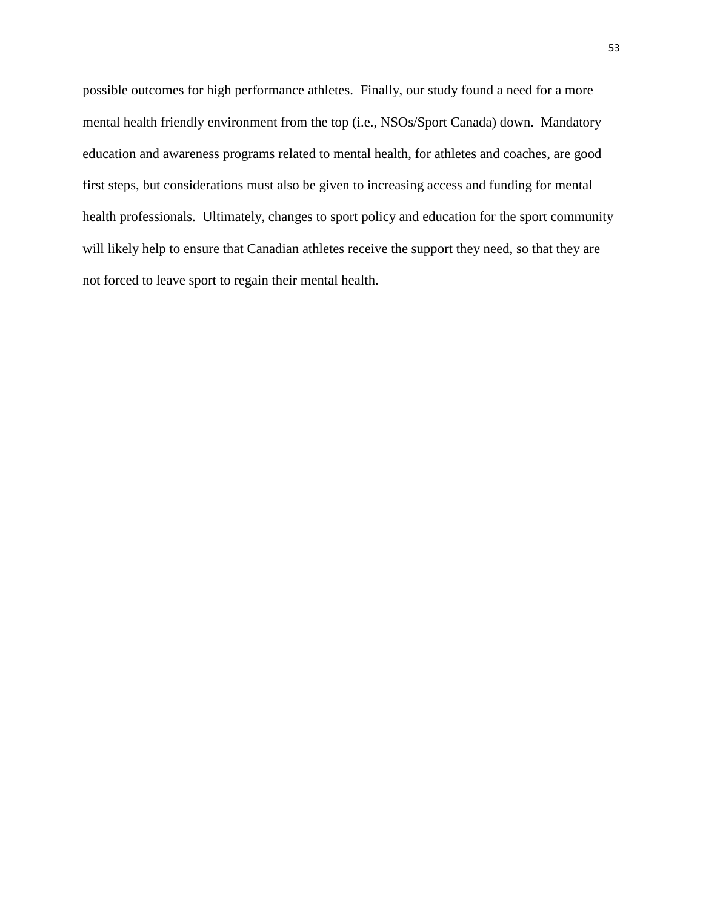possible outcomes for high performance athletes. Finally, our study found a need for a more mental health friendly environment from the top (i.e., NSOs/Sport Canada) down. Mandatory education and awareness programs related to mental health, for athletes and coaches, are good first steps, but considerations must also be given to increasing access and funding for mental health professionals. Ultimately, changes to sport policy and education for the sport community will likely help to ensure that Canadian athletes receive the support they need, so that they are not forced to leave sport to regain their mental health.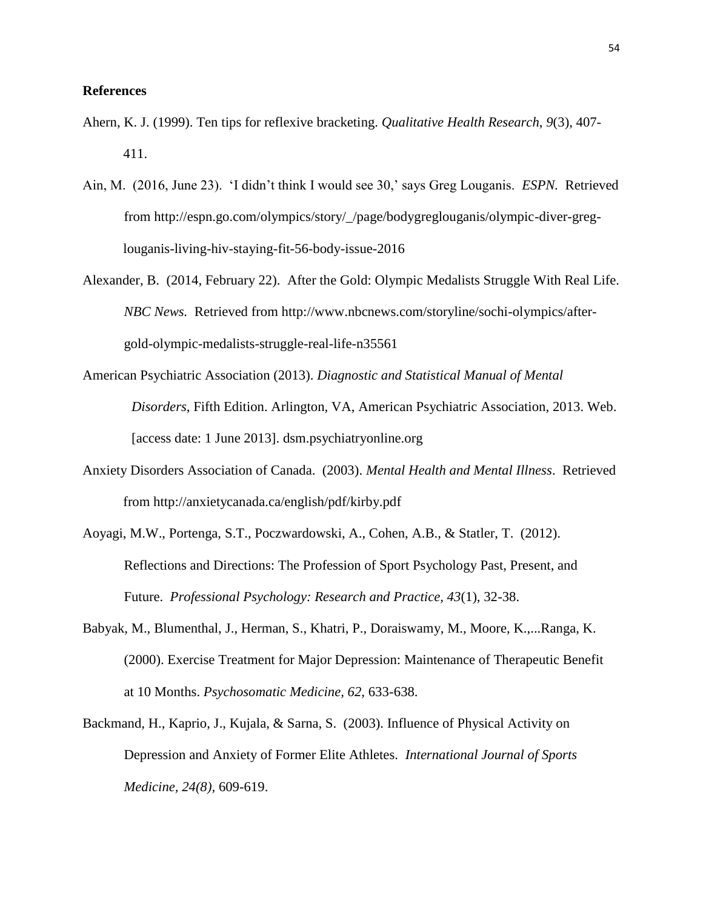# **References**

- Ahern, K. J. (1999). Ten tips for reflexive bracketing. *Qualitative Health Research*, *9*(3), 407- 411.
- Ain, M. (2016, June 23). 'I didn't think I would see 30,' says Greg Louganis. *ESPN.* Retrieved from http://espn.go.com/olympics/story/\_/page/bodygreglouganis/olympic-diver-greglouganis-living-hiv-staying-fit-56-body-issue-2016
- Alexander, B. (2014, February 22). After the Gold: Olympic Medalists Struggle With Real Life. *NBC News.* Retrieved from http://www.nbcnews.com/storyline/sochi-olympics/aftergold-olympic-medalists-struggle-real-life-n35561
- American Psychiatric Association (2013). *Diagnostic and Statistical Manual of Mental Disorders*, Fifth Edition. Arlington, VA, American Psychiatric Association, 2013. Web. [access date: 1 June 2013]. dsm.psychiatryonline.org
- Anxiety Disorders Association of Canada. (2003). *Mental Health and Mental Illness*. Retrieved from http://anxietycanada.ca/english/pdf/kirby.pdf
- Aoyagi, M.W., Portenga, S.T., Poczwardowski, A., Cohen, A.B., & Statler, T. (2012). Reflections and Directions: The Profession of Sport Psychology Past, Present, and Future. *Professional Psychology: Research and Practice, 43*(1), 32-38.
- Babyak, M., Blumenthal, J., Herman, S., Khatri, P., Doraiswamy, M., Moore, K.,...Ranga, K. (2000). Exercise Treatment for Major Depression: Maintenance of Therapeutic Benefit at 10 Months. *Psychosomatic Medicine, 62,* 633-638.
- Backmand, H., Kaprio, J., Kujala, & Sarna, S. (2003). Influence of Physical Activity on Depression and Anxiety of Former Elite Athletes. *International Journal of Sports Medicine, 24(8),* 609-619.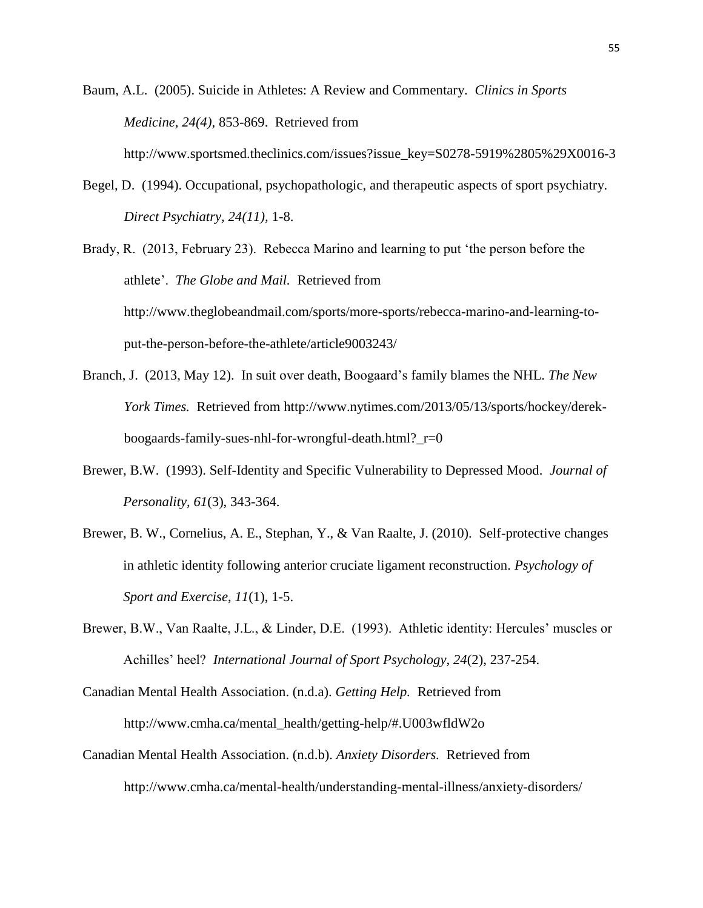Baum, A.L. (2005). Suicide in Athletes: A Review and Commentary. *Clinics in Sports Medicine, 24(4),* 853-869. Retrieved from http://www.sportsmed.theclinics.com/issues?issue\_key=S0278-5919%2805%29X0016-3

Begel, D. (1994). Occupational, psychopathologic, and therapeutic aspects of sport psychiatry. *Direct Psychiatry, 24(11),* 1-8.

Brady, R. (2013, February 23). Rebecca Marino and learning to put 'the person before the athlete'. *The Globe and Mail.* Retrieved from http://www.theglobeandmail.com/sports/more-sports/rebecca-marino-and-learning-toput-the-person-before-the-athlete/article9003243/

- Branch, J. (2013, May 12). In suit over death, Boogaard's family blames the NHL. *The New York Times.* Retrieved from http://www.nytimes.com/2013/05/13/sports/hockey/derekboogaards-family-sues-nhl-for-wrongful-death.html?\_r=0
- Brewer, B.W. (1993). Self-Identity and Specific Vulnerability to Depressed Mood. *Journal of Personality, 61*(3), 343-364.
- Brewer, B. W., Cornelius, A. E., Stephan, Y., & Van Raalte, J. (2010). Self-protective changes in athletic identity following anterior cruciate ligament reconstruction. *Psychology of Sport and Exercise*, *11*(1), 1-5.
- Brewer, B.W., Van Raalte, J.L., & Linder, D.E. (1993). Athletic identity: Hercules' muscles or Achilles' heel? *International Journal of Sport Psychology, 24*(2), 237-254.

Canadian Mental Health Association. (n.d.a). *Getting Help.* Retrieved from http://www.cmha.ca/mental\_health/getting-help/#.U003wfldW2o

Canadian Mental Health Association. (n.d.b). *Anxiety Disorders.* Retrieved from http://www.cmha.ca/mental-health/understanding-mental-illness/anxiety-disorders/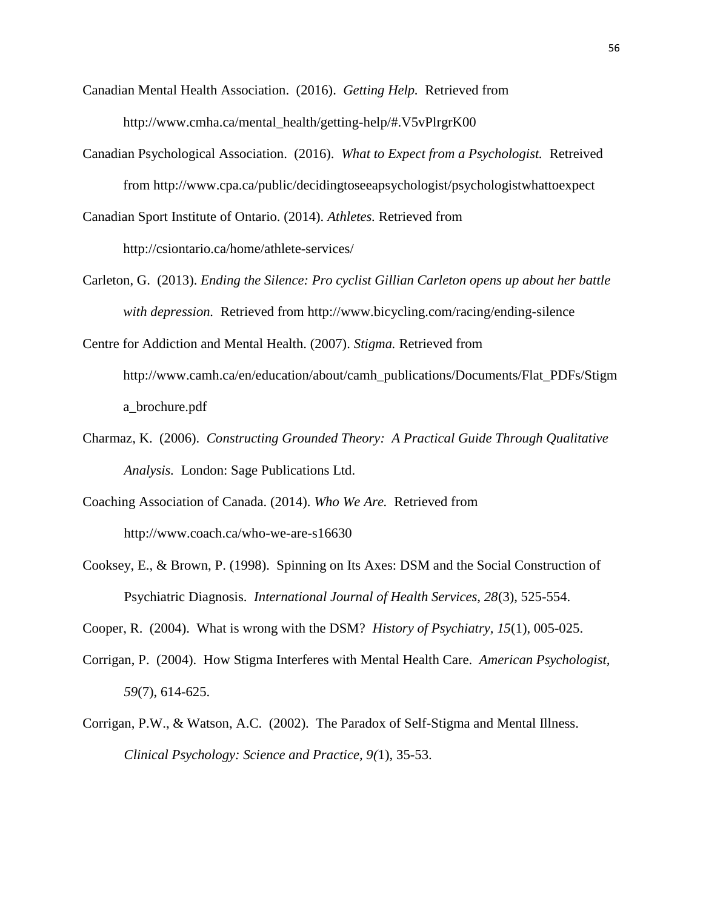- Canadian Mental Health Association. (2016). *Getting Help.* Retrieved from http://www.cmha.ca/mental\_health/getting-help/#.V5vPlrgrK00
- Canadian Psychological Association. (2016). *What to Expect from a Psychologist.* Retreived from http://www.cpa.ca/public/decidingtoseeapsychologist/psychologistwhattoexpect
- Canadian Sport Institute of Ontario. (2014). *Athletes.* Retrieved from http://csiontario.ca/home/athlete-services/
- Carleton, G. (2013). *Ending the Silence: Pro cyclist Gillian Carleton opens up about her battle with depression.* Retrieved from http://www.bicycling.com/racing/ending-silence
- Centre for Addiction and Mental Health. (2007). *Stigma.* Retrieved from http://www.camh.ca/en/education/about/camh\_publications/Documents/Flat\_PDFs/Stigm a\_brochure.pdf
- Charmaz, K. (2006). *Constructing Grounded Theory: A Practical Guide Through Qualitative Analysis.* London: Sage Publications Ltd.
- Coaching Association of Canada. (2014). *Who We Are.* Retrieved from http://www.coach.ca/who-we-are-s16630
- Cooksey, E., & Brown, P. (1998). Spinning on Its Axes: DSM and the Social Construction of Psychiatric Diagnosis. *International Journal of Health Services, 28*(3), 525-554.

Cooper, R. (2004). What is wrong with the DSM? *History of Psychiatry, 15*(1), 005-025.

- Corrigan, P. (2004). How Stigma Interferes with Mental Health Care. *American Psychologist, 59*(7), 614-625.
- Corrigan, P.W., & Watson, A.C. (2002). The Paradox of Self-Stigma and Mental Illness. *Clinical Psychology: Science and Practice, 9(*1), 35-53.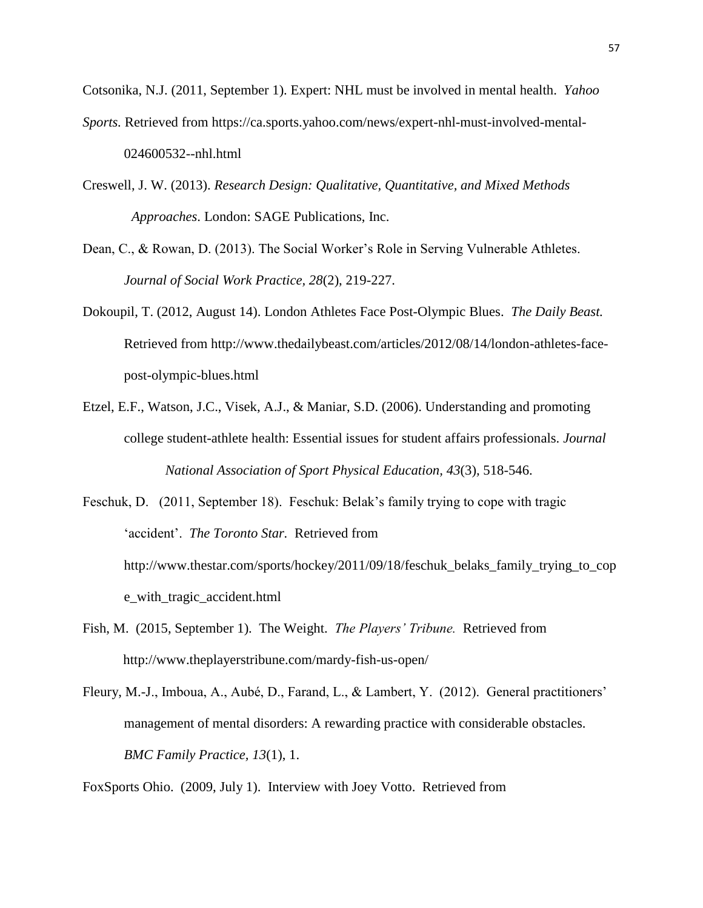Cotsonika, N.J. (2011, September 1). Expert: NHL must be involved in mental health. *Yahoo* 

- *Sports.* Retrieved from https://ca.sports.yahoo.com/news/expert-nhl-must-involved-mental-024600532--nhl.html
- Creswell, J. W. (2013). *Research Design: Qualitative, Quantitative, and Mixed Methods Approaches*. London: SAGE Publications, Inc.
- Dean, C., & Rowan, D. (2013). The Social Worker's Role in Serving Vulnerable Athletes. *Journal of Social Work Practice, 28*(2), 219-227.
- Dokoupil, T. (2012, August 14). London Athletes Face Post-Olympic Blues. *The Daily Beast.* Retrieved from http://www.thedailybeast.com/articles/2012/08/14/london-athletes-facepost-olympic-blues.html
- Etzel, E.F., Watson, J.C., Visek, A.J., & Maniar, S.D. (2006). Understanding and promoting college student-athlete health: Essential issues for student affairs professionals. *Journal National Association of Sport Physical Education, 43*(3)*,* 518-546.
- Feschuk, D. (2011, September 18). Feschuk: Belak's family trying to cope with tragic 'accident'. *The Toronto Star.* Retrieved from http://www.thestar.com/sports/hockey/2011/09/18/feschuk\_belaks\_family\_trying\_to\_cop e\_with\_tragic\_accident.html
- Fish, M. (2015, September 1). The Weight. *The Players' Tribune.* Retrieved from http://www.theplayerstribune.com/mardy-fish-us-open/
- Fleury, M.-J., Imboua, A., Aubé, D., Farand, L., & Lambert, Y. (2012). General practitioners' management of mental disorders: A rewarding practice with considerable obstacles. *BMC Family Practice, 13*(1), 1.

FoxSports Ohio. (2009, July 1). Interview with Joey Votto. Retrieved from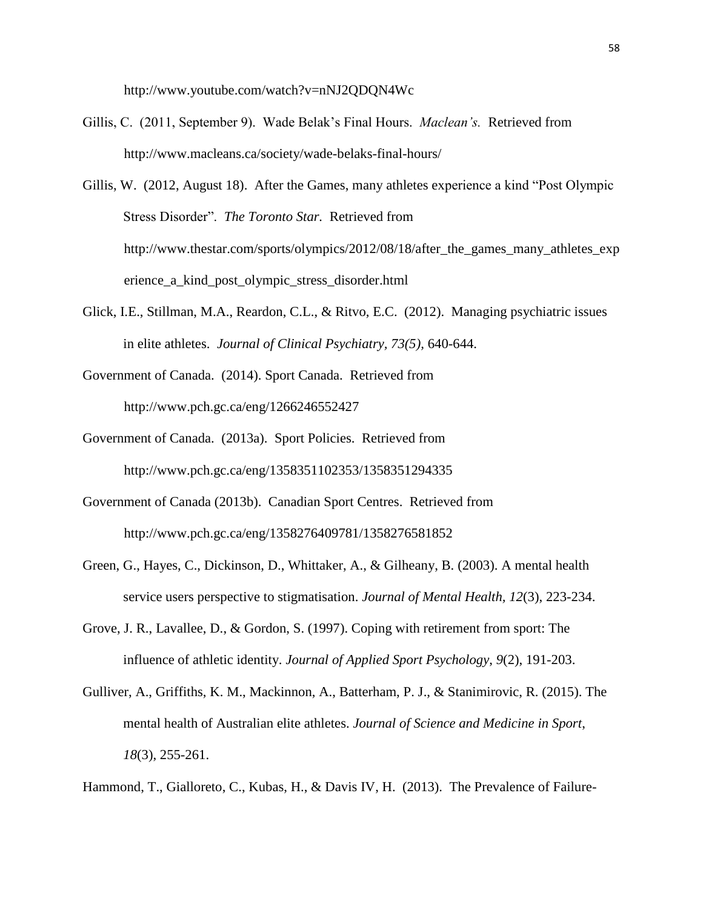http://www.youtube.com/watch?v=nNJ2QDQN4Wc

- Gillis, C. (2011, September 9). Wade Belak's Final Hours. *Maclean's.* Retrieved from http://www.macleans.ca/society/wade-belaks-final-hours/
- Gillis, W. (2012, August 18). After the Games, many athletes experience a kind "Post Olympic Stress Disorder". *The Toronto Star.* Retrieved from http://www.thestar.com/sports/olympics/2012/08/18/after\_the\_games\_many\_athletes\_exp erience\_a\_kind\_post\_olympic\_stress\_disorder.html
- Glick, I.E., Stillman, M.A., Reardon, C.L., & Ritvo, E.C. (2012). Managing psychiatric issues in elite athletes. *Journal of Clinical Psychiatry, 73(5),* 640-644.
- Government of Canada. (2014). Sport Canada. Retrieved from http://www.pch.gc.ca/eng/1266246552427
- Government of Canada. (2013a). Sport Policies. Retrieved from http://www.pch.gc.ca/eng/1358351102353/1358351294335
- Government of Canada (2013b). Canadian Sport Centres. Retrieved from http://www.pch.gc.ca/eng/1358276409781/1358276581852
- Green, G., Hayes, C., Dickinson, D., Whittaker, A., & Gilheany, B. (2003). A mental health service users perspective to stigmatisation. *Journal of Mental Health, 12*(3), 223-234.
- Grove, J. R., Lavallee, D., & Gordon, S. (1997). Coping with retirement from sport: The influence of athletic identity. *Journal of Applied Sport Psychology*, *9*(2), 191-203.
- Gulliver, A., Griffiths, K. M., Mackinnon, A., Batterham, P. J., & Stanimirovic, R. (2015). The mental health of Australian elite athletes. *Journal of Science and Medicine in Sport*, *18*(3), 255-261.
- Hammond, T., Gialloreto, C., Kubas, H., & Davis IV, H. (2013). The Prevalence of Failure-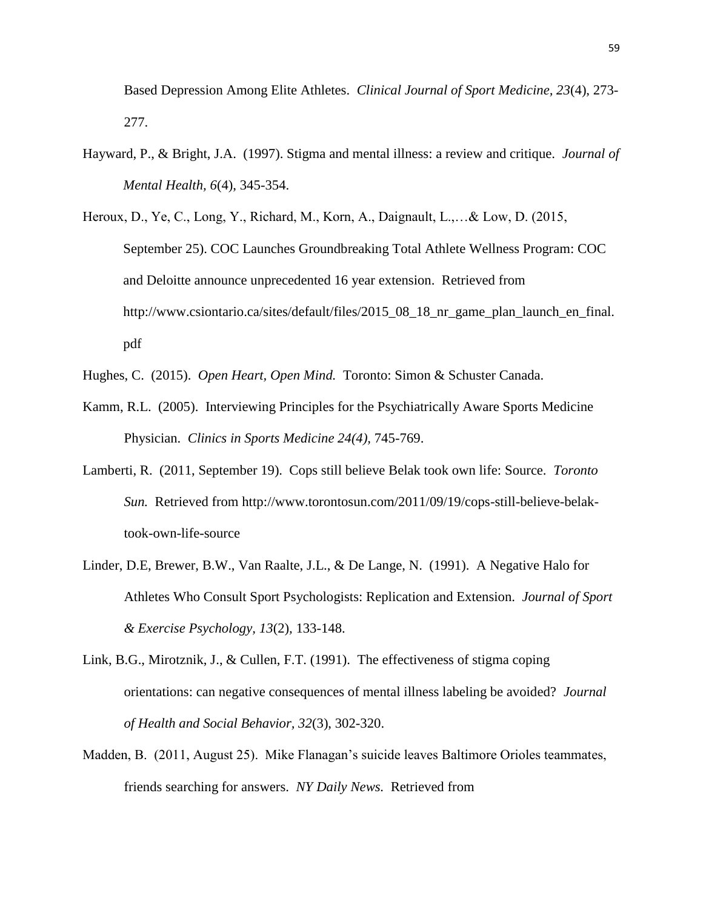Based Depression Among Elite Athletes. *Clinical Journal of Sport Medicine, 23*(4), 273- 277.

- Hayward, P., & Bright, J.A. (1997). Stigma and mental illness: a review and critique. *Journal of Mental Health, 6*(4), 345-354.
- Heroux, D., Ye, C., Long, Y., Richard, M., Korn, A., Daignault, L.,…& Low, D. (2015, September 25). COC Launches Groundbreaking Total Athlete Wellness Program: COC and Deloitte announce unprecedented 16 year extension. Retrieved from http://www.csiontario.ca/sites/default/files/2015\_08\_18\_nr\_game\_plan\_launch\_en\_final. pdf
- Hughes, C. (2015). *Open Heart, Open Mind.* Toronto: Simon & Schuster Canada.
- Kamm, R.L. (2005). Interviewing Principles for the Psychiatrically Aware Sports Medicine Physician. *Clinics in Sports Medicine 24(4),* 745-769.
- Lamberti, R. (2011, September 19). Cops still believe Belak took own life: Source. *Toronto Sun.* Retrieved from http://www.torontosun.com/2011/09/19/cops-still-believe-belaktook-own-life-source
- Linder, D.E, Brewer, B.W., Van Raalte, J.L., & De Lange, N. (1991). A Negative Halo for Athletes Who Consult Sport Psychologists: Replication and Extension. *Journal of Sport & Exercise Psychology, 13*(2)*,* 133-148.
- Link, B.G., Mirotznik, J., & Cullen, F.T. (1991). The effectiveness of stigma coping orientations: can negative consequences of mental illness labeling be avoided? *Journal of Health and Social Behavior, 32*(3), 302-320.
- Madden, B. (2011, August 25). Mike Flanagan's suicide leaves Baltimore Orioles teammates, friends searching for answers. *NY Daily News.* Retrieved from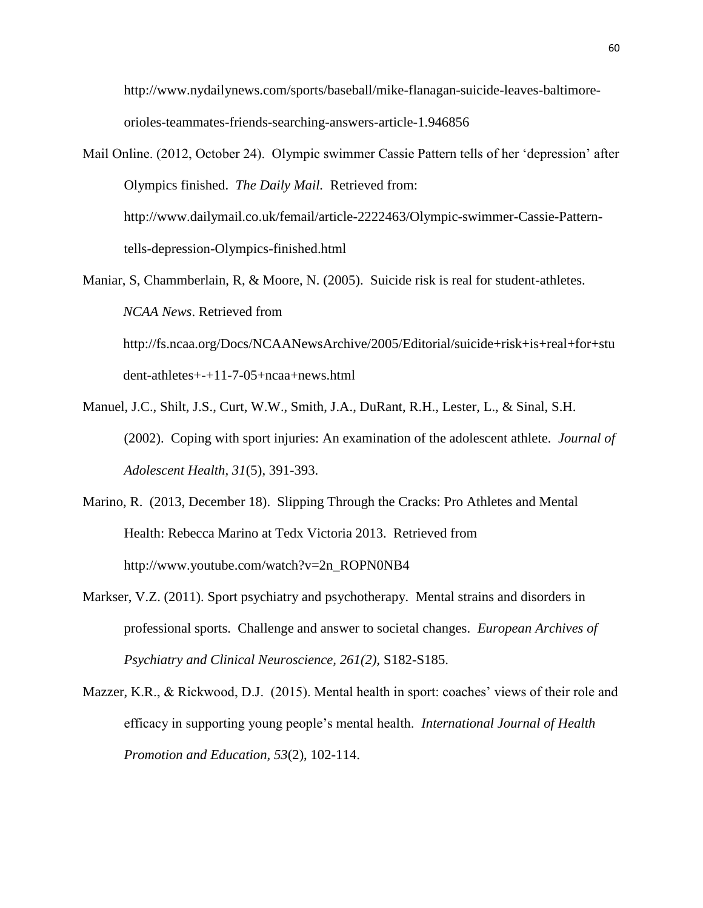http://www.nydailynews.com/sports/baseball/mike-flanagan-suicide-leaves-baltimoreorioles-teammates-friends-searching-answers-article-1.946856

- Mail Online. (2012, October 24). Olympic swimmer Cassie Pattern tells of her 'depression' after Olympics finished. *The Daily Mail.* Retrieved from: http://www.dailymail.co.uk/femail/article-2222463/Olympic-swimmer-Cassie-Patterntells-depression-Olympics-finished.html
- Maniar, S, Chammberlain, R, & Moore, N. (2005). Suicide risk is real for student-athletes. *NCAA News*. Retrieved from http://fs.ncaa.org/Docs/NCAANewsArchive/2005/Editorial/suicide+risk+is+real+for+stu

dent-athletes+-+11-7-05+ncaa+news.html

- Manuel, J.C., Shilt, J.S., Curt, W.W., Smith, J.A., DuRant, R.H., Lester, L., & Sinal, S.H. (2002). Coping with sport injuries: An examination of the adolescent athlete. *Journal of Adolescent Health, 31*(5), 391-393.
- Marino, R. (2013, December 18). Slipping Through the Cracks: Pro Athletes and Mental Health: Rebecca Marino at Tedx Victoria 2013. Retrieved from http://www.youtube.com/watch?v=2n\_ROPN0NB4
- Markser, V.Z. (2011). Sport psychiatry and psychotherapy. Mental strains and disorders in professional sports. Challenge and answer to societal changes. *European Archives of Psychiatry and Clinical Neuroscience, 261(2),* S182-S185.
- Mazzer, K.R., & Rickwood, D.J. (2015). Mental health in sport: coaches' views of their role and efficacy in supporting young people's mental health. *International Journal of Health Promotion and Education, 53*(2), 102-114.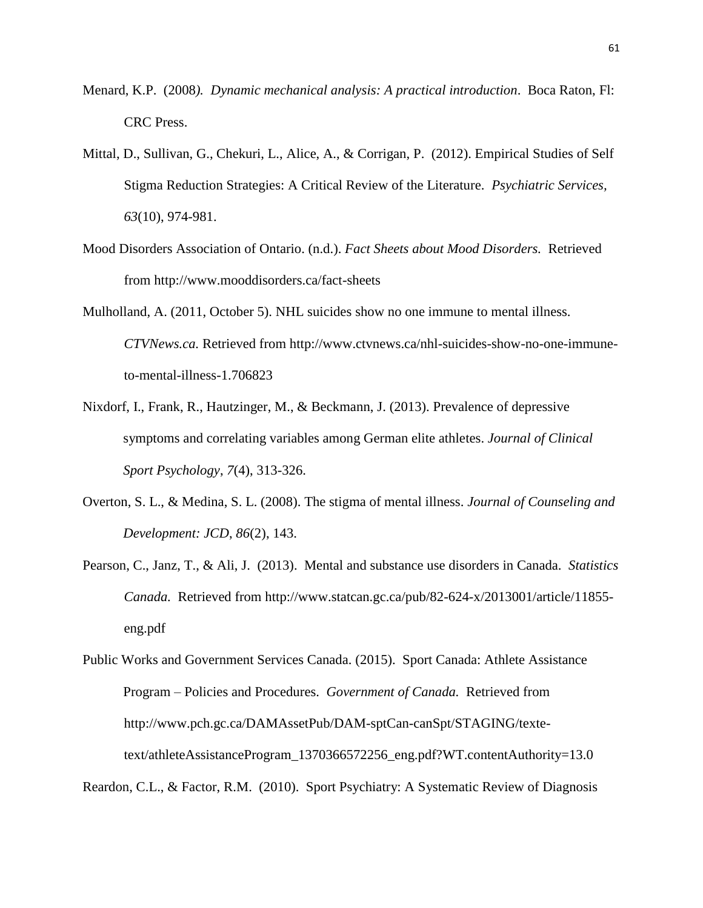- Menard, K.P. (2008*). Dynamic mechanical analysis: A practical introduction*. Boca Raton, Fl: CRC Press.
- Mittal, D., Sullivan, G., Chekuri, L., Alice, A., & Corrigan, P. (2012). Empirical Studies of Self Stigma Reduction Strategies: A Critical Review of the Literature. *Psychiatric Services, 63*(10), 974-981.
- Mood Disorders Association of Ontario. (n.d.). *Fact Sheets about Mood Disorders.* Retrieved from http://www.mooddisorders.ca/fact-sheets
- Mulholland, A. (2011, October 5). NHL suicides show no one immune to mental illness. *CTVNews.ca.* Retrieved from http://www.ctvnews.ca/nhl-suicides-show-no-one-immuneto-mental-illness-1.706823
- Nixdorf, I., Frank, R., Hautzinger, M., & Beckmann, J. (2013). Prevalence of depressive symptoms and correlating variables among German elite athletes. *Journal of Clinical Sport Psychology*, *7*(4), 313-326.
- Overton, S. L., & Medina, S. L. (2008). The stigma of mental illness. *Journal of Counseling and Development: JCD*, *86*(2), 143.
- Pearson, C., Janz, T., & Ali, J. (2013). Mental and substance use disorders in Canada. *Statistics Canada.* Retrieved from http://www.statcan.gc.ca/pub/82-624-x/2013001/article/11855 eng.pdf

Public Works and Government Services Canada. (2015). Sport Canada: Athlete Assistance Program – Policies and Procedures. *Government of Canada.* Retrieved from http://www.pch.gc.ca/DAMAssetPub/DAM-sptCan-canSpt/STAGING/textetext/athleteAssistanceProgram\_1370366572256\_eng.pdf?WT.contentAuthority=13.0

Reardon, C.L., & Factor, R.M. (2010). Sport Psychiatry: A Systematic Review of Diagnosis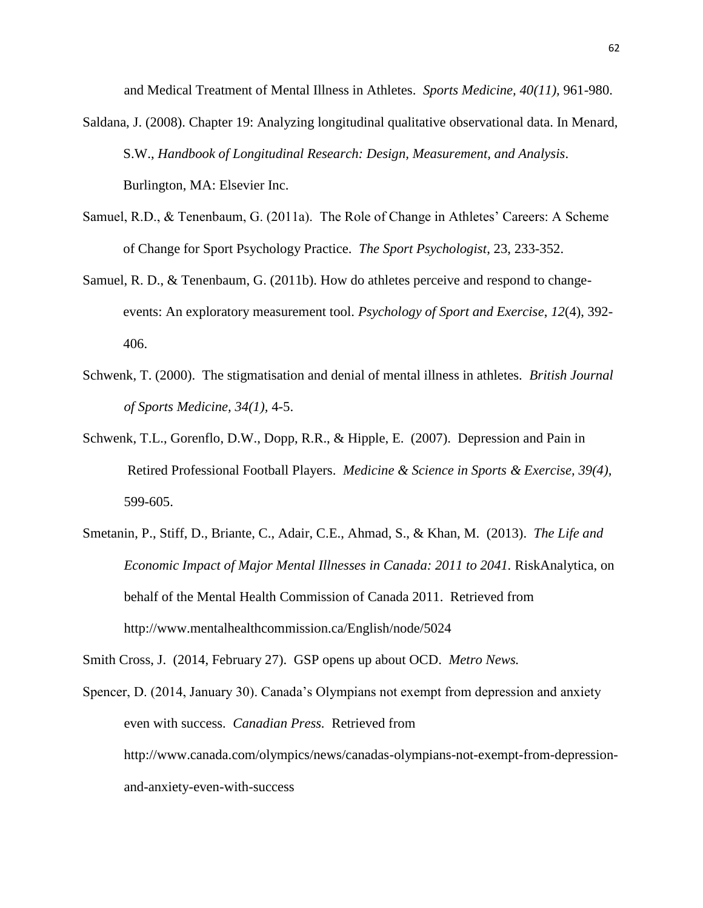and Medical Treatment of Mental Illness in Athletes. *Sports Medicine, 40(11),* 961-980.

- Saldana, J. (2008). Chapter 19: Analyzing longitudinal qualitative observational data. In Menard, S.W., *Handbook of Longitudinal Research: Design, Measurement, and Analysis*. Burlington, MA: Elsevier Inc.
- Samuel, R.D., & Tenenbaum, G. (2011a). The Role of Change in Athletes' Careers: A Scheme of Change for Sport Psychology Practice. *The Sport Psychologist*, 23, 233-352.
- Samuel, R. D., & Tenenbaum, G. (2011b). How do athletes perceive and respond to changeevents: An exploratory measurement tool. *Psychology of Sport and Exercise*, *12*(4), 392- 406.
- Schwenk, T. (2000). The stigmatisation and denial of mental illness in athletes. *British Journal of Sports Medicine, 34(1),* 4-5.
- Schwenk, T.L., Gorenflo, D.W., Dopp, R.R., & Hipple, E. (2007). Depression and Pain in Retired Professional Football Players. *Medicine & Science in Sports & Exercise, 39(4),*  599-605.
- Smetanin, P., Stiff, D., Briante, C., Adair, C.E., Ahmad, S., & Khan, M. (2013). *The Life and Economic Impact of Major Mental Illnesses in Canada: 2011 to 2041.* RiskAnalytica, on behalf of the Mental Health Commission of Canada 2011. Retrieved from http://www.mentalhealthcommission.ca/English/node/5024

Smith Cross, J. (2014, February 27). GSP opens up about OCD. *Metro News.* 

Spencer, D. (2014, January 30). Canada's Olympians not exempt from depression and anxiety even with success. *Canadian Press.* Retrieved from http://www.canada.com/olympics/news/canadas-olympians-not-exempt-from-depressionand-anxiety-even-with-success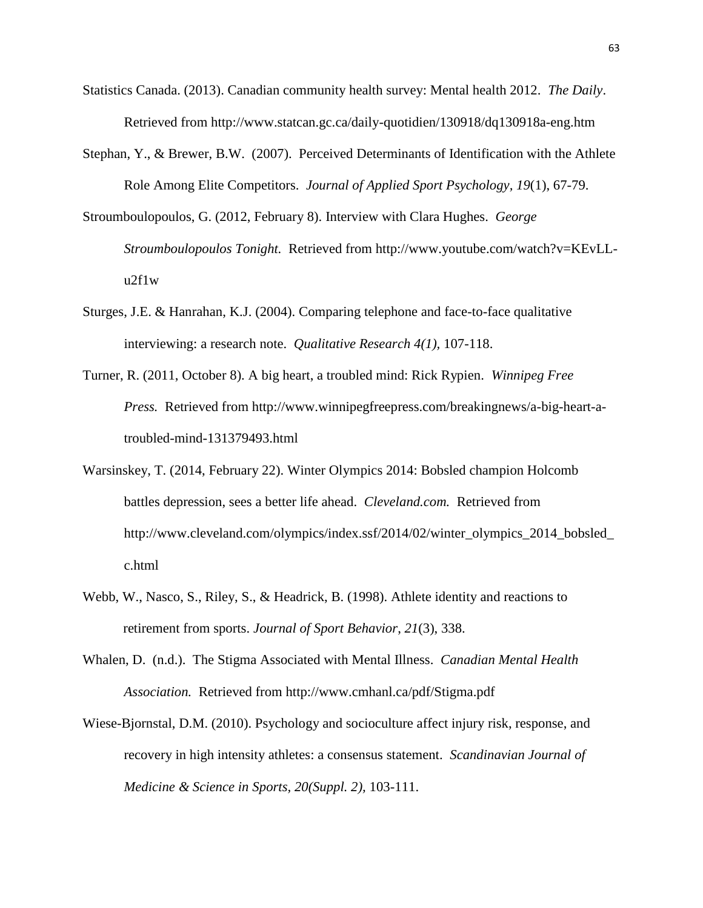- Statistics Canada. (2013). Canadian community health survey: Mental health 2012. *The Daily*. Retrieved from http://www.statcan.gc.ca/daily-quotidien/130918/dq130918a-eng.htm
- Stephan, Y., & Brewer, B.W. (2007). Perceived Determinants of Identification with the Athlete Role Among Elite Competitors. *Journal of Applied Sport Psychology, 19*(1), 67-79.
- Stroumboulopoulos, G. (2012, February 8). Interview with Clara Hughes. *George Stroumboulopoulos Tonight.* Retrieved from http://www.youtube.com/watch?v=KEvLLu2f1w
- Sturges, J.E. & Hanrahan, K.J. (2004). Comparing telephone and face-to-face qualitative interviewing: a research note. *Qualitative Research 4(1),* 107-118.
- Turner, R. (2011, October 8). A big heart, a troubled mind: Rick Rypien. *Winnipeg Free Press.* Retrieved from http://www.winnipegfreepress.com/breakingnews/a-big-heart-atroubled-mind-131379493.html
- Warsinskey, T. (2014, February 22). Winter Olympics 2014: Bobsled champion Holcomb battles depression, sees a better life ahead. *Cleveland.com.* Retrieved from http://www.cleveland.com/olympics/index.ssf/2014/02/winter\_olympics\_2014\_bobsled\_ c.html
- Webb, W., Nasco, S., Riley, S., & Headrick, B. (1998). Athlete identity and reactions to retirement from sports. *Journal of Sport Behavior*, *21*(3), 338.
- Whalen, D. (n.d.). The Stigma Associated with Mental Illness. *Canadian Mental Health Association.* Retrieved from http://www.cmhanl.ca/pdf/Stigma.pdf
- Wiese-Bjornstal, D.M. (2010). Psychology and socioculture affect injury risk, response, and recovery in high intensity athletes: a consensus statement. *Scandinavian Journal of Medicine & Science in Sports, 20(Suppl. 2),* 103-111.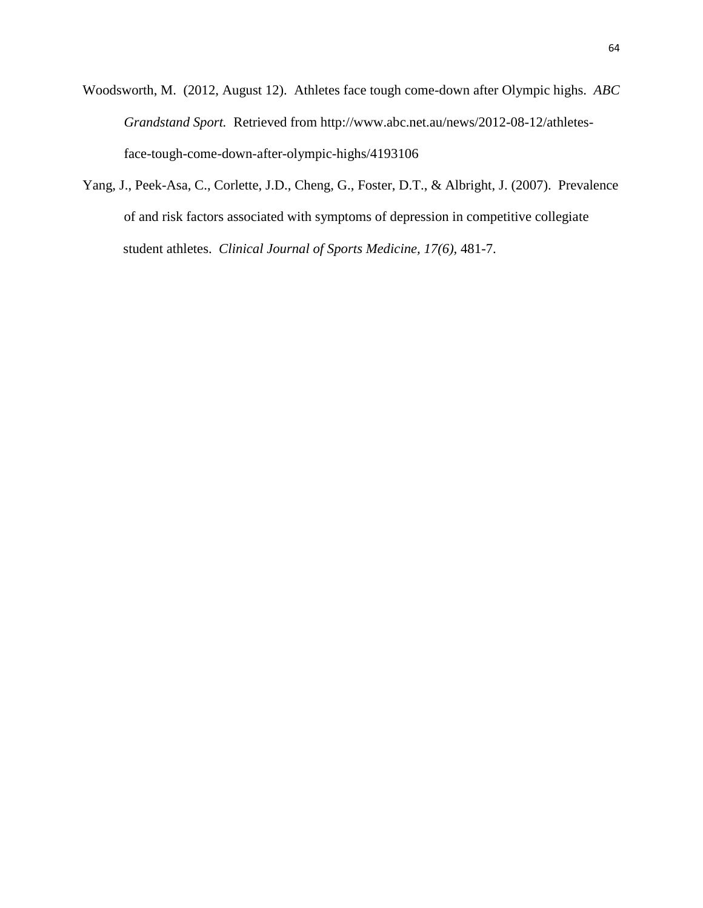Woodsworth, M. (2012, August 12). Athletes face tough come-down after Olympic highs. *ABC Grandstand Sport.* Retrieved from http://www.abc.net.au/news/2012-08-12/athletesface-tough-come-down-after-olympic-highs/4193106

Yang, J., Peek-Asa, C., Corlette, J.D., Cheng, G., Foster, D.T., & Albright, J. (2007). Prevalence of and risk factors associated with symptoms of depression in competitive collegiate student athletes. *Clinical Journal of Sports Medicine, 17(6),* 481-7.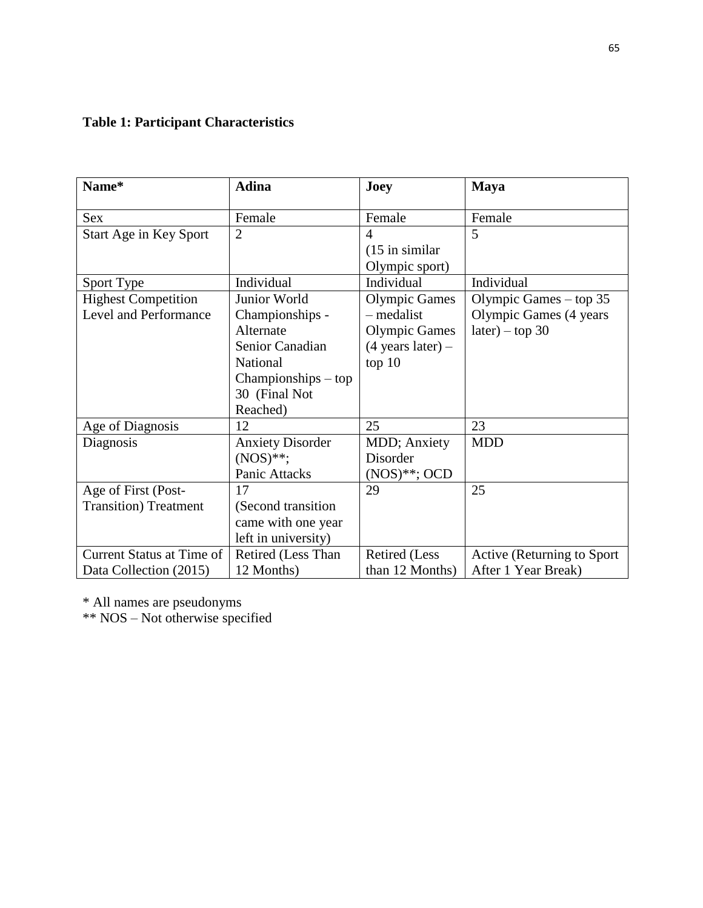# **Table 1: Participant Characteristics**

| Name*                            | <b>Adina</b>            | Joey                        | <b>Maya</b>                 |
|----------------------------------|-------------------------|-----------------------------|-----------------------------|
| <b>Sex</b>                       | Female                  | Female                      | Female                      |
| Start Age in Key Sport           | $\overline{2}$          | $\overline{A}$              | 5                           |
|                                  |                         | $(15$ in similar            |                             |
|                                  |                         | Olympic sport)              |                             |
| Sport Type                       | Individual              | Individual                  | Individual                  |
| <b>Highest Competition</b>       | Junior World            | <b>Olympic Games</b>        | Olympic Games $-$ top 35    |
| Level and Performance            | Championships -         | – medalist                  | Olympic Games (4 years      |
|                                  | Alternate               | <b>Olympic Games</b>        | $later) - top 30$           |
|                                  | Senior Canadian         | $(4 \text{ years later}) -$ |                             |
|                                  | National                | top 10                      |                             |
|                                  | $Championships - top$   |                             |                             |
|                                  | 30 (Final Not           |                             |                             |
|                                  | Reached)                |                             |                             |
| Age of Diagnosis                 | 12                      | 25                          | 23                          |
| Diagnosis                        | <b>Anxiety Disorder</b> | MDD; Anxiety                | <b>MDD</b>                  |
|                                  | $(NOS)**;$              | Disorder                    |                             |
|                                  | Panic Attacks           | $(NOS)$ **; OCD             |                             |
| Age of First (Post-              | 17                      | 29                          | 25                          |
| <b>Transition</b> ) Treatment    | (Second transition)     |                             |                             |
|                                  | came with one year      |                             |                             |
|                                  | left in university)     |                             |                             |
| <b>Current Status at Time of</b> | Retired (Less Than      | Retired (Less               | Active (Returning to Sport) |
| Data Collection (2015)           | 12 Months)              | than 12 Months)             | After 1 Year Break)         |

\* All names are pseudonyms

\*\* NOS – Not otherwise specified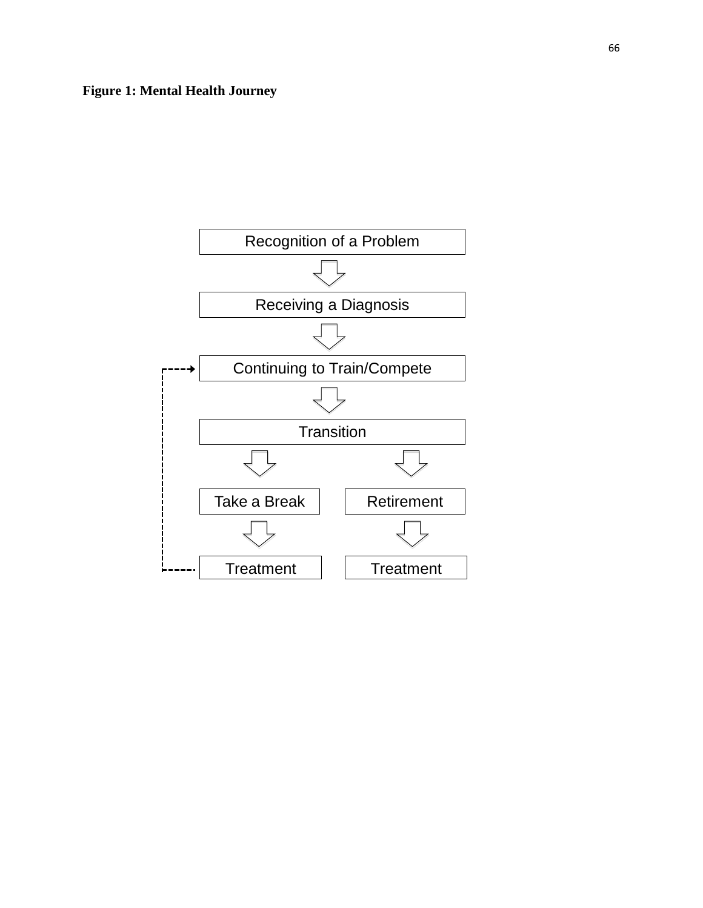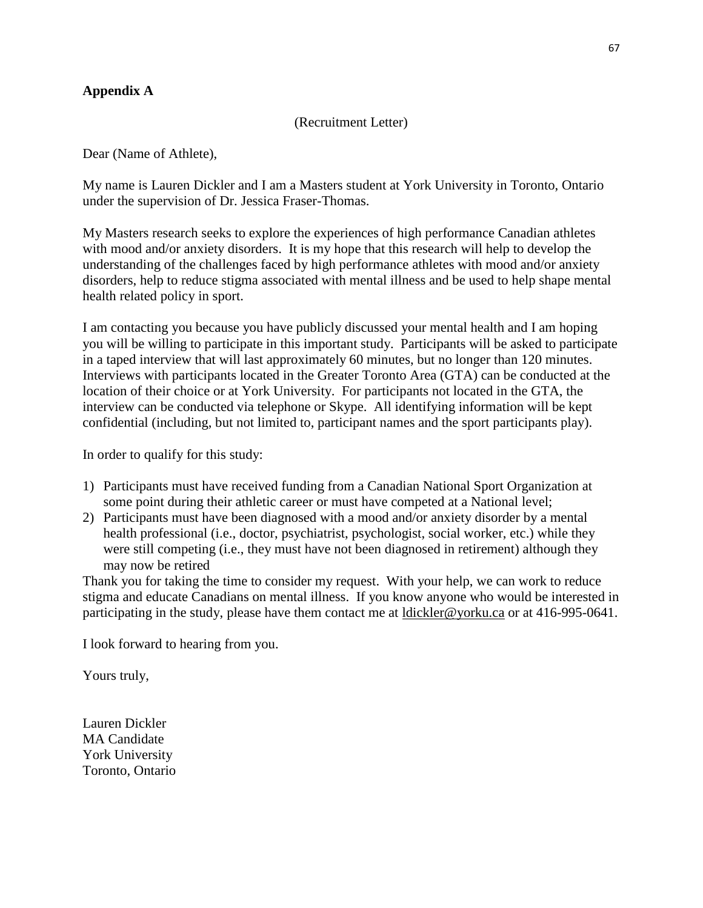## **Appendix A**

#### (Recruitment Letter)

Dear (Name of Athlete),

My name is Lauren Dickler and I am a Masters student at York University in Toronto, Ontario under the supervision of Dr. Jessica Fraser-Thomas.

My Masters research seeks to explore the experiences of high performance Canadian athletes with mood and/or anxiety disorders. It is my hope that this research will help to develop the understanding of the challenges faced by high performance athletes with mood and/or anxiety disorders, help to reduce stigma associated with mental illness and be used to help shape mental health related policy in sport.

I am contacting you because you have publicly discussed your mental health and I am hoping you will be willing to participate in this important study. Participants will be asked to participate in a taped interview that will last approximately 60 minutes, but no longer than 120 minutes. Interviews with participants located in the Greater Toronto Area (GTA) can be conducted at the location of their choice or at York University. For participants not located in the GTA, the interview can be conducted via telephone or Skype. All identifying information will be kept confidential (including, but not limited to, participant names and the sport participants play).

In order to qualify for this study:

- 1) Participants must have received funding from a Canadian National Sport Organization at some point during their athletic career or must have competed at a National level;
- 2) Participants must have been diagnosed with a mood and/or anxiety disorder by a mental health professional (i.e., doctor, psychiatrist, psychologist, social worker, etc.) while they were still competing (i.e., they must have not been diagnosed in retirement) although they may now be retired

Thank you for taking the time to consider my request. With your help, we can work to reduce stigma and educate Canadians on mental illness. If you know anyone who would be interested in participating in the study, please have them contact me at [ldickler@yorku.ca](mailto:ldickler@yorku.ca) or at 416-995-0641.

I look forward to hearing from you.

Yours truly,

Lauren Dickler MA Candidate York University Toronto, Ontario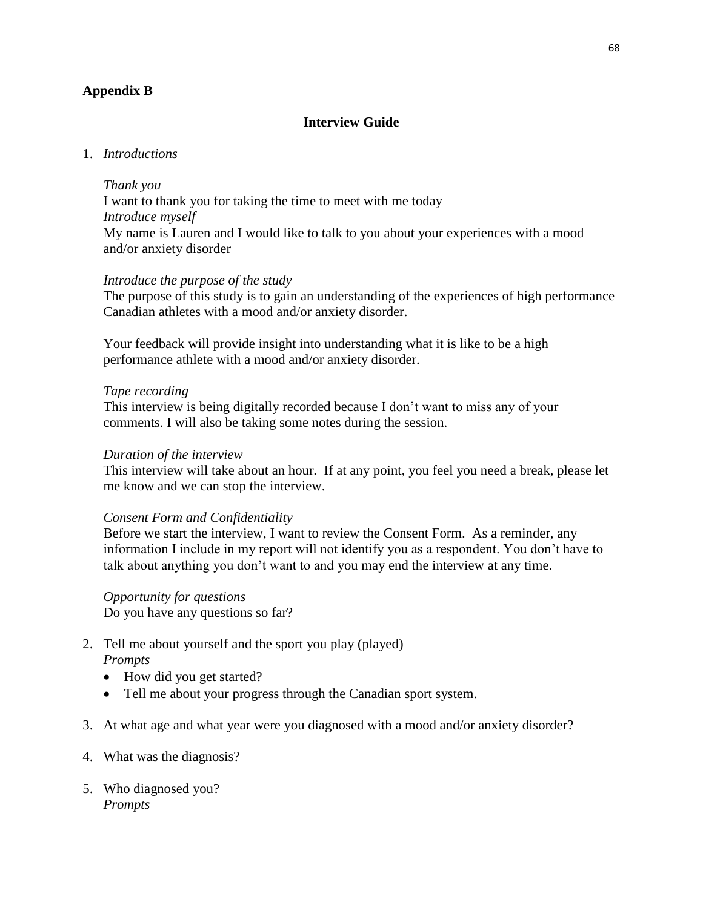# **Appendix B**

## **Interview Guide**

## 1. *Introductions*

#### *Thank you*

I want to thank you for taking the time to meet with me today *Introduce myself* My name is Lauren and I would like to talk to you about your experiences with a mood and/or anxiety disorder

## *Introduce the purpose of the study*

The purpose of this study is to gain an understanding of the experiences of high performance Canadian athletes with a mood and/or anxiety disorder.

Your feedback will provide insight into understanding what it is like to be a high performance athlete with a mood and/or anxiety disorder.

#### *Tape recording*

This interview is being digitally recorded because I don't want to miss any of your comments. I will also be taking some notes during the session.

#### *Duration of the interview*

This interview will take about an hour. If at any point, you feel you need a break, please let me know and we can stop the interview.

#### *Consent Form and Confidentiality*

Before we start the interview, I want to review the Consent Form. As a reminder, any information I include in my report will not identify you as a respondent. You don't have to talk about anything you don't want to and you may end the interview at any time.

# *Opportunity for questions*

Do you have any questions so far?

- 2. Tell me about yourself and the sport you play (played) *Prompts*
	- How did you get started?
	- Tell me about your progress through the Canadian sport system.
- 3. At what age and what year were you diagnosed with a mood and/or anxiety disorder?
- 4. What was the diagnosis?
- 5. Who diagnosed you? *Prompts*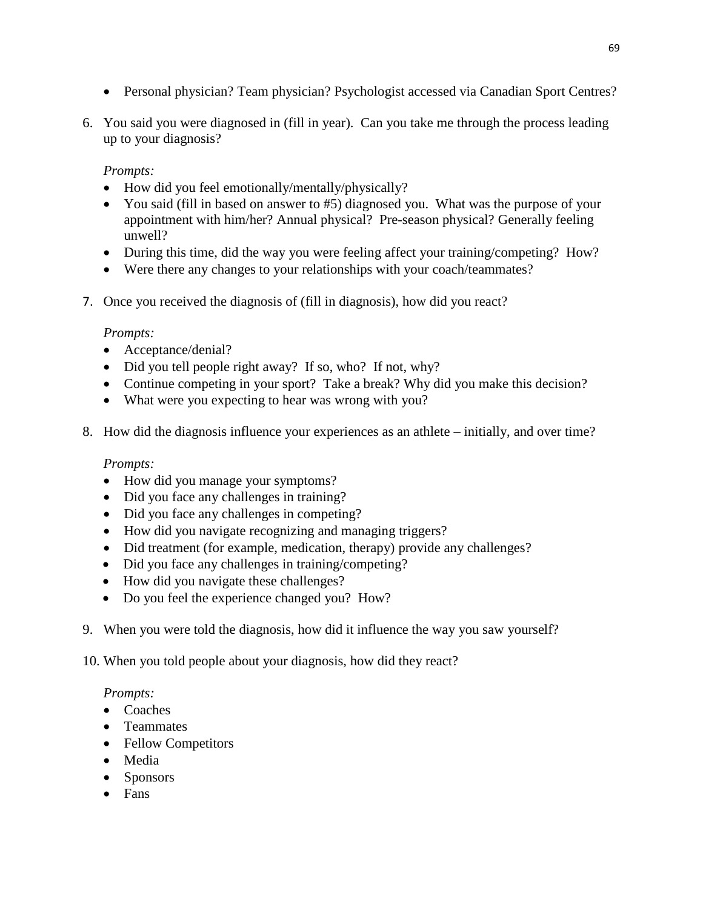- Personal physician? Team physician? Psychologist accessed via Canadian Sport Centres?
- 6. You said you were diagnosed in (fill in year). Can you take me through the process leading up to your diagnosis?

# *Prompts:*

- How did you feel emotionally/mentally/physically?
- You said (fill in based on answer to #5) diagnosed you. What was the purpose of your appointment with him/her? Annual physical? Pre-season physical? Generally feeling unwell?
- During this time, did the way you were feeling affect your training/competing? How?
- Were there any changes to your relationships with your coach/teammates?
- 7. Once you received the diagnosis of (fill in diagnosis), how did you react?

# *Prompts:*

- Acceptance/denial?
- Did you tell people right away? If so, who? If not, why?
- Continue competing in your sport? Take a break? Why did you make this decision?
- What were you expecting to hear was wrong with you?
- 8. How did the diagnosis influence your experiences as an athlete initially, and over time?

# *Prompts:*

- How did you manage your symptoms?
- Did you face any challenges in training?
- Did you face any challenges in competing?
- How did you navigate recognizing and managing triggers?
- Did treatment (for example, medication, therapy) provide any challenges?
- Did you face any challenges in training/competing?
- How did you navigate these challenges?
- Do you feel the experience changed you? How?
- 9. When you were told the diagnosis, how did it influence the way you saw yourself?
- 10. When you told people about your diagnosis, how did they react?

# *Prompts:*

- Coaches
- Teammates
- Fellow Competitors
- Media
- Sponsors
- Fans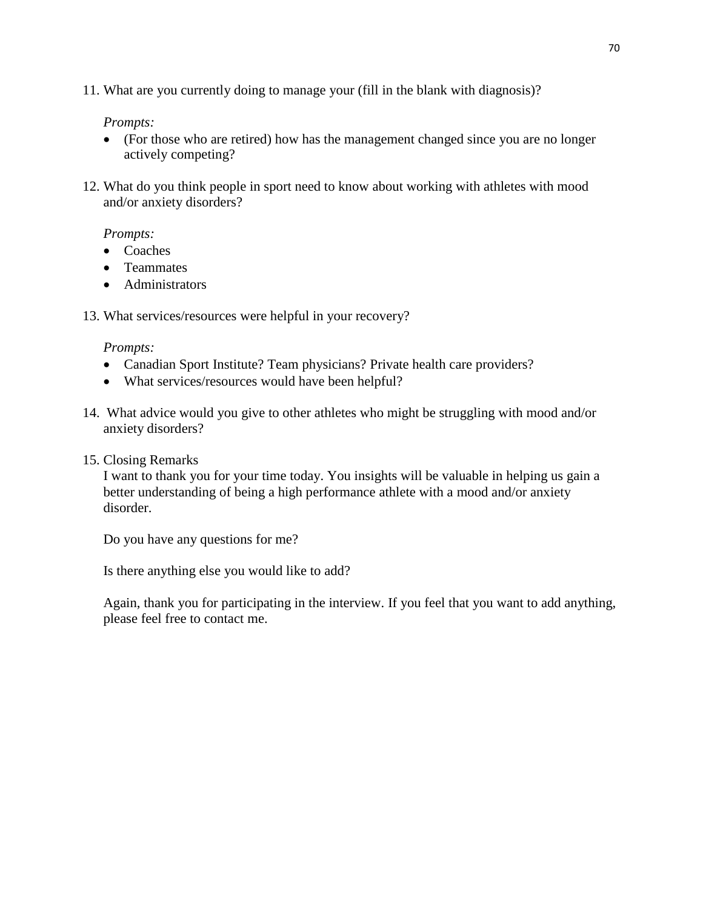11. What are you currently doing to manage your (fill in the blank with diagnosis)?

# *Prompts:*

- (For those who are retired) how has the management changed since you are no longer actively competing?
- 12. What do you think people in sport need to know about working with athletes with mood and/or anxiety disorders?

# *Prompts:*

- Coaches
- **•** Teammates
- Administrators
- 13. What services/resources were helpful in your recovery?

# *Prompts:*

- Canadian Sport Institute? Team physicians? Private health care providers?
- What services/resources would have been helpful?
- 14. What advice would you give to other athletes who might be struggling with mood and/or anxiety disorders?
- 15. Closing Remarks

I want to thank you for your time today. You insights will be valuable in helping us gain a better understanding of being a high performance athlete with a mood and/or anxiety disorder.

Do you have any questions for me?

Is there anything else you would like to add?

Again, thank you for participating in the interview. If you feel that you want to add anything, please feel free to contact me.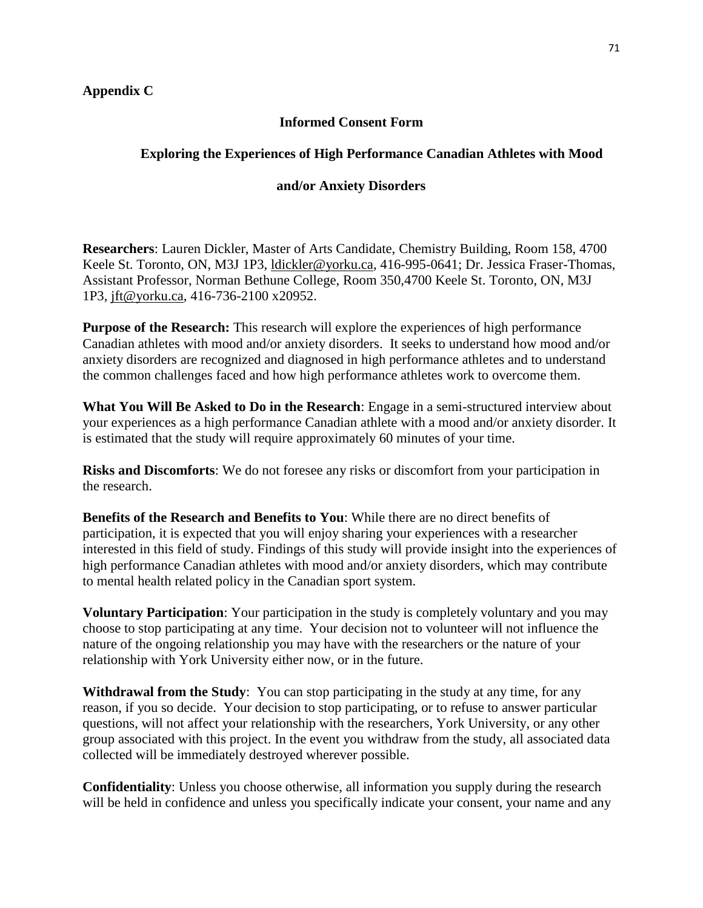## **Appendix C**

# **Informed Consent Form**

# **Exploring the Experiences of High Performance Canadian Athletes with Mood**

## **and/or Anxiety Disorders**

**Researchers**: Lauren Dickler, Master of Arts Candidate, Chemistry Building, Room 158, 4700 Keele St. Toronto, ON, M3J 1P3, [ldickler@yorku.ca,](mailto:ldickler@yorku.ca) 416-995-0641; Dr. Jessica Fraser-Thomas, Assistant Professor, Norman Bethune College, Room 350,4700 Keele St. Toronto, ON, M3J 1P3, [jft@yorku.ca,](mailto:jft@yorku.ca) 416-736-2100 x20952.

**Purpose of the Research:** This research will explore the experiences of high performance Canadian athletes with mood and/or anxiety disorders. It seeks to understand how mood and/or anxiety disorders are recognized and diagnosed in high performance athletes and to understand the common challenges faced and how high performance athletes work to overcome them*.* 

**What You Will Be Asked to Do in the Research**: Engage in a semi-structured interview about your experiences as a high performance Canadian athlete with a mood and/or anxiety disorder. It is estimated that the study will require approximately 60 minutes of your time.

**Risks and Discomforts**: We do not foresee any risks or discomfort from your participation in the research.

**Benefits of the Research and Benefits to You**: While there are no direct benefits of participation, it is expected that you will enjoy sharing your experiences with a researcher interested in this field of study. Findings of this study will provide insight into the experiences of high performance Canadian athletes with mood and/or anxiety disorders, which may contribute to mental health related policy in the Canadian sport system.

**Voluntary Participation**: Your participation in the study is completely voluntary and you may choose to stop participating at any time. Your decision not to volunteer will not influence the nature of the ongoing relationship you may have with the researchers or the nature of your relationship with York University either now, or in the future.

**Withdrawal from the Study**: You can stop participating in the study at any time, for any reason, if you so decide. Your decision to stop participating, or to refuse to answer particular questions, will not affect your relationship with the researchers, York University, or any other group associated with this project. In the event you withdraw from the study, all associated data collected will be immediately destroyed wherever possible.

**Confidentiality**: Unless you choose otherwise, all information you supply during the research will be held in confidence and unless you specifically indicate your consent, your name and any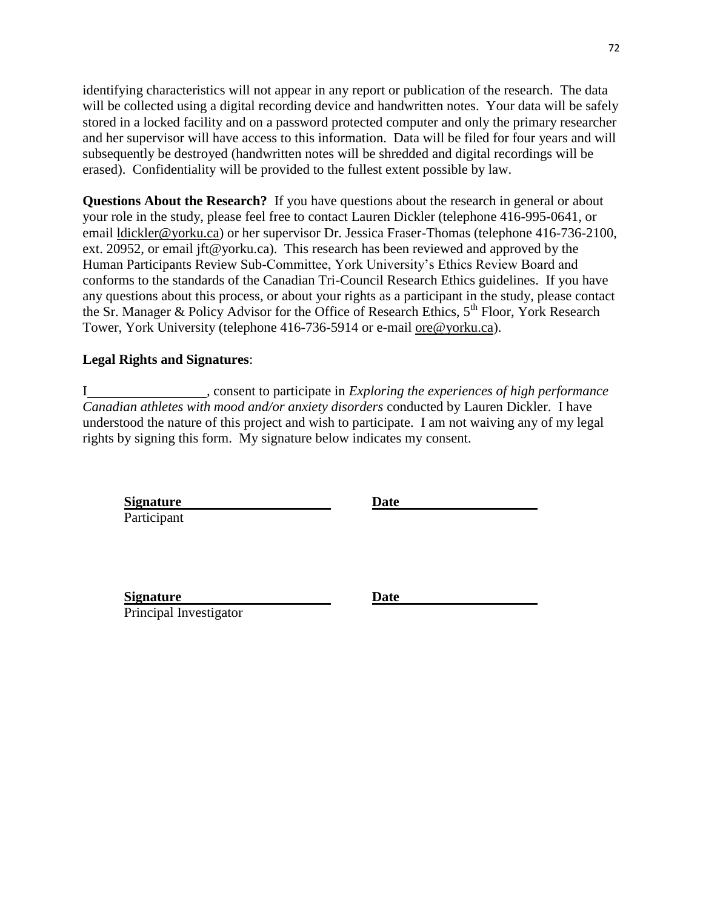identifying characteristics will not appear in any report or publication of the research. The data will be collected using a digital recording device and handwritten notes.Your data will be safely stored in a locked facility and on a password protected computer and only the primary researcher and her supervisor will have access to this information. Data will be filed for four years and will subsequently be destroyed (handwritten notes will be shredded and digital recordings will be erased). Confidentiality will be provided to the fullest extent possible by law.

**Questions About the Research?** If you have questions about the research in general or about your role in the study, please feel free to contact Lauren Dickler (telephone 416-995-0641, or email [ldickler@yorku.ca\)](mailto:ldickler@yorku.ca) or her supervisor Dr. Jessica Fraser-Thomas (telephone 416-736-2100, ext. 20952, or email jft@yorku.ca). This research has been reviewed and approved by the Human Participants Review Sub-Committee, York University's Ethics Review Board and conforms to the standards of the Canadian Tri-Council Research Ethics guidelines. If you have any questions about this process, or about your rights as a participant in the study, please contact the Sr. Manager & Policy Advisor for the Office of Research Ethics,  $5<sup>th</sup>$  Floor, York Research Tower, York University (telephone 416-736-5914 or e-mail [ore@yorku.ca\)](mailto:ore@yorku.ca).

# **Legal Rights and Signatures**:

I *,* consent to participate in *Exploring the experiences of high performance Canadian athletes with mood and/or anxiety disorders* conducted by Lauren Dickler. I have understood the nature of this project and wish to participate. I am not waiving any of my legal rights by signing this form. My signature below indicates my consent.

**Signature Date**  Participant

**Signature Date**  Principal Investigator